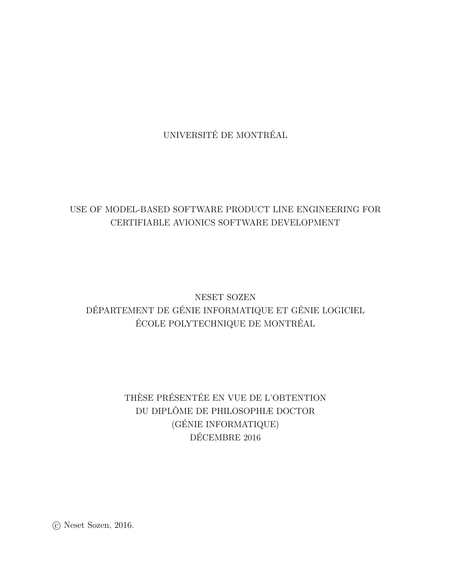UNIVERSITÉ DE MONTRÉAL

## USE OF MODEL-BASED SOFTWARE PRODUCT LINE ENGINEERING FOR CERTIFIABLE AVIONICS SOFTWARE DEVELOPMENT

# NESET SOZEN DÉPARTEMENT DE GÉNIE INFORMATIQUE ET GÉNIE LOGICIEL ÉCOLE POLYTECHNIQUE DE MONTRÉAL

# THÈSE PRÉSENTÉE EN VUE DE L'OBTENTION DU DIPLÔME DE PHILOSOPHIÆ DOCTOR (GÉNIE INFORMATIQUE) DÉCEMBRE 2016

 $\odot$  Neset Sozen, 2016.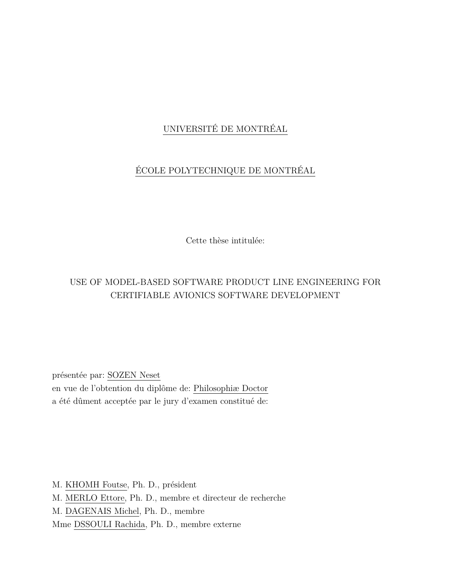## UNIVERSITÉ DE MONTRÉAL

# ÉCOLE POLYTECHNIQUE DE MONTRÉAL

Cette thèse intitulée:

## USE OF MODEL-BASED SOFTWARE PRODUCT LINE ENGINEERING FOR CERTIFIABLE AVIONICS SOFTWARE DEVELOPMENT

présentée par: SOZEN Neset en vue de l'obtention du diplôme de: Philosophiæ Doctor a été dûment acceptée par le jury d'examen constitué de:

M. KHOMH Foutse, Ph. D., président M. MERLO Ettore, Ph. D., membre et directeur de recherche M. DAGENAIS Michel, Ph. D., membre Mme DSSOULI Rachida, Ph. D., membre externe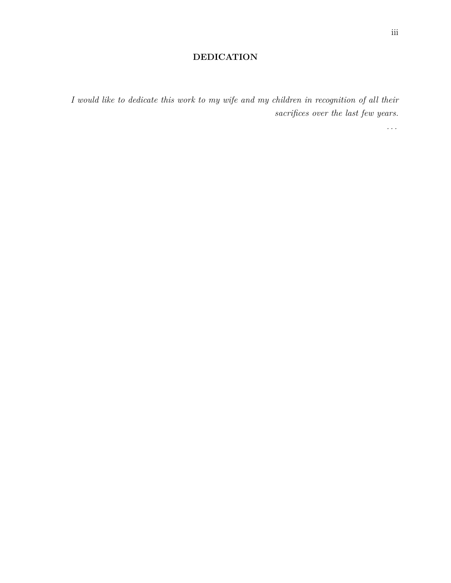## **DEDICATION**

<span id="page-2-0"></span>*I would like to dedicate this work to my wife and my children in recognition of all their sacrifices over the last few years.*

*. . .*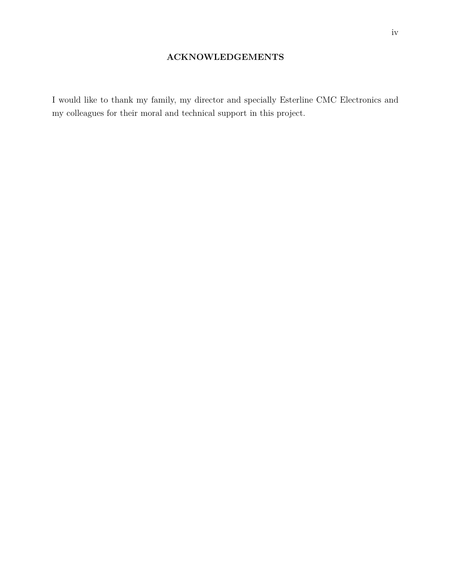## **ACKNOWLEDGEMENTS**

<span id="page-3-0"></span>I would like to thank my family, my director and specially Esterline CMC Electronics and my colleagues for their moral and technical support in this project.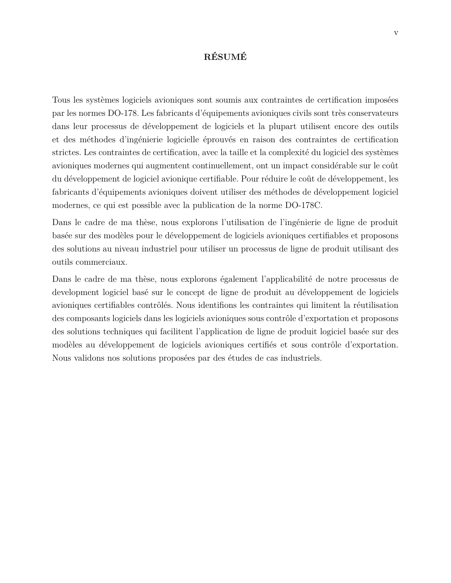## **RÉSUMÉ**

<span id="page-4-0"></span>Tous les systèmes logiciels avioniques sont soumis aux contraintes de certification imposées par les normes DO-178. Les fabricants d'équipements avioniques civils sont très conservateurs dans leur processus de développement de logiciels et la plupart utilisent encore des outils et des méthodes d'ingénierie logicielle éprouvés en raison des contraintes de certification strictes. Les contraintes de certification, avec la taille et la complexité du logiciel des systèmes avioniques modernes qui augmentent continuellement, ont un impact considérable sur le coût du développement de logiciel avionique certifiable. Pour réduire le coût de développement, les fabricants d'équipements avioniques doivent utiliser des méthodes de développement logiciel modernes, ce qui est possible avec la publication de la norme DO-178C.

Dans le cadre de ma thèse, nous explorons l'utilisation de l'ingénierie de ligne de produit basée sur des modèles pour le développement de logiciels avioniques certifiables et proposons des solutions au niveau industriel pour utiliser un processus de ligne de produit utilisant des outils commerciaux.

Dans le cadre de ma thèse, nous explorons également l'applicabilité de notre processus de development logiciel basé sur le concept de ligne de produit au développement de logiciels avioniques certifiables contrôlés. Nous identifions les contraintes qui limitent la réutilisation des composants logiciels dans les logiciels avioniques sous contrôle d'exportation et proposons des solutions techniques qui facilitent l'application de ligne de produit logiciel basée sur des modèles au développement de logiciels avioniques certifiés et sous contrôle d'exportation. Nous validons nos solutions proposées par des études de cas industriels.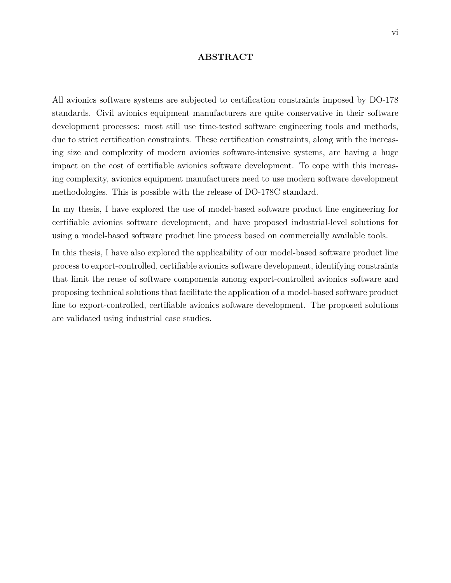### **ABSTRACT**

<span id="page-5-0"></span>All avionics software systems are subjected to certification constraints imposed by DO-178 standards. Civil avionics equipment manufacturers are quite conservative in their software development processes: most still use time-tested software engineering tools and methods, due to strict certification constraints. These certification constraints, along with the increasing size and complexity of modern avionics software-intensive systems, are having a huge impact on the cost of certifiable avionics software development. To cope with this increasing complexity, avionics equipment manufacturers need to use modern software development methodologies. This is possible with the release of DO-178C standard.

In my thesis, I have explored the use of model-based software product line engineering for certifiable avionics software development, and have proposed industrial-level solutions for using a model-based software product line process based on commercially available tools.

In this thesis, I have also explored the applicability of our model-based software product line process to export-controlled, certifiable avionics software development, identifying constraints that limit the reuse of software components among export-controlled avionics software and proposing technical solutions that facilitate the application of a model-based software product line to export-controlled, certifiable avionics software development. The proposed solutions are validated using industrial case studies.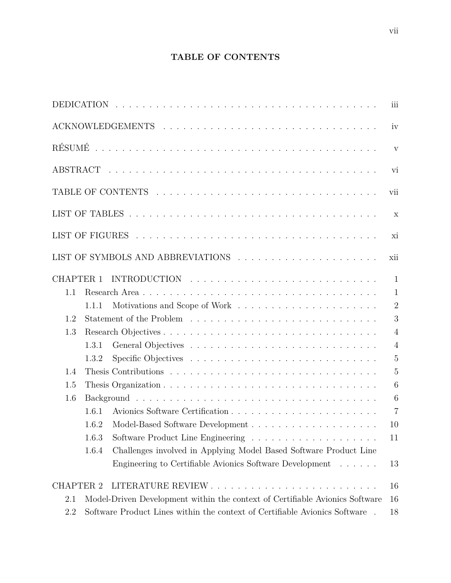## **TABLE OF CONTENTS**

<span id="page-6-0"></span>

|                  |                                                                                          | iii                       |
|------------------|------------------------------------------------------------------------------------------|---------------------------|
|                  |                                                                                          | iv                        |
|                  |                                                                                          | $\mathbf{V}$              |
|                  |                                                                                          | vi                        |
|                  |                                                                                          | vii                       |
|                  |                                                                                          | $\boldsymbol{\mathrm{X}}$ |
|                  |                                                                                          | xi                        |
|                  |                                                                                          | xii                       |
| <b>CHAPTER 1</b> |                                                                                          | $\mathbf{1}$              |
| 1.1              |                                                                                          | $\mathbf{1}$              |
|                  | Motivations and Scope of Work $\dots \dots \dots \dots \dots \dots \dots \dots$<br>1.1.1 | $\overline{2}$            |
| 1.2              |                                                                                          | 3                         |
| 1.3              |                                                                                          | $\overline{4}$            |
|                  | 1.3.1                                                                                    | $\overline{4}$            |
|                  | 1.3.2                                                                                    | 5                         |
| 1.4              |                                                                                          | 5                         |
| 1.5              |                                                                                          | 6                         |
| 1.6              |                                                                                          | $\boldsymbol{6}$          |
|                  | 1.6.1                                                                                    | $\overline{7}$            |
|                  | 1.6.2                                                                                    | 10                        |
|                  | 1.6.3                                                                                    | 11                        |
|                  | Challenges involved in Applying Model Based Software Product Line<br>1.6.4               |                           |
|                  | Engineering to Certifiable Avionics Software Development                                 | 13                        |
| <b>CHAPTER 2</b> |                                                                                          | 16                        |
| 2.1              | Model-Driven Development within the context of Certifiable Avionics Software             | 16                        |
| 2.2              | Software Product Lines within the context of Certifiable Avionics Software               | 18                        |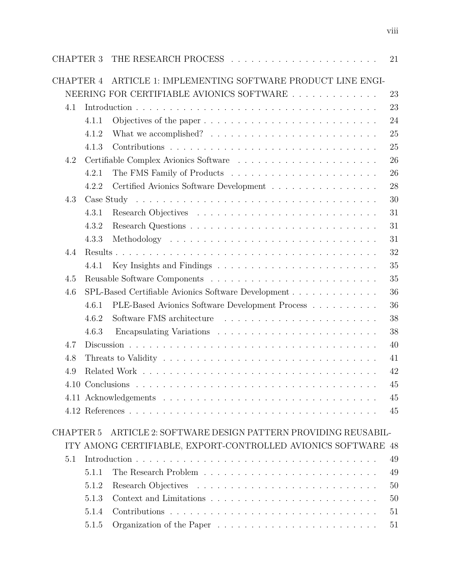|                  |       |                                                                                 | 21 |
|------------------|-------|---------------------------------------------------------------------------------|----|
| CHAPTER 4        |       | ARTICLE 1: IMPLEMENTING SOFTWARE PRODUCT LINE ENGI-                             |    |
|                  |       | NEERING FOR CERTIFIABLE AVIONICS SOFTWARE                                       | 23 |
| 4.1              |       |                                                                                 | 23 |
|                  | 4.1.1 |                                                                                 | 24 |
|                  | 4.1.2 | What we accomplished? $\ldots \ldots \ldots \ldots \ldots \ldots \ldots \ldots$ | 25 |
|                  | 4.1.3 |                                                                                 | 25 |
| 4.2              |       |                                                                                 | 26 |
|                  | 4.2.1 |                                                                                 | 26 |
|                  | 4.2.2 | Certified Avionics Software Development                                         | 28 |
| 4.3              |       |                                                                                 | 30 |
|                  | 4.3.1 |                                                                                 | 31 |
|                  | 4.3.2 |                                                                                 | 31 |
|                  | 4.3.3 |                                                                                 | 31 |
| 4.4              |       |                                                                                 | 32 |
|                  | 4.4.1 |                                                                                 | 35 |
| 4.5              |       |                                                                                 | 35 |
| 4.6              |       |                                                                                 | 36 |
|                  | 4.6.1 | PLE-Based Avionics Software Development Process                                 | 36 |
|                  | 4.6.2 |                                                                                 | 38 |
|                  | 4.6.3 |                                                                                 | 38 |
| 4.7              |       |                                                                                 | 40 |
| 4.8              |       |                                                                                 | 41 |
| 4.9              |       |                                                                                 | 42 |
|                  |       |                                                                                 | 45 |
|                  |       |                                                                                 | 45 |
|                  |       |                                                                                 | 45 |
|                  |       |                                                                                 |    |
| <b>CHAPTER 5</b> |       | ARTICLE 2: SOFTWARE DESIGN PATTERN PROVIDING REUSABIL-                          |    |
|                  |       | ITY AMONG CERTIFIABLE, EXPORT-CONTROLLED AVIONICS SOFTWARE 48                   |    |
| 5.1              |       |                                                                                 | 49 |
|                  | 5.1.1 |                                                                                 | 49 |
|                  | 5.1.2 |                                                                                 | 50 |
|                  | 5.1.3 |                                                                                 | 50 |
|                  | 5.1.4 |                                                                                 | 51 |
|                  | 5.1.5 |                                                                                 | 51 |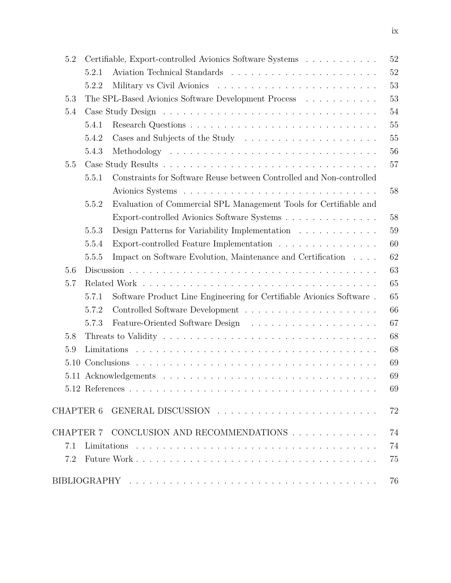| 5.2  |                                                     | Certifiable, Export-controlled Avionics Software Systems             | 52 |
|------|-----------------------------------------------------|----------------------------------------------------------------------|----|
|      | 5.2.1                                               |                                                                      | 52 |
|      | 5.2.2                                               |                                                                      | 53 |
| 5.3  | The SPL-Based Avionics Software Development Process |                                                                      |    |
| 5.4  |                                                     |                                                                      | 54 |
|      | 5.4.1                                               |                                                                      | 55 |
|      | 5.4.2                                               | Cases and Subjects of the Study                                      | 55 |
|      | 5.4.3                                               |                                                                      | 56 |
| 5.5  |                                                     |                                                                      | 57 |
|      | 5.5.1                                               | Constraints for Software Reuse between Controlled and Non-controlled |    |
|      |                                                     |                                                                      | 58 |
|      | 5.5.2                                               | Evaluation of Commercial SPL Management Tools for Certifiable and    |    |
|      |                                                     | Export-controlled Avionics Software Systems                          | 58 |
|      | 5.5.3                                               | Design Patterns for Variability Implementation                       | 59 |
|      | 5.5.4                                               | Export-controlled Feature Implementation                             | 60 |
|      | 5.5.5                                               | Impact on Software Evolution, Maintenance and Certification          | 62 |
| 5.6  |                                                     |                                                                      | 63 |
| 5.7  |                                                     |                                                                      | 65 |
|      | 5.7.1                                               | Software Product Line Engineering for Certifiable Avionics Software. | 65 |
|      | 5.7.2                                               |                                                                      | 66 |
|      | 5.7.3                                               |                                                                      | 67 |
| 5.8  |                                                     |                                                                      | 68 |
| 5.9  |                                                     |                                                                      | 68 |
| 5.10 |                                                     |                                                                      | 69 |
|      |                                                     |                                                                      | 69 |
|      |                                                     |                                                                      | 69 |
|      |                                                     |                                                                      | 72 |
|      |                                                     | CHAPTER 7 CONCLUSION AND RECOMMENDATIONS                             | 74 |
| 7.1  |                                                     |                                                                      | 74 |
| 7.2  |                                                     |                                                                      | 75 |
|      |                                                     |                                                                      | 76 |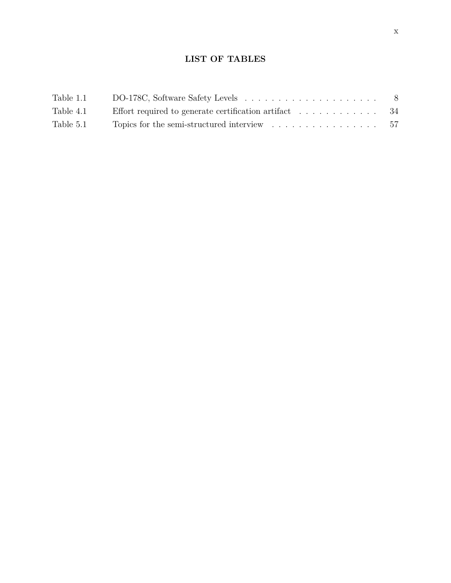## **LIST OF TABLES**

<span id="page-9-0"></span>

| Table 1.1 |                                                                                         | - 8 |
|-----------|-----------------------------------------------------------------------------------------|-----|
| Table 4.1 | Effort required to generate certification artifact $\ldots \ldots \ldots \ldots$ 34     |     |
| Table 5.1 | Topics for the semi-structured interview $\ldots \ldots \ldots \ldots \ldots \ldots 57$ |     |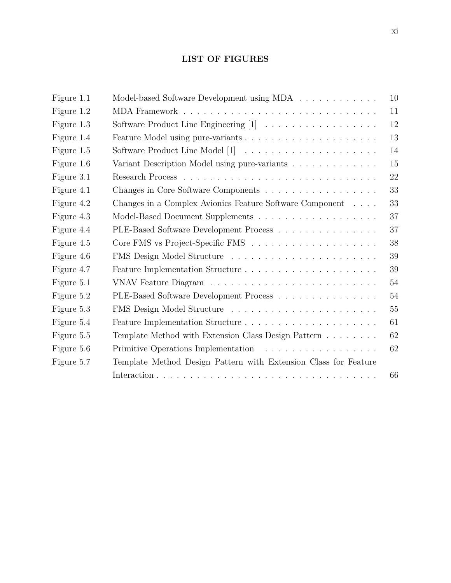## **LIST OF FIGURES**

<span id="page-10-0"></span>

| Figure 1.1 | Model-based Software Development using MDA                      | 10     |
|------------|-----------------------------------------------------------------|--------|
| Figure 1.2 |                                                                 | 11     |
| Figure 1.3 | Software Product Line Engineering [1]                           | $12\,$ |
| Figure 1.4 |                                                                 | 13     |
| Figure 1.5 |                                                                 | 14     |
| Figure 1.6 | Variant Description Model using pure-variants                   | 15     |
| Figure 3.1 |                                                                 | 22     |
| Figure 4.1 | Changes in Core Software Components                             | 33     |
| Figure 4.2 | Changes in a Complex Avionics Feature Software Component        | 33     |
| Figure 4.3 |                                                                 | 37     |
| Figure 4.4 | PLE-Based Software Development Process                          | 37     |
| Figure 4.5 |                                                                 | 38     |
| Figure 4.6 | FMS Design Model Structure                                      | 39     |
| Figure 4.7 |                                                                 | 39     |
| Figure 5.1 |                                                                 | 54     |
| Figure 5.2 | PLE-Based Software Development Process                          | 54     |
| Figure 5.3 |                                                                 | 55     |
| Figure 5.4 |                                                                 | 61     |
| Figure 5.5 | Template Method with Extension Class Design Pattern             | 62     |
| Figure 5.6 |                                                                 | 62     |
| Figure 5.7 | Template Method Design Pattern with Extension Class for Feature |        |
|            |                                                                 | 66     |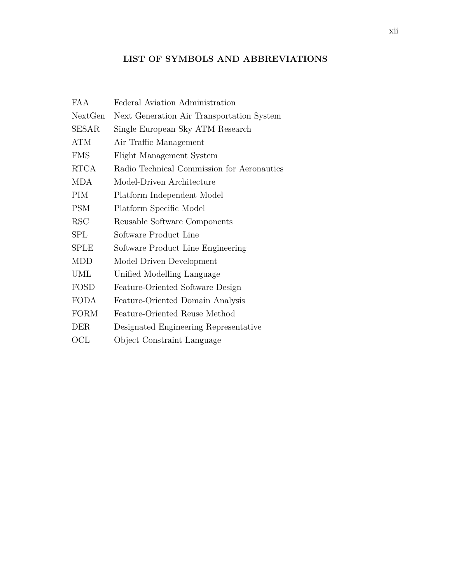## **LIST OF SYMBOLS AND ABBREVIATIONS**

<span id="page-11-0"></span>

| FA A        | Federal Aviation Administration            |
|-------------|--------------------------------------------|
| NextGen     | Next Generation Air Transportation System  |
| SESAR       | Single European Sky ATM Research           |
| ATM         | Air Traffic Management                     |
| <b>FMS</b>  | Flight Management System                   |
| <b>RTCA</b> | Radio Technical Commission for Aeronautics |
| <b>MDA</b>  | Model-Driven Architecture                  |
| PIM         | Platform Independent Model                 |
| <b>PSM</b>  | Platform Specific Model                    |
| <b>RSC</b>  | Reusable Software Components               |
| SPL         | Software Product Line                      |
| <b>SPLE</b> | Software Product Line Engineering          |
| MDD         | Model Driven Development                   |
| UML         | Unified Modelling Language                 |
| <b>FOSD</b> | Feature-Oriented Software Design           |
| <b>FODA</b> | Feature-Oriented Domain Analysis           |
| <b>FORM</b> | Feature-Oriented Reuse Method              |
| DER         | Designated Engineering Representative      |
| OCL         | Object Constraint Language                 |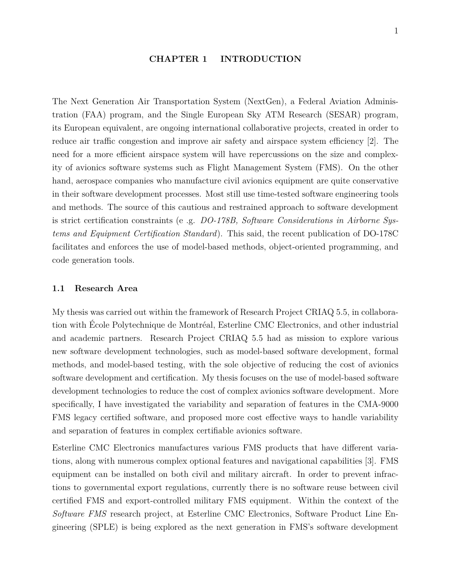#### **CHAPTER 1 INTRODUCTION**

<span id="page-12-0"></span>The Next Generation Air Transportation System (NextGen), a Federal Aviation Administration (FAA) program, and the Single European Sky ATM Research (SESAR) program, its European equivalent, are ongoing international collaborative projects, created in order to reduce air traffic congestion and improve air safety and airspace system efficiency [\[2\]](#page-87-2). The need for a more efficient airspace system will have repercussions on the size and complexity of avionics software systems such as Flight Management System (FMS). On the other hand, aerospace companies who manufacture civil avionics equipment are quite conservative in their software development processes. Most still use time-tested software engineering tools and methods. The source of this cautious and restrained approach to software development is strict certification constraints (e .g. *DO-178B, Software Considerations in Airborne Systems and Equipment Certification Standard*). This said, the recent publication of DO-178C facilitates and enforces the use of model-based methods, object-oriented programming, and code generation tools.

### <span id="page-12-1"></span>**1.1 Research Area**

My thesis was carried out within the framework of Research Project CRIAQ 5.5, in collaboration with École Polytechnique de Montréal, Esterline CMC Electronics, and other industrial and academic partners. Research Project CRIAQ 5.5 had as mission to explore various new software development technologies, such as model-based software development, formal methods, and model-based testing, with the sole objective of reducing the cost of avionics software development and certification. My thesis focuses on the use of model-based software development technologies to reduce the cost of complex avionics software development. More specifically, I have investigated the variability and separation of features in the CMA-9000 FMS legacy certified software, and proposed more cost effective ways to handle variability and separation of features in complex certifiable avionics software.

Esterline CMC Electronics manufactures various FMS products that have different variations, along with numerous complex optional features and navigational capabilities [\[3\]](#page-87-3). FMS equipment can be installed on both civil and military aircraft. In order to prevent infractions to governmental export regulations, currently there is no software reuse between civil certified FMS and export-controlled military FMS equipment. Within the context of the *Software FMS* research project, at Esterline CMC Electronics, Software Product Line Engineering (SPLE) is being explored as the next generation in FMS's software development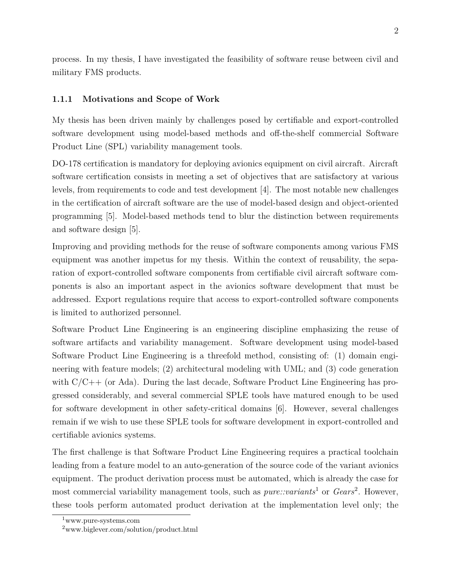process. In my thesis, I have investigated the feasibility of software reuse between civil and military FMS products.

### <span id="page-13-0"></span>**1.1.1 Motivations and Scope of Work**

My thesis has been driven mainly by challenges posed by certifiable and export-controlled software development using model-based methods and off-the-shelf commercial Software Product Line (SPL) variability management tools.

DO-178 certification is mandatory for deploying avionics equipment on civil aircraft. Aircraft software certification consists in meeting a set of objectives that are satisfactory at various levels, from requirements to code and test development [\[4\]](#page-87-4). The most notable new challenges in the certification of aircraft software are the use of model-based design and object-oriented programming [\[5\]](#page-87-5). Model-based methods tend to blur the distinction between requirements and software design [\[5\]](#page-87-5).

Improving and providing methods for the reuse of software components among various FMS equipment was another impetus for my thesis. Within the context of reusability, the separation of export-controlled software components from certifiable civil aircraft software components is also an important aspect in the avionics software development that must be addressed. Export regulations require that access to export-controlled software components is limited to authorized personnel.

Software Product Line Engineering is an engineering discipline emphasizing the reuse of software artifacts and variability management. Software development using model-based Software Product Line Engineering is a threefold method, consisting of: (1) domain engineering with feature models; (2) architectural modeling with UML; and (3) code generation with  $C/C++$  (or Ada). During the last decade, Software Product Line Engineering has progressed considerably, and several commercial SPLE tools have matured enough to be used for software development in other safety-critical domains [\[6\]](#page-87-6). However, several challenges remain if we wish to use these SPLE tools for software development in export-controlled and certifiable avionics systems.

The first challenge is that Software Product Line Engineering requires a practical toolchain leading from a feature model to an auto-generation of the source code of the variant avionics equipment. The product derivation process must be automated, which is already the case for most commercial variability management tools, such as *pure::variants*[1](#page-13-1) or *Gears*[2](#page-13-2) . However, these tools perform automated product derivation at the implementation level only; the

<span id="page-13-1"></span><sup>1</sup>www.pure-systems.com

<span id="page-13-2"></span><sup>2</sup>www.biglever.com/solution/product.html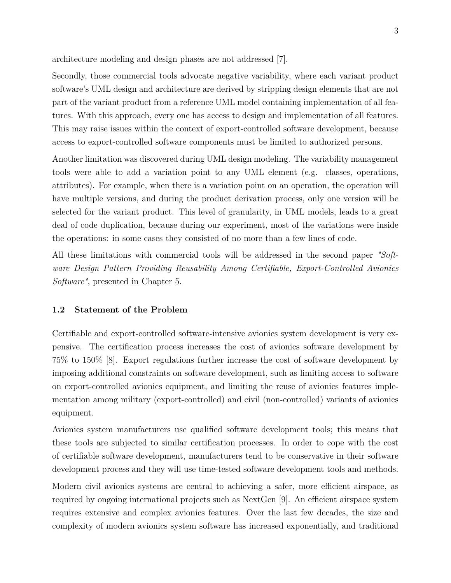architecture modeling and design phases are not addressed [\[7\]](#page-87-7).

Secondly, those commercial tools advocate negative variability, where each variant product software's UML design and architecture are derived by stripping design elements that are not part of the variant product from a reference UML model containing implementation of all features. With this approach, every one has access to design and implementation of all features. This may raise issues within the context of export-controlled software development, because access to export-controlled software components must be limited to authorized persons.

Another limitation was discovered during UML design modeling. The variability management tools were able to add a variation point to any UML element (e.g. classes, operations, attributes). For example, when there is a variation point on an operation, the operation will have multiple versions, and during the product derivation process, only one version will be selected for the variant product. This level of granularity, in UML models, leads to a great deal of code duplication, because during our experiment, most of the variations were inside the operations: in some cases they consisted of no more than a few lines of code.

All these limitations with commercial tools will be addressed in the second paper *"Software Design Pattern Providing Reusability Among Certifiable, Export-Controlled Avionics Software"*, presented in Chapter 5.

#### <span id="page-14-0"></span>**1.2 Statement of the Problem**

Certifiable and export-controlled software-intensive avionics system development is very expensive. The certification process increases the cost of avionics software development by 75% to 150% [\[8\]](#page-87-8). Export regulations further increase the cost of software development by imposing additional constraints on software development, such as limiting access to software on export-controlled avionics equipment, and limiting the reuse of avionics features implementation among military (export-controlled) and civil (non-controlled) variants of avionics equipment.

Avionics system manufacturers use qualified software development tools; this means that these tools are subjected to similar certification processes. In order to cope with the cost of certifiable software development, manufacturers tend to be conservative in their software development process and they will use time-tested software development tools and methods.

Modern civil avionics systems are central to achieving a safer, more efficient airspace, as required by ongoing international projects such as NextGen [\[9\]](#page-87-9). An efficient airspace system requires extensive and complex avionics features. Over the last few decades, the size and complexity of modern avionics system software has increased exponentially, and traditional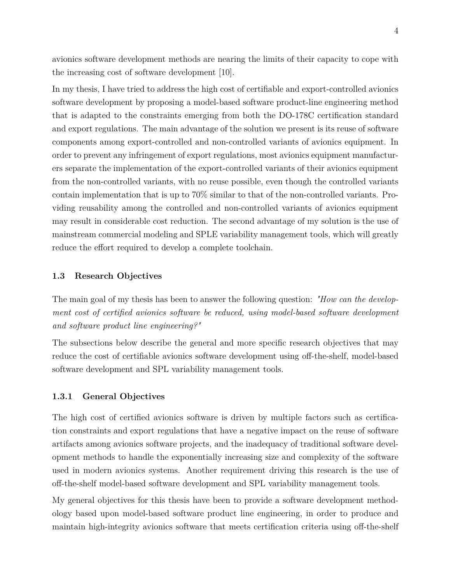avionics software development methods are nearing the limits of their capacity to cope with the increasing cost of software development [\[10\]](#page-87-10).

In my thesis, I have tried to address the high cost of certifiable and export-controlled avionics software development by proposing a model-based software product-line engineering method that is adapted to the constraints emerging from both the DO-178C certification standard and export regulations. The main advantage of the solution we present is its reuse of software components among export-controlled and non-controlled variants of avionics equipment. In order to prevent any infringement of export regulations, most avionics equipment manufacturers separate the implementation of the export-controlled variants of their avionics equipment from the non-controlled variants, with no reuse possible, even though the controlled variants contain implementation that is up to 70% similar to that of the non-controlled variants. Providing reusability among the controlled and non-controlled variants of avionics equipment may result in considerable cost reduction. The second advantage of my solution is the use of mainstream commercial modeling and SPLE variability management tools, which will greatly reduce the effort required to develop a complete toolchain.

#### <span id="page-15-0"></span>**1.3 Research Objectives**

The main goal of my thesis has been to answer the following question: *"How can the development cost of certified avionics software be reduced, using model-based software development and software product line engineering?"*

The subsections below describe the general and more specific research objectives that may reduce the cost of certifiable avionics software development using off-the-shelf, model-based software development and SPL variability management tools.

### <span id="page-15-1"></span>**1.3.1 General Objectives**

The high cost of certified avionics software is driven by multiple factors such as certification constraints and export regulations that have a negative impact on the reuse of software artifacts among avionics software projects, and the inadequacy of traditional software development methods to handle the exponentially increasing size and complexity of the software used in modern avionics systems. Another requirement driving this research is the use of off-the-shelf model-based software development and SPL variability management tools.

My general objectives for this thesis have been to provide a software development methodology based upon model-based software product line engineering, in order to produce and maintain high-integrity avionics software that meets certification criteria using off-the-shelf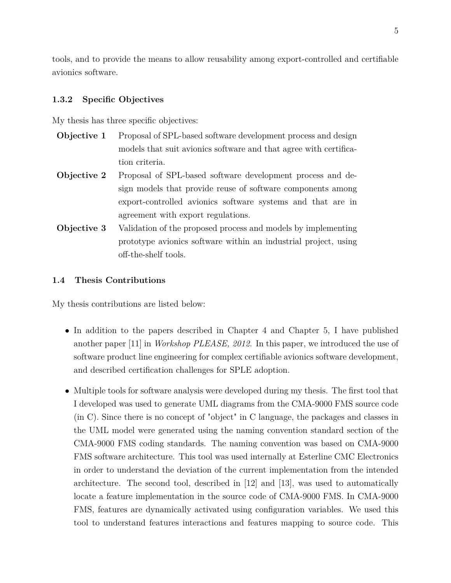tools, and to provide the means to allow reusability among export-controlled and certifiable avionics software.

### <span id="page-16-0"></span>**1.3.2 Specific Objectives**

My thesis has three specific objectives:

- **Objective 1** Proposal of SPL-based software development process and design models that suit avionics software and that agree with certification criteria.
- **Objective 2** Proposal of SPL-based software development process and design models that provide reuse of software components among export-controlled avionics software systems and that are in agreement with export regulations.
- **Objective 3** Validation of the proposed process and models by implementing prototype avionics software within an industrial project, using off-the-shelf tools.

### <span id="page-16-1"></span>**1.4 Thesis Contributions**

My thesis contributions are listed below:

- In addition to the papers described in Chapter 4 and Chapter 5, I have published another paper [\[11\]](#page-87-11) in *Workshop PLEASE, 2012*. In this paper, we introduced the use of software product line engineering for complex certifiable avionics software development, and described certification challenges for SPLE adoption.
- Multiple tools for software analysis were developed during my thesis. The first tool that I developed was used to generate UML diagrams from the CMA-9000 FMS source code (in C). Since there is no concept of "object" in C language, the packages and classes in the UML model were generated using the naming convention standard section of the CMA-9000 FMS coding standards. The naming convention was based on CMA-9000 FMS software architecture. This tool was used internally at Esterline CMC Electronics in order to understand the deviation of the current implementation from the intended architecture. The second tool, described in [\[12\]](#page-87-12) and [\[13\]](#page-88-0), was used to automatically locate a feature implementation in the source code of CMA-9000 FMS. In CMA-9000 FMS, features are dynamically activated using configuration variables. We used this tool to understand features interactions and features mapping to source code. This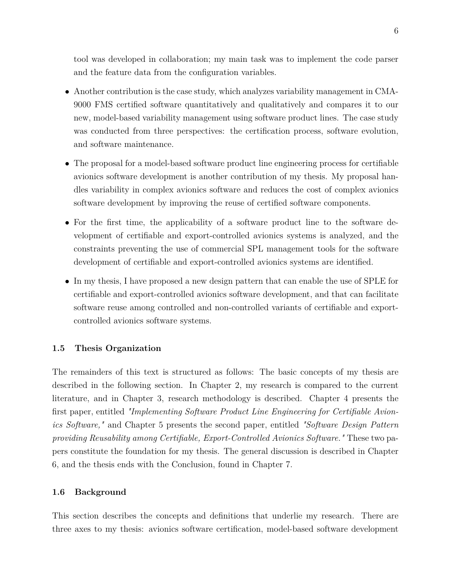tool was developed in collaboration; my main task was to implement the code parser and the feature data from the configuration variables.

- Another contribution is the case study, which analyzes variability management in CMA-9000 FMS certified software quantitatively and qualitatively and compares it to our new, model-based variability management using software product lines. The case study was conducted from three perspectives: the certification process, software evolution, and software maintenance.
- The proposal for a model-based software product line engineering process for certifiable avionics software development is another contribution of my thesis. My proposal handles variability in complex avionics software and reduces the cost of complex avionics software development by improving the reuse of certified software components.
- For the first time, the applicability of a software product line to the software development of certifiable and export-controlled avionics systems is analyzed, and the constraints preventing the use of commercial SPL management tools for the software development of certifiable and export-controlled avionics systems are identified.
- In my thesis, I have proposed a new design pattern that can enable the use of SPLE for certifiable and export-controlled avionics software development, and that can facilitate software reuse among controlled and non-controlled variants of certifiable and exportcontrolled avionics software systems.

### <span id="page-17-0"></span>**1.5 Thesis Organization**

The remainders of this text is structured as follows: The basic concepts of my thesis are described in the following section. In Chapter 2, my research is compared to the current literature, and in Chapter 3, research methodology is described. Chapter 4 presents the first paper, entitled *"Implementing Software Product Line Engineering for Certifiable Avionics Software,"* and Chapter 5 presents the second paper, entitled *"Software Design Pattern providing Reusability among Certifiable, Export-Controlled Avionics Software."* These two papers constitute the foundation for my thesis. The general discussion is described in Chapter 6, and the thesis ends with the Conclusion, found in Chapter 7.

### <span id="page-17-1"></span>**1.6 Background**

This section describes the concepts and definitions that underlie my research. There are three axes to my thesis: avionics software certification, model-based software development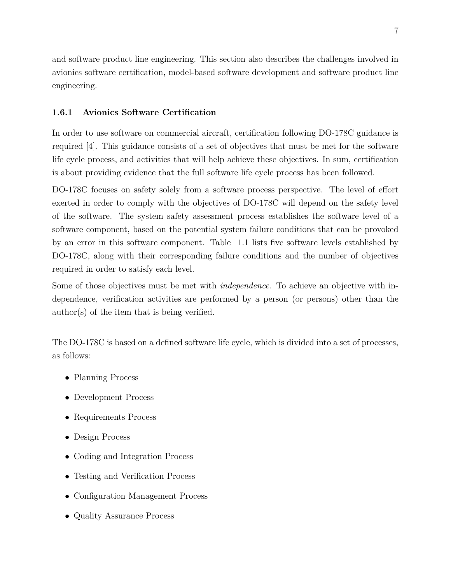and software product line engineering. This section also describes the challenges involved in avionics software certification, model-based software development and software product line engineering.

## <span id="page-18-0"></span>**1.6.1 Avionics Software Certification**

In order to use software on commercial aircraft, certification following DO-178C guidance is required [\[4\]](#page-87-4). This guidance consists of a set of objectives that must be met for the software life cycle process, and activities that will help achieve these objectives. In sum, certification is about providing evidence that the full software life cycle process has been followed.

DO-178C focuses on safety solely from a software process perspective. The level of effort exerted in order to comply with the objectives of DO-178C will depend on the safety level of the software. The system safety assessment process establishes the software level of a software component, based on the potential system failure conditions that can be provoked by an error in this software component. Table [1.1](#page-19-0) lists five software levels established by DO-178C, along with their corresponding failure conditions and the number of objectives required in order to satisfy each level.

Some of those objectives must be met with *independence*. To achieve an objective with independence, verification activities are performed by a person (or persons) other than the author(s) of the item that is being verified.

The DO-178C is based on a defined software life cycle, which is divided into a set of processes, as follows:

- Planning Process
- Development Process
- Requirements Process
- Design Process
- Coding and Integration Process
- Testing and Verification Process
- Configuration Management Process
- Quality Assurance Process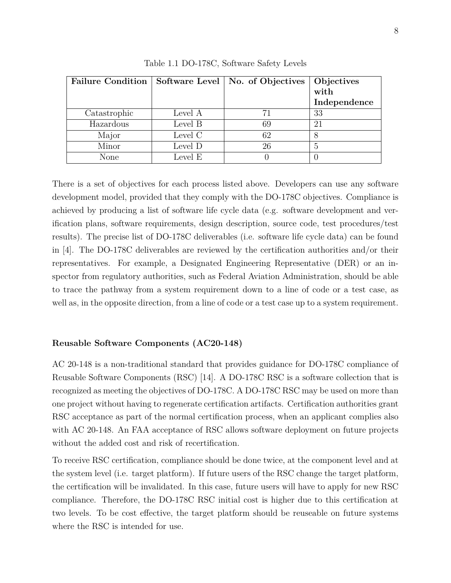<span id="page-19-0"></span>

| <b>Failure Condition</b> |         | Software Level   No. of Objectives | Objectives   |
|--------------------------|---------|------------------------------------|--------------|
|                          |         |                                    | with         |
|                          |         |                                    | Independence |
| Catastrophic             | Level A | 71                                 | 33           |
| Hazardous                | Level B | 69                                 | 21           |
| Major                    | Level C | 62                                 |              |
| Minor                    | Level D | 26                                 | 5            |
| None                     | Level E |                                    |              |

Table 1.1 DO-178C, Software Safety Levels

There is a set of objectives for each process listed above. Developers can use any software development model, provided that they comply with the DO-178C objectives. Compliance is achieved by producing a list of software life cycle data (e.g. software development and verification plans, software requirements, design description, source code, test procedures/test results). The precise list of DO-178C deliverables (i.e. software life cycle data) can be found in [\[4\]](#page-87-4). The DO-178C deliverables are reviewed by the certification authorities and/or their representatives. For example, a Designated Engineering Representative (DER) or an inspector from regulatory authorities, such as Federal Aviation Administration, should be able to trace the pathway from a system requirement down to a line of code or a test case, as well as, in the opposite direction, from a line of code or a test case up to a system requirement.

## **Reusable Software Components (AC20-148)**

AC 20-148 is a non-traditional standard that provides guidance for DO-178C compliance of Reusable Software Components (RSC) [\[14\]](#page-88-1). A DO-178C RSC is a software collection that is recognized as meeting the objectives of DO-178C. A DO-178C RSC may be used on more than one project without having to regenerate certification artifacts. Certification authorities grant RSC acceptance as part of the normal certification process, when an applicant complies also with AC 20-148. An FAA acceptance of RSC allows software deployment on future projects without the added cost and risk of recertification.

To receive RSC certification, compliance should be done twice, at the component level and at the system level (i.e. target platform). If future users of the RSC change the target platform, the certification will be invalidated. In this case, future users will have to apply for new RSC compliance. Therefore, the DO-178C RSC initial cost is higher due to this certification at two levels. To be cost effective, the target platform should be reuseable on future systems where the RSC is intended for use.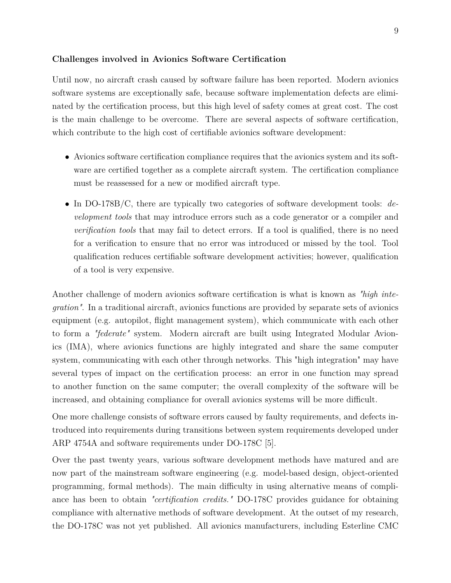### **Challenges involved in Avionics Software Certification**

Until now, no aircraft crash caused by software failure has been reported. Modern avionics software systems are exceptionally safe, because software implementation defects are eliminated by the certification process, but this high level of safety comes at great cost. The cost is the main challenge to be overcome. There are several aspects of software certification, which contribute to the high cost of certifiable avionics software development:

- Avionics software certification compliance requires that the avionics system and its software are certified together as a complete aircraft system. The certification compliance must be reassessed for a new or modified aircraft type.
- In DO-178B/C, there are typically two categories of software development tools: *development tools* that may introduce errors such as a code generator or a compiler and *verification tools* that may fail to detect errors. If a tool is qualified, there is no need for a verification to ensure that no error was introduced or missed by the tool. Tool qualification reduces certifiable software development activities; however, qualification of a tool is very expensive.

Another challenge of modern avionics software certification is what is known as *"high integration"*. In a traditional aircraft, avionics functions are provided by separate sets of avionics equipment (e.g. autopilot, flight management system), which communicate with each other to form a *"federate"* system. Modern aircraft are built using Integrated Modular Avionics (IMA), where avionics functions are highly integrated and share the same computer system, communicating with each other through networks. This "high integration" may have several types of impact on the certification process: an error in one function may spread to another function on the same computer; the overall complexity of the software will be increased, and obtaining compliance for overall avionics systems will be more difficult.

One more challenge consists of software errors caused by faulty requirements, and defects introduced into requirements during transitions between system requirements developed under ARP 4754A and software requirements under DO-178C [\[5\]](#page-87-5).

Over the past twenty years, various software development methods have matured and are now part of the mainstream software engineering (e.g. model-based design, object-oriented programming, formal methods). The main difficulty in using alternative means of compliance has been to obtain *"certification credits."* DO-178C provides guidance for obtaining compliance with alternative methods of software development. At the outset of my research, the DO-178C was not yet published. All avionics manufacturers, including Esterline CMC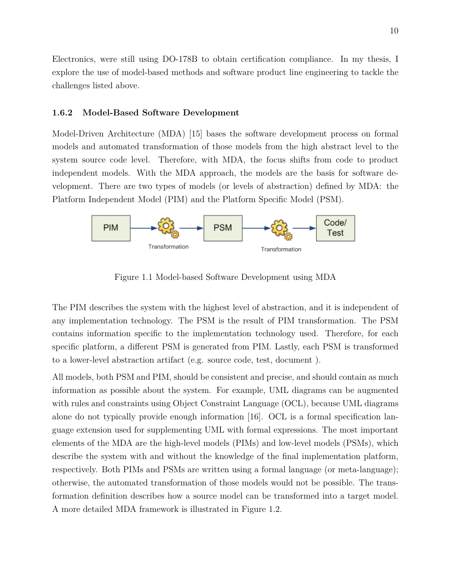Electronics, were still using DO-178B to obtain certification compliance. In my thesis, I explore the use of model-based methods and software product line engineering to tackle the challenges listed above.

#### <span id="page-21-0"></span>**1.6.2 Model-Based Software Development**

Model-Driven Architecture (MDA) [\[15\]](#page-88-2) bases the software development process on formal models and automated transformation of those models from the high abstract level to the system source code level. Therefore, with MDA, the focus shifts from code to product independent models. With the MDA approach, the models are the basis for software development. There are two types of models (or levels of abstraction) defined by MDA: the Platform Independent Model (PIM) and the Platform Specific Model (PSM).



<span id="page-21-1"></span>Figure 1.1 Model-based Software Development using MDA

The PIM describes the system with the highest level of abstraction, and it is independent of any implementation technology. The PSM is the result of PIM transformation. The PSM contains information specific to the implementation technology used. Therefore, for each specific platform, a different PSM is generated from PIM. Lastly, each PSM is transformed to a lower-level abstraction artifact (e.g. source code, test, document ).

All models, both PSM and PIM, should be consistent and precise, and should contain as much information as possible about the system. For example, UML diagrams can be augmented with rules and constraints using Object Constraint Language (OCL), because UML diagrams alone do not typically provide enough information [\[16\]](#page-88-3). OCL is a formal specification language extension used for supplementing UML with formal expressions. The most important elements of the MDA are the high-level models (PIMs) and low-level models (PSMs), which describe the system with and without the knowledge of the final implementation platform, respectively. Both PIMs and PSMs are written using a formal language (or meta-language); otherwise, the automated transformation of those models would not be possible. The transformation definition describes how a source model can be transformed into a target model. A more detailed MDA framework is illustrated in Figure [1.2.](#page-22-1)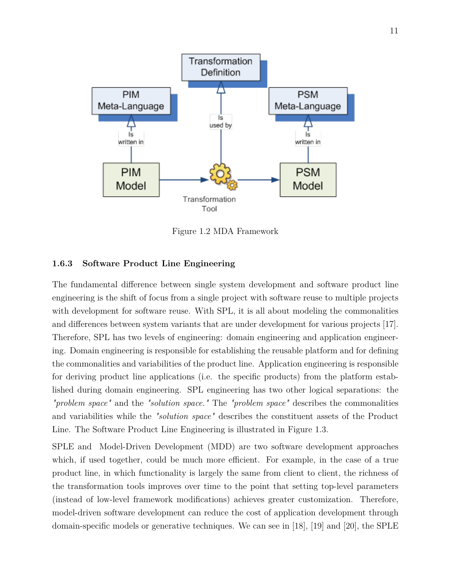

<span id="page-22-1"></span>Figure 1.2 MDA Framework

### <span id="page-22-0"></span>**1.6.3 Software Product Line Engineering**

The fundamental difference between single system development and software product line engineering is the shift of focus from a single project with software reuse to multiple projects with development for software reuse. With SPL, it is all about modeling the commonalities and differences between system variants that are under development for various projects [\[17\]](#page-88-4). Therefore, SPL has two levels of engineering: domain engineering and application engineering. Domain engineering is responsible for establishing the reusable platform and for defining the commonalities and variabilities of the product line. Application engineering is responsible for deriving product line applications (i.e. the specific products) from the platform established during domain engineering. SPL engineering has two other logical separations: the *"problem space"* and the *"solution space."* The *"problem space"* describes the commonalities and variabilities while the *"solution space"* describes the constituent assets of the Product Line. The Software Product Line Engineering is illustrated in Figure [1.3.](#page-23-0)

SPLE and Model-Driven Development (MDD) are two software development approaches which, if used together, could be much more efficient. For example, in the case of a true product line, in which functionality is largely the same from client to client, the richness of the transformation tools improves over time to the point that setting top-level parameters (instead of low-level framework modifications) achieves greater customization. Therefore, model-driven software development can reduce the cost of application development through domain-specific models or generative techniques. We can see in [\[18\]](#page-88-5), [\[19\]](#page-88-6) and [\[20\]](#page-88-7), the SPLE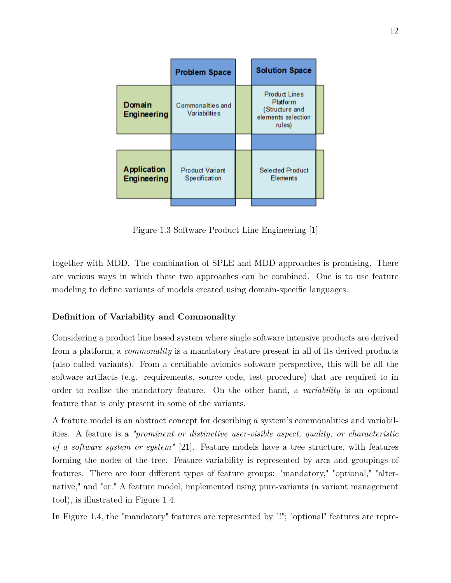|                              | <b>Problem Space</b>                           | <b>Solution Space</b>                                                              |  |
|------------------------------|------------------------------------------------|------------------------------------------------------------------------------------|--|
| Domain<br><b>Engineering</b> | Commonalities and<br><b>Variabilities</b>      | <b>Product Lines</b><br>Platform<br>(Structure and<br>elements selection<br>rules) |  |
|                              |                                                |                                                                                    |  |
| Application<br>Engineering   | <b>Product Variant</b><br><b>Specification</b> | <b>Selected Product</b><br><b>Elements</b>                                         |  |
|                              |                                                |                                                                                    |  |

<span id="page-23-0"></span>Figure 1.3 Software Product Line Engineering [\[1\]](#page-87-1)

together with MDD. The combination of SPLE and MDD approaches is promising. There are various ways in which these two approaches can be combined. One is to use feature modeling to define variants of models created using domain-specific languages.

#### **Definition of Variability and Commonality**

Considering a product line based system where single software intensive products are derived from a platform, a *commonality* is a mandatory feature present in all of its derived products (also called variants). From a certifiable avionics software perspective, this will be all the software artifacts (e.g. requirements, source code, test procedure) that are required to in order to realize the mandatory feature. On the other hand, a *variability* is an optional feature that is only present in some of the variants.

A feature model is an abstract concept for describing a system's commonalities and variabilities. A feature is a *"prominent or distinctive user-visible aspect, quality, or characteristic of a software system or system"* [\[21\]](#page-88-8). Feature models have a tree structure, with features forming the nodes of the tree. Feature variability is represented by arcs and groupings of features. There are four different types of feature groups: "mandatory," "optional," "alternative," and "or." A feature model, implemented using pure-variants (a variant management tool), is illustrated in Figure [1.4.](#page-24-1)

In Figure [1.4,](#page-24-1) the "mandatory" features are represented by "!"; "optional" features are repre-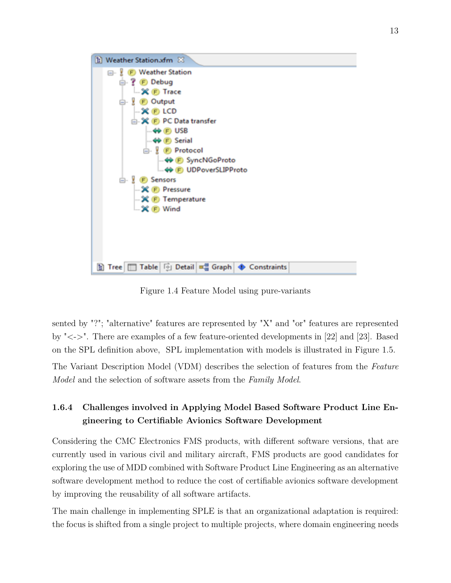

<span id="page-24-1"></span>Figure 1.4 Feature Model using pure-variants

sented by "?"; "alternative" features are represented by "X" and "or" features are represented by "<->". There are examples of a few feature-oriented developments in [\[22\]](#page-88-9) and [\[23\]](#page-88-10). Based on the SPL definition above, SPL implementation with models is illustrated in Figure [1.5.](#page-25-0)

The Variant Description Model (VDM) describes the selection of features from the *Feature Model* and the selection of software assets from the *Family Model*.

## <span id="page-24-0"></span>**1.6.4 Challenges involved in Applying Model Based Software Product Line Engineering to Certifiable Avionics Software Development**

Considering the CMC Electronics FMS products, with different software versions, that are currently used in various civil and military aircraft, FMS products are good candidates for exploring the use of MDD combined with Software Product Line Engineering as an alternative software development method to reduce the cost of certifiable avionics software development by improving the reusability of all software artifacts.

The main challenge in implementing SPLE is that an organizational adaptation is required: the focus is shifted from a single project to multiple projects, where domain engineering needs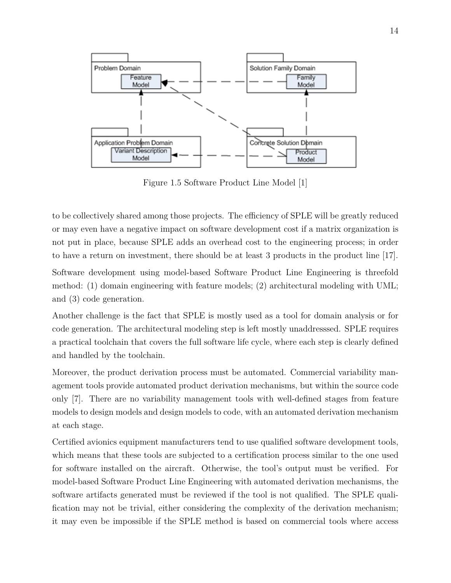

<span id="page-25-0"></span>Figure 1.5 Software Product Line Model [\[1\]](#page-87-1)

to be collectively shared among those projects. The efficiency of SPLE will be greatly reduced or may even have a negative impact on software development cost if a matrix organization is not put in place, because SPLE adds an overhead cost to the engineering process; in order to have a return on investment, there should be at least 3 products in the product line [\[17\]](#page-88-4).

Software development using model-based Software Product Line Engineering is threefold method: (1) domain engineering with feature models; (2) architectural modeling with UML; and (3) code generation.

Another challenge is the fact that SPLE is mostly used as a tool for domain analysis or for code generation. The architectural modeling step is left mostly unaddresssed. SPLE requires a practical toolchain that covers the full software life cycle, where each step is clearly defined and handled by the toolchain.

Moreover, the product derivation process must be automated. Commercial variability management tools provide automated product derivation mechanisms, but within the source code only [\[7\]](#page-87-7). There are no variability management tools with well-defined stages from feature models to design models and design models to code, with an automated derivation mechanism at each stage.

Certified avionics equipment manufacturers tend to use qualified software development tools, which means that these tools are subjected to a certification process similar to the one used for software installed on the aircraft. Otherwise, the tool's output must be verified. For model-based Software Product Line Engineering with automated derivation mechanisms, the software artifacts generated must be reviewed if the tool is not qualified. The SPLE qualification may not be trivial, either considering the complexity of the derivation mechanism; it may even be impossible if the SPLE method is based on commercial tools where access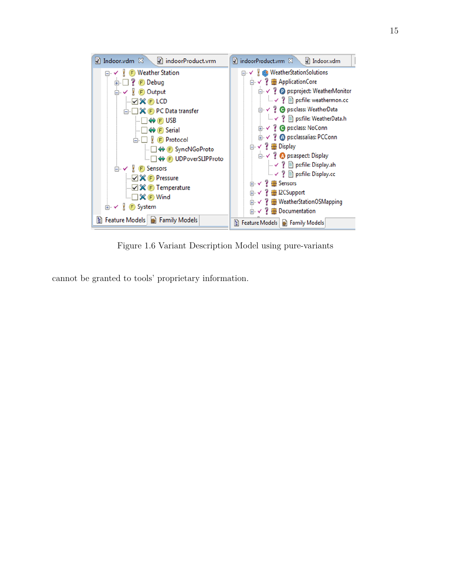

<span id="page-26-0"></span>Figure 1.6 Variant Description Model using pure-variants

cannot be granted to tools' proprietary information.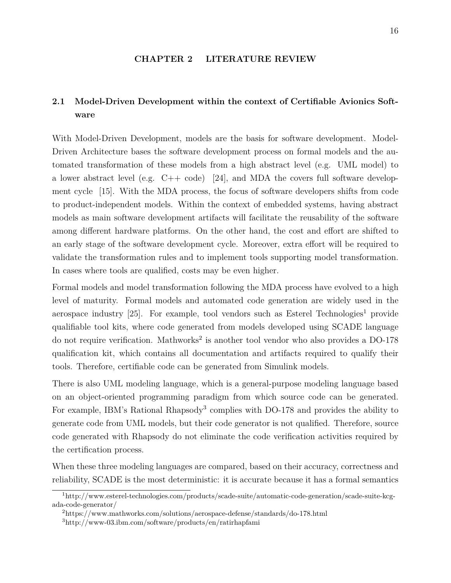#### **CHAPTER 2 LITERATURE REVIEW**

## <span id="page-27-1"></span><span id="page-27-0"></span>**2.1 Model-Driven Development within the context of Certifiable Avionics Software**

With Model-Driven Development, models are the basis for software development. Model-Driven Architecture bases the software development process on formal models and the automated transformation of these models from a high abstract level (e.g. UML model) to a lower abstract level (e.g. C++ code) [\[24\]](#page-88-11), and MDA the covers full software development cycle [\[15\]](#page-88-2). With the MDA process, the focus of software developers shifts from code to product-independent models. Within the context of embedded systems, having abstract models as main software development artifacts will facilitate the reusability of the software among different hardware platforms. On the other hand, the cost and effort are shifted to an early stage of the software development cycle. Moreover, extra effort will be required to validate the transformation rules and to implement tools supporting model transformation. In cases where tools are qualified, costs may be even higher.

Formal models and model transformation following the MDA process have evolved to a high level of maturity. Formal models and automated code generation are widely used in the aerospace industry  $[25]$ . For example, tool vendors such as Esterel Technologies<sup>[1](#page-27-2)</sup> provide qualifiable tool kits, where code generated from models developed using SCADE language do not require verification. Mathworks<sup>[2](#page-27-3)</sup> is another tool vendor who also provides a DO-178 qualification kit, which contains all documentation and artifacts required to qualify their tools. Therefore, certifiable code can be generated from Simulink models.

There is also UML modeling language, which is a general-purpose modeling language based on an object-oriented programming paradigm from which source code can be generated. For example, IBM's Rational Rhapsody<sup>[3](#page-27-4)</sup> complies with DO-178 and provides the ability to generate code from UML models, but their code generator is not qualified. Therefore, source code generated with Rhapsody do not eliminate the code verification activities required by the certification process.

When these three modeling languages are compared, based on their accuracy, correctness and reliability, SCADE is the most deterministic: it is accurate because it has a formal semantics

<span id="page-27-2"></span><sup>1</sup>http://www.esterel-technologies.com/products/scade-suite/automatic-code-generation/scade-suite-kcgada-code-generator/

<span id="page-27-3"></span><sup>2</sup>https://www.mathworks.com/solutions/aerospace-defense/standards/do-178.html

<span id="page-27-4"></span><sup>3</sup>http://www-03.ibm.com/software/products/en/ratirhapfami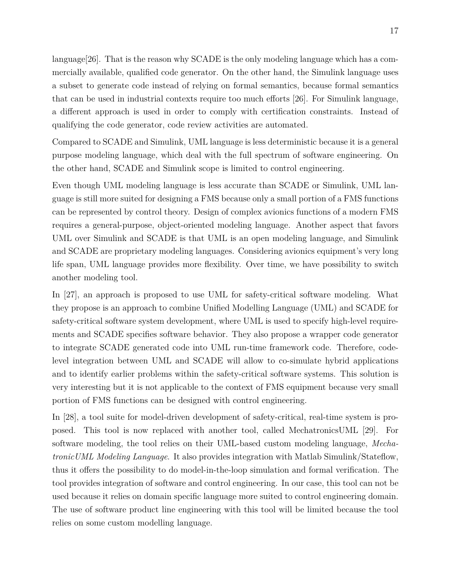language  $26$ . That is the reason why SCADE is the only modeling language which has a commercially available, qualified code generator. On the other hand, the Simulink language uses a subset to generate code instead of relying on formal semantics, because formal semantics that can be used in industrial contexts require too much efforts [\[26\]](#page-89-0). For Simulink language, a different approach is used in order to comply with certification constraints. Instead of qualifying the code generator, code review activities are automated.

Compared to SCADE and Simulink, UML language is less deterministic because it is a general purpose modeling language, which deal with the full spectrum of software engineering. On the other hand, SCADE and Simulink scope is limited to control engineering.

Even though UML modeling language is less accurate than SCADE or Simulink, UML language is still more suited for designing a FMS because only a small portion of a FMS functions can be represented by control theory. Design of complex avionics functions of a modern FMS requires a general-purpose, object-oriented modeling language. Another aspect that favors UML over Simulink and SCADE is that UML is an open modeling language, and Simulink and SCADE are proprietary modeling languages. Considering avionics equipment's very long life span, UML language provides more flexibility. Over time, we have possibility to switch another modeling tool.

In [\[27\]](#page-89-1), an approach is proposed to use UML for safety-critical software modeling. What they propose is an approach to combine Unified Modelling Language (UML) and SCADE for safety-critical software system development, where UML is used to specify high-level requirements and SCADE specifies software behavior. They also propose a wrapper code generator to integrate SCADE generated code into UML run-time framework code. Therefore, codelevel integration between UML and SCADE will allow to co-simulate hybrid applications and to identify earlier problems within the safety-critical software systems. This solution is very interesting but it is not applicable to the context of FMS equipment because very small portion of FMS functions can be designed with control engineering.

In [\[28\]](#page-89-2), a tool suite for model-driven development of safety-critical, real-time system is proposed. This tool is now replaced with another tool, called MechatronicsUML [\[29\]](#page-89-3). For software modeling, the tool relies on their UML-based custom modeling language, *MechatronicUML Modeling Language*. It also provides integration with Matlab Simulink/Stateflow, thus it offers the possibility to do model-in-the-loop simulation and formal verification. The tool provides integration of software and control engineering. In our case, this tool can not be used because it relies on domain specific language more suited to control engineering domain. The use of software product line engineering with this tool will be limited because the tool relies on some custom modelling language.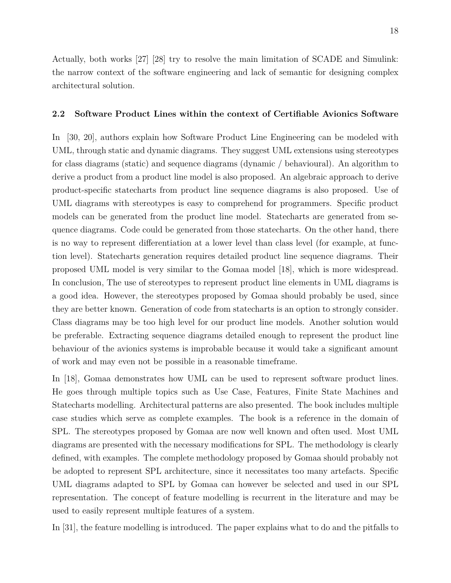Actually, both works [\[27\]](#page-89-1) [\[28\]](#page-89-2) try to resolve the main limitation of SCADE and Simulink: the narrow context of the software engineering and lack of semantic for designing complex architectural solution.

### <span id="page-29-0"></span>**2.2 Software Product Lines within the context of Certifiable Avionics Software**

In [\[30,](#page-89-4) [20\]](#page-88-7), authors explain how Software Product Line Engineering can be modeled with UML, through static and dynamic diagrams. They suggest UML extensions using stereotypes for class diagrams (static) and sequence diagrams (dynamic / behavioural). An algorithm to derive a product from a product line model is also proposed. An algebraic approach to derive product-specific statecharts from product line sequence diagrams is also proposed. Use of UML diagrams with stereotypes is easy to comprehend for programmers. Specific product models can be generated from the product line model. Statecharts are generated from sequence diagrams. Code could be generated from those statecharts. On the other hand, there is no way to represent differentiation at a lower level than class level (for example, at function level). Statecharts generation requires detailed product line sequence diagrams. Their proposed UML model is very similar to the Gomaa model [\[18\]](#page-88-5), which is more widespread. In conclusion, The use of stereotypes to represent product line elements in UML diagrams is a good idea. However, the stereotypes proposed by Gomaa should probably be used, since they are better known. Generation of code from statecharts is an option to strongly consider. Class diagrams may be too high level for our product line models. Another solution would be preferable. Extracting sequence diagrams detailed enough to represent the product line behaviour of the avionics systems is improbable because it would take a significant amount of work and may even not be possible in a reasonable timeframe.

In [\[18\]](#page-88-5), Gomaa demonstrates how UML can be used to represent software product lines. He goes through multiple topics such as Use Case, Features, Finite State Machines and Statecharts modelling. Architectural patterns are also presented. The book includes multiple case studies which serve as complete examples. The book is a reference in the domain of SPL. The stereotypes proposed by Gomaa are now well known and often used. Most UML diagrams are presented with the necessary modifications for SPL. The methodology is clearly defined, with examples. The complete methodology proposed by Gomaa should probably not be adopted to represent SPL architecture, since it necessitates too many artefacts. Specific UML diagrams adapted to SPL by Gomaa can however be selected and used in our SPL representation. The concept of feature modelling is recurrent in the literature and may be used to easily represent multiple features of a system.

In [\[31\]](#page-89-5), the feature modelling is introduced. The paper explains what to do and the pitfalls to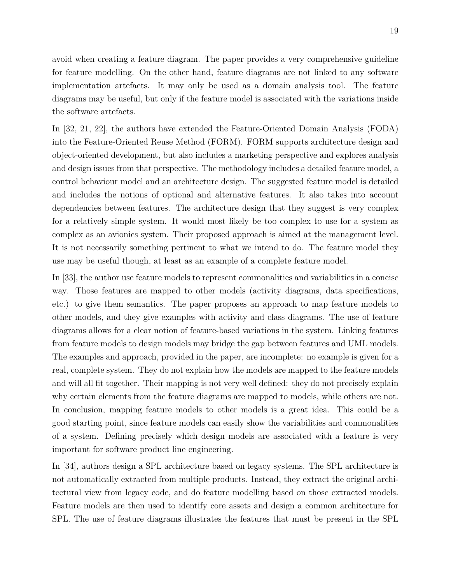avoid when creating a feature diagram. The paper provides a very comprehensive guideline for feature modelling. On the other hand, feature diagrams are not linked to any software implementation artefacts. It may only be used as a domain analysis tool. The feature diagrams may be useful, but only if the feature model is associated with the variations inside the software artefacts.

In [\[32,](#page-89-6) [21,](#page-88-8) [22\]](#page-88-9), the authors have extended the Feature-Oriented Domain Analysis (FODA) into the Feature-Oriented Reuse Method (FORM). FORM supports architecture design and object-oriented development, but also includes a marketing perspective and explores analysis and design issues from that perspective. The methodology includes a detailed feature model, a control behaviour model and an architecture design. The suggested feature model is detailed and includes the notions of optional and alternative features. It also takes into account dependencies between features. The architecture design that they suggest is very complex for a relatively simple system. It would most likely be too complex to use for a system as complex as an avionics system. Their proposed approach is aimed at the management level. It is not necessarily something pertinent to what we intend to do. The feature model they use may be useful though, at least as an example of a complete feature model.

In [\[33\]](#page-89-7), the author use feature models to represent commonalities and variabilities in a concise way. Those features are mapped to other models (activity diagrams, data specifications, etc.) to give them semantics. The paper proposes an approach to map feature models to other models, and they give examples with activity and class diagrams. The use of feature diagrams allows for a clear notion of feature-based variations in the system. Linking features from feature models to design models may bridge the gap between features and UML models. The examples and approach, provided in the paper, are incomplete: no example is given for a real, complete system. They do not explain how the models are mapped to the feature models and will all fit together. Their mapping is not very well defined: they do not precisely explain why certain elements from the feature diagrams are mapped to models, while others are not. In conclusion, mapping feature models to other models is a great idea. This could be a good starting point, since feature models can easily show the variabilities and commonalities of a system. Defining precisely which design models are associated with a feature is very important for software product line engineering.

In [\[34\]](#page-89-8), authors design a SPL architecture based on legacy systems. The SPL architecture is not automatically extracted from multiple products. Instead, they extract the original architectural view from legacy code, and do feature modelling based on those extracted models. Feature models are then used to identify core assets and design a common architecture for SPL. The use of feature diagrams illustrates the features that must be present in the SPL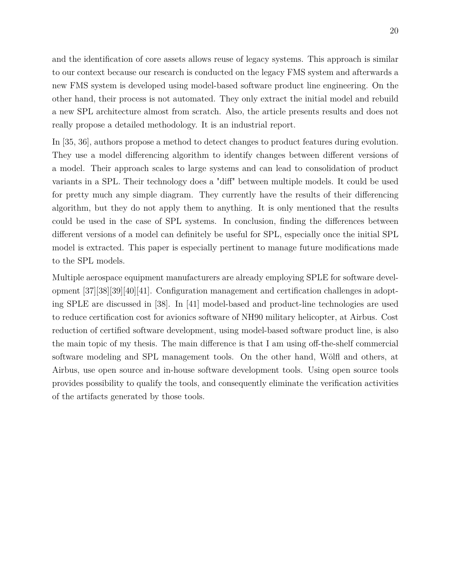and the identification of core assets allows reuse of legacy systems. This approach is similar to our context because our research is conducted on the legacy FMS system and afterwards a new FMS system is developed using model-based software product line engineering. On the other hand, their process is not automated. They only extract the initial model and rebuild a new SPL architecture almost from scratch. Also, the article presents results and does not really propose a detailed methodology. It is an industrial report.

In [\[35,](#page-89-9) [36\]](#page-89-10), authors propose a method to detect changes to product features during evolution. They use a model differencing algorithm to identify changes between different versions of a model. Their approach scales to large systems and can lead to consolidation of product variants in a SPL. Their technology does a "diff" between multiple models. It could be used for pretty much any simple diagram. They currently have the results of their differencing algorithm, but they do not apply them to anything. It is only mentioned that the results could be used in the case of SPL systems. In conclusion, finding the differences between different versions of a model can definitely be useful for SPL, especially once the initial SPL model is extracted. This paper is especially pertinent to manage future modifications made to the SPL models.

Multiple aerospace equipment manufacturers are already employing SPLE for software development [\[37\]](#page-89-11)[\[38\]](#page-90-0)[\[39\]](#page-90-1)[\[40\]](#page-90-2)[\[41\]](#page-90-3). Configuration management and certification challenges in adopting SPLE are discussed in [\[38\]](#page-90-0). In [\[41\]](#page-90-3) model-based and product-line technologies are used to reduce certification cost for avionics software of NH90 military helicopter, at Airbus. Cost reduction of certified software development, using model-based software product line, is also the main topic of my thesis. The main difference is that I am using off-the-shelf commercial software modeling and SPL management tools. On the other hand, Wölfl and others, at Airbus, use open source and in-house software development tools. Using open source tools provides possibility to qualify the tools, and consequently eliminate the verification activities of the artifacts generated by those tools.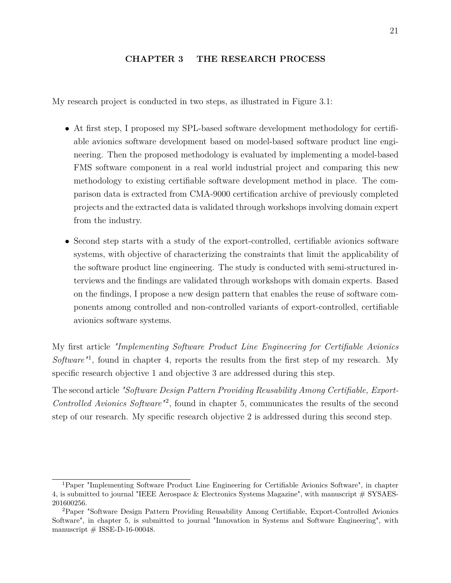### **CHAPTER 3 THE RESEARCH PROCESS**

<span id="page-32-0"></span>My research project is conducted in two steps, as illustrated in Figure [3.1:](#page-33-0)

- At first step, I proposed my SPL-based software development methodology for certifiable avionics software development based on model-based software product line engineering. Then the proposed methodology is evaluated by implementing a model-based FMS software component in a real world industrial project and comparing this new methodology to existing certifiable software development method in place. The comparison data is extracted from CMA-9000 certification archive of previously completed projects and the extracted data is validated through workshops involving domain expert from the industry.
- Second step starts with a study of the export-controlled, certifiable avionics software systems, with objective of characterizing the constraints that limit the applicability of the software product line engineering. The study is conducted with semi-structured interviews and the findings are validated through workshops with domain experts. Based on the findings, I propose a new design pattern that enables the reuse of software components among controlled and non-controlled variants of export-controlled, certifiable avionics software systems.

My first article *"Implementing Software Product Line Engineering for Certifiable Avionics* Software<sup>"[1](#page-32-1)</sup>, found in chapter 4, reports the results from the first step of my research. My specific research objective 1 and objective 3 are addressed during this step.

The second article *"Software Design Pattern Providing Reusability Among Certifiable, Export-Controlled Avionics Software"*[2](#page-32-2) , found in chapter 5, communicates the results of the second step of our research. My specific research objective 2 is addressed during this second step.

<span id="page-32-1"></span><sup>1</sup>Paper "Implementing Software Product Line Engineering for Certifiable Avionics Software", in chapter 4, is submitted to journal "IEEE Aerospace & Electronics Systems Magazine", with manuscript # SYSAES-201600256.

<span id="page-32-2"></span><sup>2</sup>Paper "Software Design Pattern Providing Reusability Among Certifiable, Export-Controlled Avionics Software", in chapter 5, is submitted to journal "Innovation in Systems and Software Engineering", with manuscript  $\#$  ISSE-D-16-00048.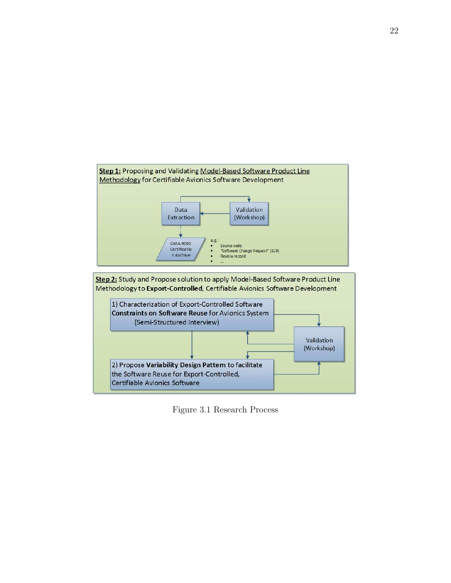

<span id="page-33-0"></span>Figure 3.1 Research Process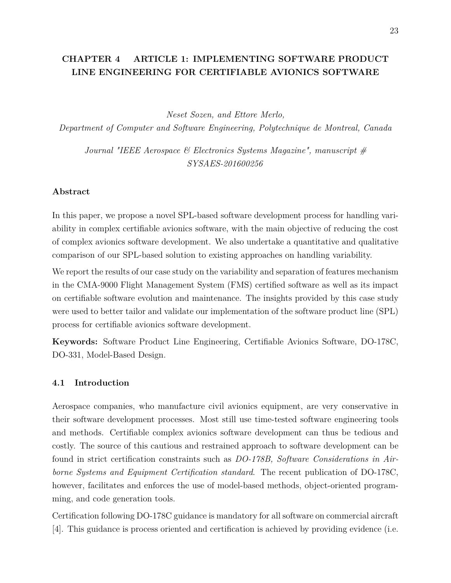## <span id="page-34-0"></span>**CHAPTER 4 ARTICLE 1: IMPLEMENTING SOFTWARE PRODUCT LINE ENGINEERING FOR CERTIFIABLE AVIONICS SOFTWARE**

*Neset Sozen, and Ettore Merlo,*

*Department of Computer and Software Engineering, Polytechnique de Montreal, Canada*

*Journal "IEEE Aerospace & Electronics Systems Magazine", manuscript # SYSAES-201600256*

### **Abstract**

In this paper, we propose a novel SPL-based software development process for handling variability in complex certifiable avionics software, with the main objective of reducing the cost of complex avionics software development. We also undertake a quantitative and qualitative comparison of our SPL-based solution to existing approaches on handling variability.

We report the results of our case study on the variability and separation of features mechanism in the CMA-9000 Flight Management System (FMS) certified software as well as its impact on certifiable software evolution and maintenance. The insights provided by this case study were used to better tailor and validate our implementation of the software product line (SPL) process for certifiable avionics software development.

**Keywords:** Software Product Line Engineering, Certifiable Avionics Software, DO-178C, DO-331, Model-Based Design.

#### <span id="page-34-1"></span>**4.1 Introduction**

Aerospace companies, who manufacture civil avionics equipment, are very conservative in their software development processes. Most still use time-tested software engineering tools and methods. Certifiable complex avionics software development can thus be tedious and costly. The source of this cautious and restrained approach to software development can be found in strict certification constraints such as *DO-178B, Software Considerations in Airborne Systems and Equipment Certification standard*. The recent publication of DO-178C, however, facilitates and enforces the use of model-based methods, object-oriented programming, and code generation tools.

Certification following DO-178C guidance is mandatory for all software on commercial aircraft [\[4\]](#page-87-4). This guidance is process oriented and certification is achieved by providing evidence (i.e.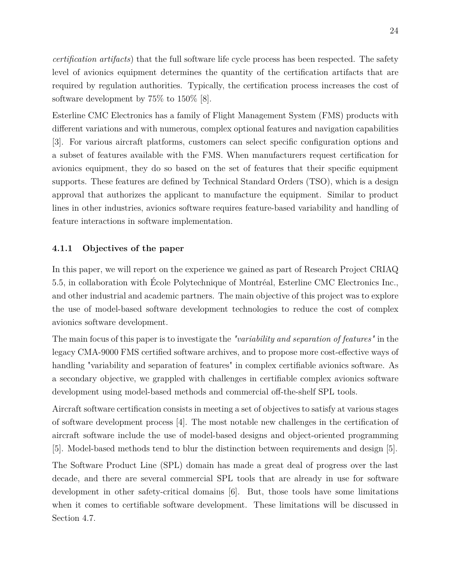*certification artifacts*) that the full software life cycle process has been respected. The safety level of avionics equipment determines the quantity of the certification artifacts that are required by regulation authorities. Typically, the certification process increases the cost of software development by 75% to 150% [\[8\]](#page-87-8).

Esterline CMC Electronics has a family of Flight Management System (FMS) products with different variations and with numerous, complex optional features and navigation capabilities [\[3\]](#page-87-3). For various aircraft platforms, customers can select specific configuration options and a subset of features available with the FMS. When manufacturers request certification for avionics equipment, they do so based on the set of features that their specific equipment supports. These features are defined by Technical Standard Orders (TSO), which is a design approval that authorizes the applicant to manufacture the equipment. Similar to product lines in other industries, avionics software requires feature-based variability and handling of feature interactions in software implementation.

#### <span id="page-35-0"></span>**4.1.1 Objectives of the paper**

In this paper, we will report on the experience we gained as part of Research Project CRIAQ 5.5, in collaboration with École Polytechnique of Montréal, Esterline CMC Electronics Inc., and other industrial and academic partners. The main objective of this project was to explore the use of model-based software development technologies to reduce the cost of complex avionics software development.

The main focus of this paper is to investigate the *"variability and separation of features"* in the legacy CMA-9000 FMS certified software archives, and to propose more cost-effective ways of handling "variability and separation of features" in complex certifiable avionics software. As a secondary objective, we grappled with challenges in certifiable complex avionics software development using model-based methods and commercial off-the-shelf SPL tools.

Aircraft software certification consists in meeting a set of objectives to satisfy at various stages of software development process [\[4\]](#page-87-4). The most notable new challenges in the certification of aircraft software include the use of model-based designs and object-oriented programming [\[5\]](#page-87-5). Model-based methods tend to blur the distinction between requirements and design [\[5\]](#page-87-5).

The Software Product Line (SPL) domain has made a great deal of progress over the last decade, and there are several commercial SPL tools that are already in use for software development in other safety-critical domains [\[6\]](#page-87-6). But, those tools have some limitations when it comes to certifiable software development. These limitations will be discussed in Section [4.7.](#page-51-0)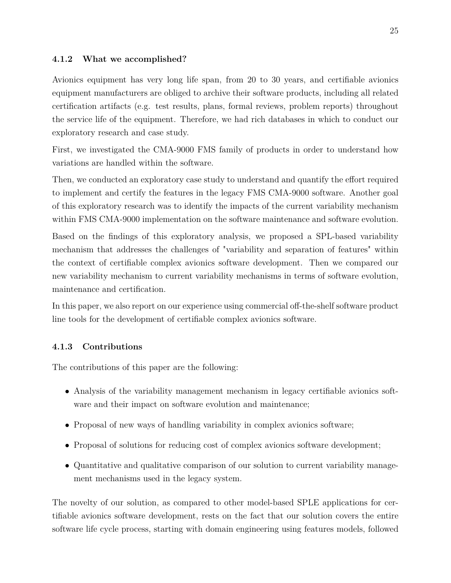# **4.1.2 What we accomplished?**

Avionics equipment has very long life span, from 20 to 30 years, and certifiable avionics equipment manufacturers are obliged to archive their software products, including all related certification artifacts (e.g. test results, plans, formal reviews, problem reports) throughout the service life of the equipment. Therefore, we had rich databases in which to conduct our exploratory research and case study.

First, we investigated the CMA-9000 FMS family of products in order to understand how variations are handled within the software.

Then, we conducted an exploratory case study to understand and quantify the effort required to implement and certify the features in the legacy FMS CMA-9000 software. Another goal of this exploratory research was to identify the impacts of the current variability mechanism within FMS CMA-9000 implementation on the software maintenance and software evolution.

Based on the findings of this exploratory analysis, we proposed a SPL-based variability mechanism that addresses the challenges of "variability and separation of features" within the context of certifiable complex avionics software development. Then we compared our new variability mechanism to current variability mechanisms in terms of software evolution, maintenance and certification.

In this paper, we also report on our experience using commercial off-the-shelf software product line tools for the development of certifiable complex avionics software.

# **4.1.3 Contributions**

The contributions of this paper are the following:

- Analysis of the variability management mechanism in legacy certifiable avionics software and their impact on software evolution and maintenance;
- Proposal of new ways of handling variability in complex avionics software;
- Proposal of solutions for reducing cost of complex avionics software development;
- Quantitative and qualitative comparison of our solution to current variability management mechanisms used in the legacy system.

The novelty of our solution, as compared to other model-based SPLE applications for certifiable avionics software development, rests on the fact that our solution covers the entire software life cycle process, starting with domain engineering using features models, followed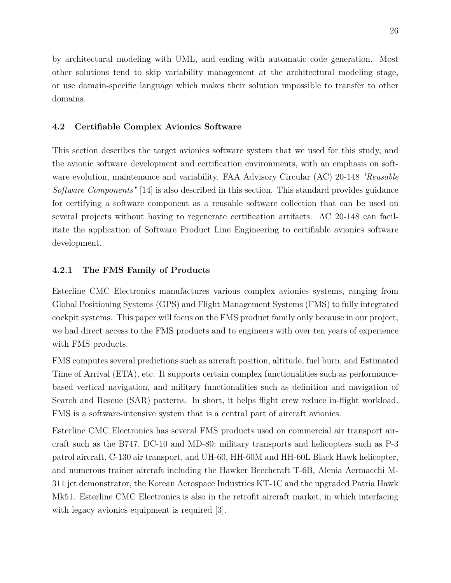by architectural modeling with UML, and ending with automatic code generation. Most other solutions tend to skip variability management at the architectural modeling stage, or use domain-specific language which makes their solution impossible to transfer to other domains.

#### **4.2 Certifiable Complex Avionics Software**

This section describes the target avionics software system that we used for this study, and the avionic software development and certification environments, with an emphasis on software evolution, maintenance and variability. FAA Advisory Circular (AC) 20-148 *"Reusable Software Components"* [\[14\]](#page-88-0) is also described in this section. This standard provides guidance for certifying a software component as a reusable software collection that can be used on several projects without having to regenerate certification artifacts. AC 20-148 can facilitate the application of Software Product Line Engineering to certifiable avionics software development.

#### **4.2.1 The FMS Family of Products**

Esterline CMC Electronics manufactures various complex avionics systems, ranging from Global Positioning Systems (GPS) and Flight Management Systems (FMS) to fully integrated cockpit systems. This paper will focus on the FMS product family only because in our project, we had direct access to the FMS products and to engineers with over ten years of experience with FMS products.

FMS computes several predictions such as aircraft position, altitude, fuel burn, and Estimated Time of Arrival (ETA), etc. It supports certain complex functionalities such as performancebased vertical navigation, and military functionalities such as definition and navigation of Search and Rescue (SAR) patterns. In short, it helps flight crew reduce in-flight workload. FMS is a software-intensive system that is a central part of aircraft avionics.

Esterline CMC Electronics has several FMS products used on commercial air transport aircraft such as the B747, DC-10 and MD-80; military transports and helicopters such as P-3 patrol aircraft, C-130 air transport, and UH-60, HH-60M and HH-60L Black Hawk helicopter, and numerous trainer aircraft including the Hawker Beechcraft T-6B, Alenia Aermacchi M-311 jet demonstrator, the Korean Aerospace Industries KT-1C and the upgraded Patria Hawk Mk51. Esterline CMC Electronics is also in the retrofit aircraft market, in which interfacing with legacy avionics equipment is required [\[3\]](#page-87-0).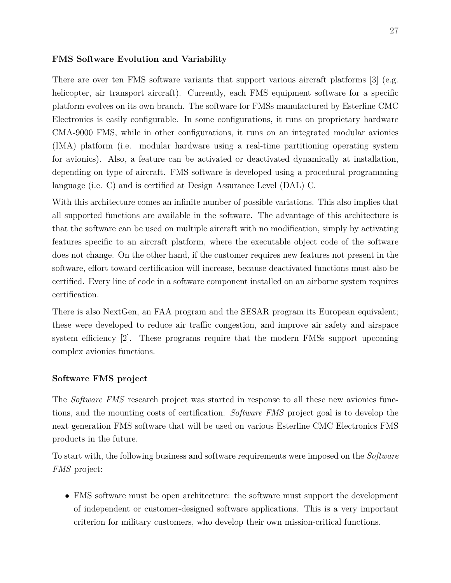### **FMS Software Evolution and Variability**

There are over ten FMS software variants that support various aircraft platforms [\[3\]](#page-87-0) (e.g. helicopter, air transport aircraft). Currently, each FMS equipment software for a specific platform evolves on its own branch. The software for FMSs manufactured by Esterline CMC Electronics is easily configurable. In some configurations, it runs on proprietary hardware CMA-9000 FMS, while in other configurations, it runs on an integrated modular avionics (IMA) platform (i.e. modular hardware using a real-time partitioning operating system for avionics). Also, a feature can be activated or deactivated dynamically at installation, depending on type of aircraft. FMS software is developed using a procedural programming language (i.e. C) and is certified at Design Assurance Level (DAL) C.

With this architecture comes an infinite number of possible variations. This also implies that all supported functions are available in the software. The advantage of this architecture is that the software can be used on multiple aircraft with no modification, simply by activating features specific to an aircraft platform, where the executable object code of the software does not change. On the other hand, if the customer requires new features not present in the software, effort toward certification will increase, because deactivated functions must also be certified. Every line of code in a software component installed on an airborne system requires certification.

There is also NextGen, an FAA program and the SESAR program its European equivalent; these were developed to reduce air traffic congestion, and improve air safety and airspace system efficiency [\[2\]](#page-87-1). These programs require that the modern FMSs support upcoming complex avionics functions.

### **Software FMS project**

The *Software FMS* research project was started in response to all these new avionics functions, and the mounting costs of certification. *Software FMS* project goal is to develop the next generation FMS software that will be used on various Esterline CMC Electronics FMS products in the future.

To start with, the following business and software requirements were imposed on the *Software FMS* project:

• FMS software must be open architecture: the software must support the development of independent or customer-designed software applications. This is a very important criterion for military customers, who develop their own mission-critical functions.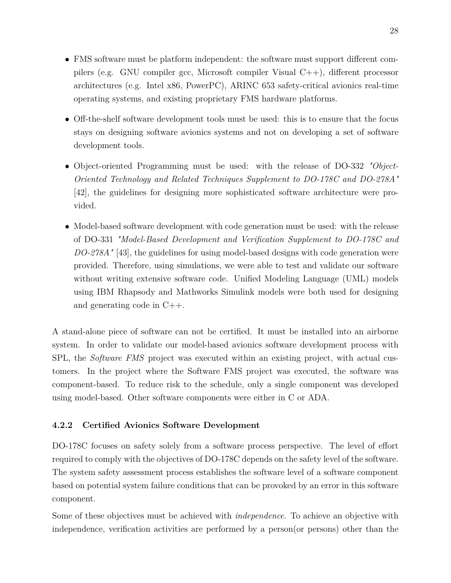- FMS software must be platform independent: the software must support different compilers (e.g. GNU compiler gcc, Microsoft compiler Visual C++), different processor architectures (e.g. Intel x86, PowerPC), ARINC 653 safety-critical avionics real-time operating systems, and existing proprietary FMS hardware platforms.
- Off-the-shelf software development tools must be used: this is to ensure that the focus stays on designing software avionics systems and not on developing a set of software development tools.
- Object-oriented Programming must be used: with the release of DO-332 *"Object-Oriented Technology and Related Techniques Supplement to DO-178C and DO-278A"* [\[42\]](#page-90-0), the guidelines for designing more sophisticated software architecture were provided.
- Model-based software development with code generation must be used: with the release of DO-331 *"Model-Based Development and Verification Supplement to DO-178C and DO-278A"* [\[43\]](#page-90-1), the guidelines for using model-based designs with code generation were provided. Therefore, using simulations, we were able to test and validate our software without writing extensive software code. Unified Modeling Language (UML) models using IBM Rhapsody and Mathworks Simulink models were both used for designing and generating code in C++.

A stand-alone piece of software can not be certified. It must be installed into an airborne system. In order to validate our model-based avionics software development process with SPL, the *Software FMS* project was executed within an existing project, with actual customers. In the project where the Software FMS project was executed, the software was component-based. To reduce risk to the schedule, only a single component was developed using model-based. Other software components were either in C or ADA.

# **4.2.2 Certified Avionics Software Development**

DO-178C focuses on safety solely from a software process perspective. The level of effort required to comply with the objectives of DO-178C depends on the safety level of the software. The system safety assessment process establishes the software level of a software component based on potential system failure conditions that can be provoked by an error in this software component.

Some of these objectives must be achieved with *independence*. To achieve an objective with independence, verification activities are performed by a person(or persons) other than the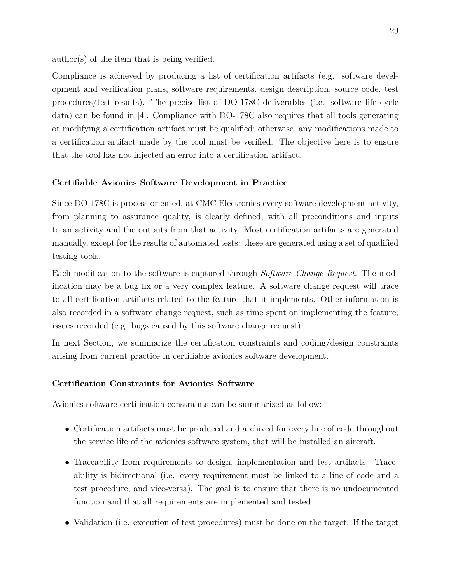author(s) of the item that is being verified.

Compliance is achieved by producing a list of certification artifacts (e.g. software development and verification plans, software requirements, design description, source code, test procedures/test results). The precise list of DO-178C deliverables (i.e. software life cycle data) can be found in [\[4\]](#page-87-2). Compliance with DO-178C also requires that all tools generating or modifying a certification artifact must be qualified; otherwise, any modifications made to a certification artifact made by the tool must be verified. The objective here is to ensure that the tool has not injected an error into a certification artifact.

### **Certifiable Avionics Software Development in Practice**

Since DO-178C is process oriented, at CMC Electronics every software development activity, from planning to assurance quality, is clearly defined, with all preconditions and inputs to an activity and the outputs from that activity. Most certification artifacts are generated manually, except for the results of automated tests: these are generated using a set of qualified testing tools.

Each modification to the software is captured through *Software Change Request*. The modification may be a bug fix or a very complex feature. A software change request will trace to all certification artifacts related to the feature that it implements. Other information is also recorded in a software change request, such as time spent on implementing the feature; issues recorded (e.g. bugs caused by this software change request).

In next Section, we summarize the certification constraints and coding/design constraints arising from current practice in certifiable avionics software development.

#### **Certification Constraints for Avionics Software**

Avionics software certification constraints can be summarized as follow:

- Certification artifacts must be produced and archived for every line of code throughout the service life of the avionics software system, that will be installed an aircraft.
- Traceability from requirements to design, implementation and test artifacts. Traceability is bidirectional (i.e. every requirement must be linked to a line of code and a test procedure, and vice-versa). The goal is to ensure that there is no undocumented function and that all requirements are implemented and tested.
- Validation (i.e. execution of test procedures) must be done on the target. If the target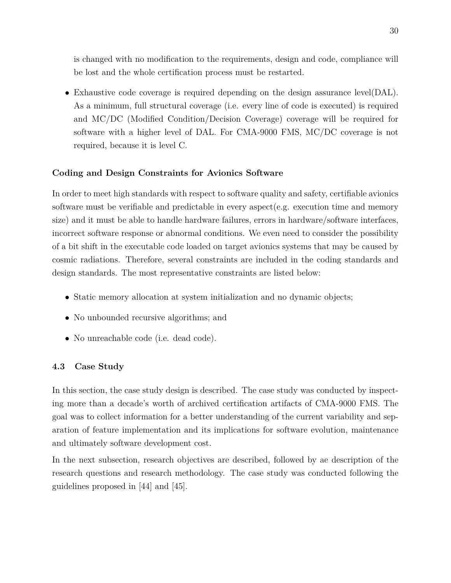is changed with no modification to the requirements, design and code, compliance will be lost and the whole certification process must be restarted.

• Exhaustive code coverage is required depending on the design assurance level(DAL). As a minimum, full structural coverage (i.e. every line of code is executed) is required and MC/DC (Modified Condition/Decision Coverage) coverage will be required for software with a higher level of DAL. For CMA-9000 FMS, MC/DC coverage is not required, because it is level C.

### **Coding and Design Constraints for Avionics Software**

In order to meet high standards with respect to software quality and safety, certifiable avionics software must be verifiable and predictable in every aspect(e.g. execution time and memory size) and it must be able to handle hardware failures, errors in hardware/software interfaces, incorrect software response or abnormal conditions. We even need to consider the possibility of a bit shift in the executable code loaded on target avionics systems that may be caused by cosmic radiations. Therefore, several constraints are included in the coding standards and design standards. The most representative constraints are listed below:

- Static memory allocation at system initialization and no dynamic objects;
- No unbounded recursive algorithms; and
- No unreachable code (i.e. dead code).

#### **4.3 Case Study**

In this section, the case study design is described. The case study was conducted by inspecting more than a decade's worth of archived certification artifacts of CMA-9000 FMS. The goal was to collect information for a better understanding of the current variability and separation of feature implementation and its implications for software evolution, maintenance and ultimately software development cost.

In the next subsection, research objectives are described, followed by ae description of the research questions and research methodology. The case study was conducted following the guidelines proposed in [\[44\]](#page-90-2) and [\[45\]](#page-90-3).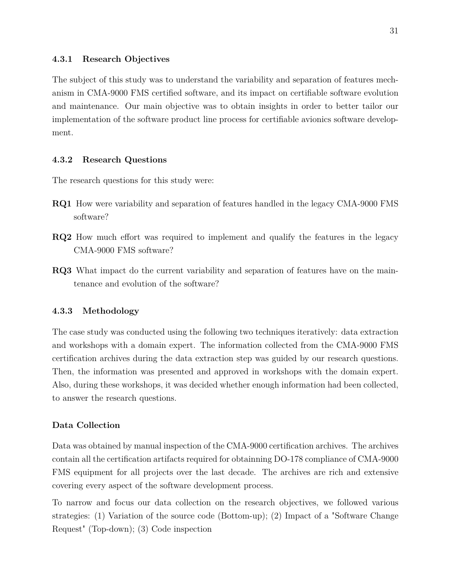The subject of this study was to understand the variability and separation of features mechanism in CMA-9000 FMS certified software, and its impact on certifiable software evolution and maintenance. Our main objective was to obtain insights in order to better tailor our implementation of the software product line process for certifiable avionics software development.

### **4.3.2 Research Questions**

The research questions for this study were:

- **RQ1** How were variability and separation of features handled in the legacy CMA-9000 FMS software?
- **RQ2** How much effort was required to implement and qualify the features in the legacy CMA-9000 FMS software?
- **RQ3** What impact do the current variability and separation of features have on the maintenance and evolution of the software?

#### **4.3.3 Methodology**

The case study was conducted using the following two techniques iteratively: data extraction and workshops with a domain expert. The information collected from the CMA-9000 FMS certification archives during the data extraction step was guided by our research questions. Then, the information was presented and approved in workshops with the domain expert. Also, during these workshops, it was decided whether enough information had been collected, to answer the research questions.

### **Data Collection**

Data was obtained by manual inspection of the CMA-9000 certification archives. The archives contain all the certification artifacts required for obtainning DO-178 compliance of CMA-9000 FMS equipment for all projects over the last decade. The archives are rich and extensive covering every aspect of the software development process.

To narrow and focus our data collection on the research objectives, we followed various strategies: (1) Variation of the source code (Bottom-up); (2) Impact of a "Software Change Request" (Top-down); (3) Code inspection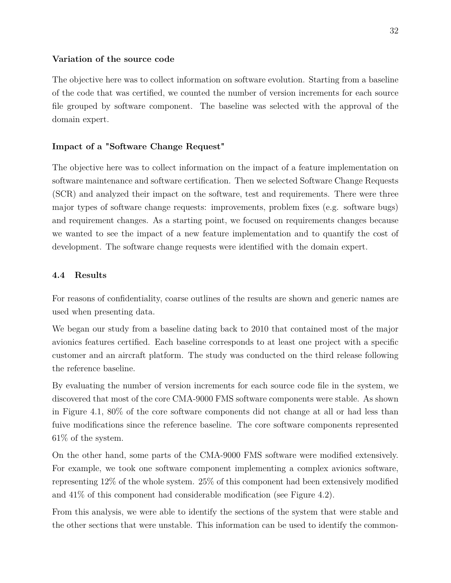#### **Variation of the source code**

The objective here was to collect information on software evolution. Starting from a baseline of the code that was certified, we counted the number of version increments for each source file grouped by software component. The baseline was selected with the approval of the domain expert.

### **Impact of a "Software Change Request"**

The objective here was to collect information on the impact of a feature implementation on software maintenance and software certification. Then we selected Software Change Requests (SCR) and analyzed their impact on the software, test and requirements. There were three major types of software change requests: improvements, problem fixes (e.g. software bugs) and requirement changes. As a starting point, we focused on requirements changes because we wanted to see the impact of a new feature implementation and to quantify the cost of development. The software change requests were identified with the domain expert.

## **4.4 Results**

For reasons of confidentiality, coarse outlines of the results are shown and generic names are used when presenting data.

We began our study from a baseline dating back to 2010 that contained most of the major avionics features certified. Each baseline corresponds to at least one project with a specific customer and an aircraft platform. The study was conducted on the third release following the reference baseline.

By evaluating the number of version increments for each source code file in the system, we discovered that most of the core CMA-9000 FMS software components were stable. As shown in Figure [4.1,](#page-44-0) 80% of the core software components did not change at all or had less than fuive modifications since the reference baseline. The core software components represented 61% of the system.

On the other hand, some parts of the CMA-9000 FMS software were modified extensively. For example, we took one software component implementing a complex avionics software, representing 12% of the whole system. 25% of this component had been extensively modified and  $41\%$  of this component had considerable modification (see Figure [4.2\)](#page-44-1).

From this analysis, we were able to identify the sections of the system that were stable and the other sections that were unstable. This information can be used to identify the common-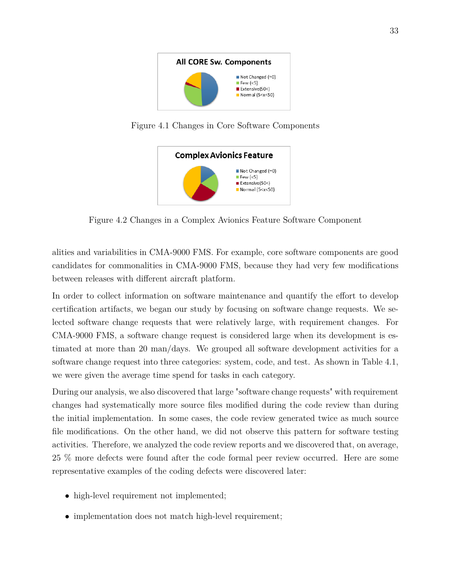

Figure 4.1 Changes in Core Software Components

<span id="page-44-1"></span><span id="page-44-0"></span>

Figure 4.2 Changes in a Complex Avionics Feature Software Component

alities and variabilities in CMA-9000 FMS. For example, core software components are good candidates for commonalities in CMA-9000 FMS, because they had very few modifications between releases with different aircraft platform.

In order to collect information on software maintenance and quantify the effort to develop certification artifacts, we began our study by focusing on software change requests. We selected software change requests that were relatively large, with requirement changes. For CMA-9000 FMS, a software change request is considered large when its development is estimated at more than 20 man/days. We grouped all software development activities for a software change request into three categories: system, code, and test. As shown in Table [4.1,](#page-45-0) we were given the average time spend for tasks in each category.

During our analysis, we also discovered that large "software change requests" with requirement changes had systematically more source files modified during the code review than during the initial implementation. In some cases, the code review generated twice as much source file modifications. On the other hand, we did not observe this pattern for software testing activities. Therefore, we analyzed the code review reports and we discovered that, on average, 25 % more defects were found after the code formal peer review occurred. Here are some representative examples of the coding defects were discovered later:

- high-level requirement not implemented;
- implementation does not match high-level requirement;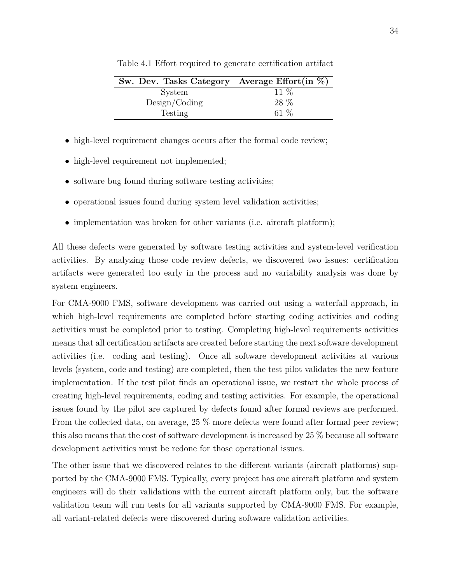| Sw. Dev. Tasks Category Average Effort(in $\%$ ) |        |
|--------------------------------------------------|--------|
| System                                           | $11\%$ |
| Design/Coding                                    | 28 %   |
| Testing                                          | 61 $%$ |

<span id="page-45-0"></span>Table 4.1 Effort required to generate certification artifact

- high-level requirement changes occurs after the formal code review;
- high-level requirement not implemented;
- software bug found during software testing activities;
- operational issues found during system level validation activities;
- implementation was broken for other variants (i.e. aircraft platform);

All these defects were generated by software testing activities and system-level verification activities. By analyzing those code review defects, we discovered two issues: certification artifacts were generated too early in the process and no variability analysis was done by system engineers.

For CMA-9000 FMS, software development was carried out using a waterfall approach, in which high-level requirements are completed before starting coding activities and coding activities must be completed prior to testing. Completing high-level requirements activities means that all certification artifacts are created before starting the next software development activities (i.e. coding and testing). Once all software development activities at various levels (system, code and testing) are completed, then the test pilot validates the new feature implementation. If the test pilot finds an operational issue, we restart the whole process of creating high-level requirements, coding and testing activities. For example, the operational issues found by the pilot are captured by defects found after formal reviews are performed. From the collected data, on average, 25 % more defects were found after formal peer review; this also means that the cost of software development is increased by 25 % because all software development activities must be redone for those operational issues.

The other issue that we discovered relates to the different variants (aircraft platforms) supported by the CMA-9000 FMS. Typically, every project has one aircraft platform and system engineers will do their validations with the current aircraft platform only, but the software validation team will run tests for all variants supported by CMA-9000 FMS. For example, all variant-related defects were discovered during software validation activities.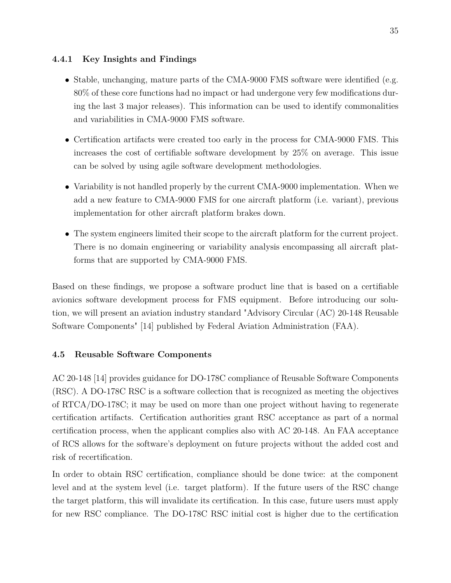# **4.4.1 Key Insights and Findings**

- Stable, unchanging, mature parts of the CMA-9000 FMS software were identified (e.g. 80% of these core functions had no impact or had undergone very few modifications during the last 3 major releases). This information can be used to identify commonalities and variabilities in CMA-9000 FMS software.
- Certification artifacts were created too early in the process for CMA-9000 FMS. This increases the cost of certifiable software development by 25% on average. This issue can be solved by using agile software development methodologies.
- Variability is not handled properly by the current CMA-9000 implementation. When we add a new feature to CMA-9000 FMS for one aircraft platform (i.e. variant), previous implementation for other aircraft platform brakes down.
- The system engineers limited their scope to the aircraft platform for the current project. There is no domain engineering or variability analysis encompassing all aircraft platforms that are supported by CMA-9000 FMS.

Based on these findings, we propose a software product line that is based on a certifiable avionics software development process for FMS equipment. Before introducing our solution, we will present an aviation industry standard "Advisory Circular (AC) 20-148 Reusable Software Components" [\[14\]](#page-88-0) published by Federal Aviation Administration (FAA).

# **4.5 Reusable Software Components**

AC 20-148 [\[14\]](#page-88-0) provides guidance for DO-178C compliance of Reusable Software Components (RSC). A DO-178C RSC is a software collection that is recognized as meeting the objectives of RTCA/DO-178C; it may be used on more than one project without having to regenerate certification artifacts. Certification authorities grant RSC acceptance as part of a normal certification process, when the applicant complies also with AC 20-148. An FAA acceptance of RCS allows for the software's deployment on future projects without the added cost and risk of recertification.

In order to obtain RSC certification, compliance should be done twice: at the component level and at the system level (i.e. target platform). If the future users of the RSC change the target platform, this will invalidate its certification. In this case, future users must apply for new RSC compliance. The DO-178C RSC initial cost is higher due to the certification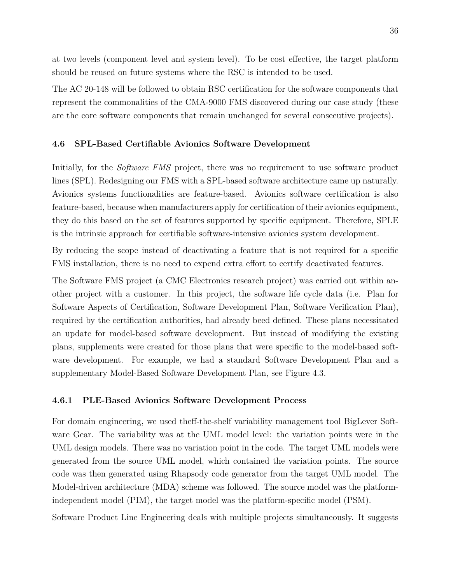at two levels (component level and system level). To be cost effective, the target platform should be reused on future systems where the RSC is intended to be used.

The AC 20-148 will be followed to obtain RSC certification for the software components that represent the commonalities of the CMA-9000 FMS discovered during our case study (these are the core software components that remain unchanged for several consecutive projects).

#### **4.6 SPL-Based Certifiable Avionics Software Development**

Initially, for the *Software FMS* project, there was no requirement to use software product lines (SPL). Redesigning our FMS with a SPL-based software architecture came up naturally. Avionics systems functionalities are feature-based. Avionics software certification is also feature-based, because when manufacturers apply for certification of their avionics equipment, they do this based on the set of features supported by specific equipment. Therefore, SPLE is the intrinsic approach for certifiable software-intensive avionics system development.

By reducing the scope instead of deactivating a feature that is not required for a specific FMS installation, there is no need to expend extra effort to certify deactivated features.

The Software FMS project (a CMC Electronics research project) was carried out within another project with a customer. In this project, the software life cycle data (i.e. Plan for Software Aspects of Certification, Software Development Plan, Software Verification Plan), required by the certification authorities, had already beed defined. These plans necessitated an update for model-based software development. But instead of modifying the existing plans, supplements were created for those plans that were specific to the model-based software development. For example, we had a standard Software Development Plan and a supplementary Model-Based Software Development Plan, see Figure [4.3.](#page-48-0)

#### **4.6.1 PLE-Based Avionics Software Development Process**

For domain engineering, we used theff-the-shelf variability management tool BigLever Software Gear. The variability was at the UML model level: the variation points were in the UML design models. There was no variation point in the code. The target UML models were generated from the source UML model, which contained the variation points. The source code was then generated using Rhapsody code generator from the target UML model. The Model-driven architecture (MDA) scheme was followed. The source model was the platformindependent model (PIM), the target model was the platform-specific model (PSM).

Software Product Line Engineering deals with multiple projects simultaneously. It suggests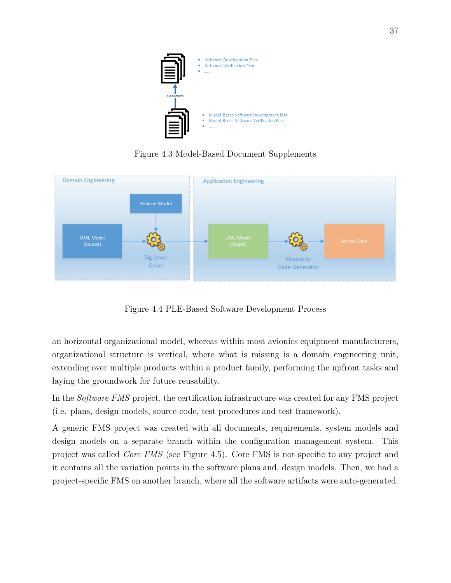<span id="page-48-0"></span>

Figure 4.3 Model-Based Document Supplements



<span id="page-48-1"></span>Figure 4.4 PLE-Based Software Development Process

an horizontal organizational model, whereas within most avionics equipment manufacturers, organizational structure is vertical, where what is missing is a domain engineering unit, extending over multiple products within a product family, performing the upfront tasks and laying the groundwork for future reusability.

In the *Software FMS* project, the certification infrastructure was created for any FMS project (i.e. plans, design models, source code, test procedures and test framework).

A generic FMS project was created with all documents, requirements, system models and design models on a separate branch within the configuration management system. This project was called *Core FMS* (see Figure [4.5\)](#page-49-0). Core FMS is not specific to any project and it contains all the variation points in the software plans and, design models. Then, we had a project-specific FMS on another branch, where all the software artifacts were auto-generated.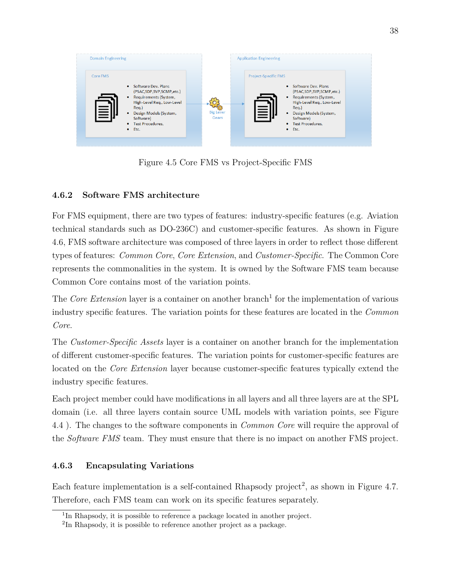

<span id="page-49-0"></span>Figure 4.5 Core FMS vs Project-Specific FMS

# **4.6.2 Software FMS architecture**

For FMS equipment, there are two types of features: industry-specific features (e.g. Aviation technical standards such as DO-236C) and customer-specific features. As shown in Figure [4.6,](#page-50-0) FMS software architecture was composed of three layers in order to reflect those different types of features: *Common Core*, *Core Extension*, and *Customer-Specific*. The Common Core represents the commonalities in the system. It is owned by the Software FMS team because Common Core contains most of the variation points.

The *Core Extension* layer is a container on another branch<sup>[1](#page-49-1)</sup> for the implementation of various industry specific features. The variation points for these features are located in the *Common Core*.

The *Customer-Specific Assets* layer is a container on another branch for the implementation of different customer-specific features. The variation points for customer-specific features are located on the *Core Extension* layer because customer-specific features typically extend the industry specific features.

Each project member could have modifications in all layers and all three layers are at the SPL domain (i.e. all three layers contain source UML models with variation points, see Figure [4.4](#page-48-1) ). The changes to the software components in *Common Core* will require the approval of the *Software FMS* team. They must ensure that there is no impact on another FMS project.

# **4.6.3 Encapsulating Variations**

Each feature implementation is a self-contained Rhapsody project<sup>[2](#page-49-2)</sup>, as shown in Figure [4.7.](#page-50-1) Therefore, each FMS team can work on its specific features separately.

<span id="page-49-1"></span><sup>&</sup>lt;sup>1</sup>In Rhapsody, it is possible to reference a package located in another project.

<span id="page-49-2"></span><sup>&</sup>lt;sup>2</sup>In Rhapsody, it is possible to reference another project as a package.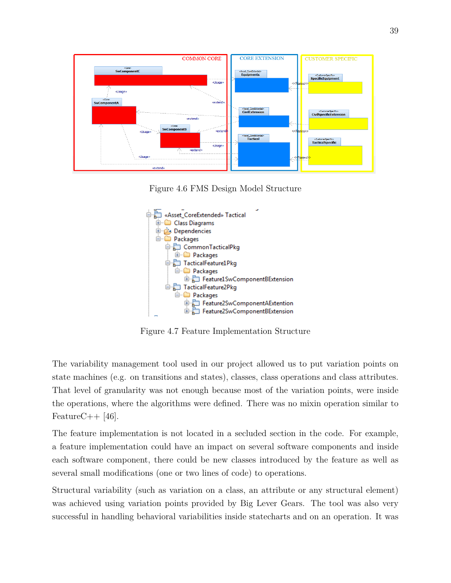

<span id="page-50-0"></span>Figure 4.6 FMS Design Model Structure



<span id="page-50-1"></span>Figure 4.7 Feature Implementation Structure

The variability management tool used in our project allowed us to put variation points on state machines (e.g. on transitions and states), classes, class operations and class attributes. That level of granularity was not enough because most of the variation points, were inside the operations, where the algorithms were defined. There was no mixin operation similar to FeatureC $++$  [\[46\]](#page-90-4).

The feature implementation is not located in a secluded section in the code. For example, a feature implementation could have an impact on several software components and inside each software component, there could be new classes introduced by the feature as well as several small modifications (one or two lines of code) to operations.

Structural variability (such as variation on a class, an attribute or any structural element) was achieved using variation points provided by Big Lever Gears. The tool was also very successful in handling behavioral variabilities inside statecharts and on an operation. It was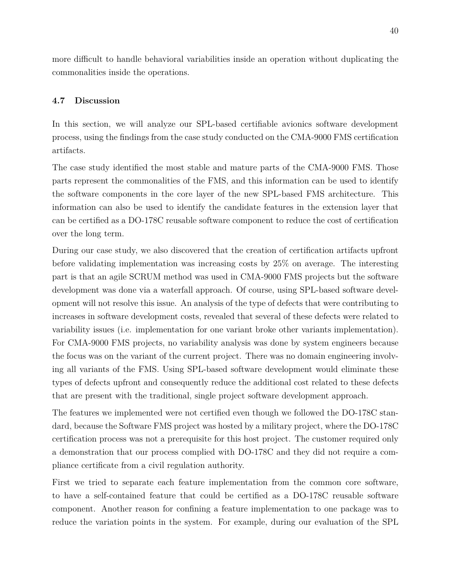more difficult to handle behavioral variabilities inside an operation without duplicating the commonalities inside the operations.

#### **4.7 Discussion**

In this section, we will analyze our SPL-based certifiable avionics software development process, using the findings from the case study conducted on the CMA-9000 FMS certification artifacts.

The case study identified the most stable and mature parts of the CMA-9000 FMS. Those parts represent the commonalities of the FMS, and this information can be used to identify the software components in the core layer of the new SPL-based FMS architecture. This information can also be used to identify the candidate features in the extension layer that can be certified as a DO-178C reusable software component to reduce the cost of certification over the long term.

During our case study, we also discovered that the creation of certification artifacts upfront before validating implementation was increasing costs by 25% on average. The interesting part is that an agile SCRUM method was used in CMA-9000 FMS projects but the software development was done via a waterfall approach. Of course, using SPL-based software development will not resolve this issue. An analysis of the type of defects that were contributing to increases in software development costs, revealed that several of these defects were related to variability issues (i.e. implementation for one variant broke other variants implementation). For CMA-9000 FMS projects, no variability analysis was done by system engineers because the focus was on the variant of the current project. There was no domain engineering involving all variants of the FMS. Using SPL-based software development would eliminate these types of defects upfront and consequently reduce the additional cost related to these defects that are present with the traditional, single project software development approach.

The features we implemented were not certified even though we followed the DO-178C standard, because the Software FMS project was hosted by a military project, where the DO-178C certification process was not a prerequisite for this host project. The customer required only a demonstration that our process complied with DO-178C and they did not require a compliance certificate from a civil regulation authority.

First we tried to separate each feature implementation from the common core software, to have a self-contained feature that could be certified as a DO-178C reusable software component. Another reason for confining a feature implementation to one package was to reduce the variation points in the system. For example, during our evaluation of the SPL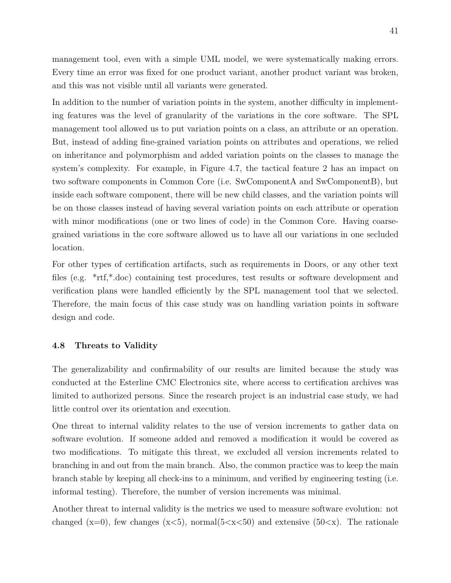management tool, even with a simple UML model, we were systematically making errors. Every time an error was fixed for one product variant, another product variant was broken, and this was not visible until all variants were generated.

In addition to the number of variation points in the system, another difficulty in implementing features was the level of granularity of the variations in the core software. The SPL management tool allowed us to put variation points on a class, an attribute or an operation. But, instead of adding fine-grained variation points on attributes and operations, we relied on inheritance and polymorphism and added variation points on the classes to manage the system's complexity. For example, in Figure [4.7,](#page-50-1) the tactical feature 2 has an impact on two software components in Common Core (i.e. SwComponentA and SwComponentB), but inside each software component, there will be new child classes, and the variation points will be on those classes instead of having several variation points on each attribute or operation with minor modifications (one or two lines of code) in the Common Core. Having coarsegrained variations in the core software allowed us to have all our variations in one secluded location.

For other types of certification artifacts, such as requirements in Doors, or any other text files (e.g. \*rtf,\*.doc) containing test procedures, test results or software development and verification plans were handled efficiently by the SPL management tool that we selected. Therefore, the main focus of this case study was on handling variation points in software design and code.

#### **4.8 Threats to Validity**

The generalizability and confirmability of our results are limited because the study was conducted at the Esterline CMC Electronics site, where access to certification archives was limited to authorized persons. Since the research project is an industrial case study, we had little control over its orientation and execution.

One threat to internal validity relates to the use of version increments to gather data on software evolution. If someone added and removed a modification it would be covered as two modifications. To mitigate this threat, we excluded all version increments related to branching in and out from the main branch. Also, the common practice was to keep the main branch stable by keeping all check-ins to a minimum, and verified by engineering testing (i.e. informal testing). Therefore, the number of version increments was minimal.

Another threat to internal validity is the metrics we used to measure software evolution: not changed (x=0), few changes (x<5), normal(5 $\langle x(5)$ ) and extensive (50 $\langle x \rangle$ ). The rationale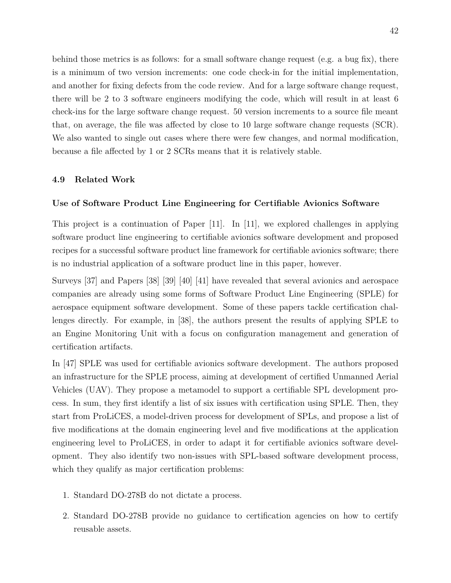behind those metrics is as follows: for a small software change request (e.g. a bug fix), there is a minimum of two version increments: one code check-in for the initial implementation, and another for fixing defects from the code review. And for a large software change request, there will be 2 to 3 software engineers modifying the code, which will result in at least 6 check-ins for the large software change request. 50 version increments to a source file meant that, on average, the file was affected by close to 10 large software change requests (SCR). We also wanted to single out cases where there were few changes, and normal modification, because a file affected by 1 or 2 SCRs means that it is relatively stable.

#### **4.9 Related Work**

### **Use of Software Product Line Engineering for Certifiable Avionics Software**

This project is a continuation of Paper [\[11\]](#page-87-3). In [\[11\]](#page-87-3), we explored challenges in applying software product line engineering to certifiable avionics software development and proposed recipes for a successful software product line framework for certifiable avionics software; there is no industrial application of a software product line in this paper, however.

Surveys [\[37\]](#page-89-0) and Papers [\[38\]](#page-90-5) [\[39\]](#page-90-6) [\[40\]](#page-90-7) [\[41\]](#page-90-8) have revealed that several avionics and aerospace companies are already using some forms of Software Product Line Engineering (SPLE) for aerospace equipment software development. Some of these papers tackle certification challenges directly. For example, in [\[38\]](#page-90-5), the authors present the results of applying SPLE to an Engine Monitoring Unit with a focus on configuration management and generation of certification artifacts.

In [\[47\]](#page-90-9) SPLE was used for certifiable avionics software development. The authors proposed an infrastructure for the SPLE process, aiming at development of certified Unmanned Aerial Vehicles (UAV). They propose a metamodel to support a certifiable SPL development process. In sum, they first identify a list of six issues with certification using SPLE. Then, they start from ProLiCES, a model-driven process for development of SPLs, and propose a list of five modifications at the domain engineering level and five modifications at the application engineering level to ProLiCES, in order to adapt it for certifiable avionics software development. They also identify two non-issues with SPL-based software development process, which they qualify as major certification problems:

- 1. Standard DO-278B do not dictate a process.
- 2. Standard DO-278B provide no guidance to certification agencies on how to certify reusable assets.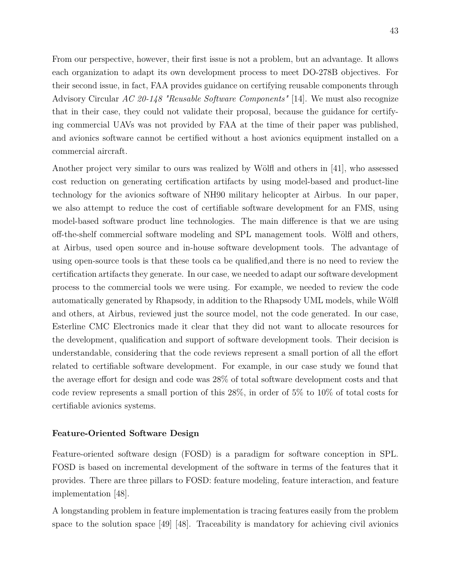43

From our perspective, however, their first issue is not a problem, but an advantage. It allows each organization to adapt its own development process to meet DO-278B objectives. For their second issue, in fact, FAA provides guidance on certifying reusable components through Advisory Circular *AC 20-148 "Reusable Software Components"* [\[14\]](#page-88-0). We must also recognize that in their case, they could not validate their proposal, because the guidance for certifying commercial UAVs was not provided by FAA at the time of their paper was published, and avionics software cannot be certified without a host avionics equipment installed on a commercial aircraft.

Another project very similar to ours was realized by Wölfl and others in [\[41\]](#page-90-8), who assessed cost reduction on generating certification artifacts by using model-based and product-line technology for the avionics software of NH90 military helicopter at Airbus. In our paper, we also attempt to reduce the cost of certifiable software development for an FMS, using model-based software product line technologies. The main difference is that we are using off-the-shelf commercial software modeling and SPL management tools. Wölfl and others, at Airbus, used open source and in-house software development tools. The advantage of using open-source tools is that these tools ca be qualified,and there is no need to review the certification artifacts they generate. In our case, we needed to adapt our software development process to the commercial tools we were using. For example, we needed to review the code automatically generated by Rhapsody, in addition to the Rhapsody UML models, while Wölfl and others, at Airbus, reviewed just the source model, not the code generated. In our case, Esterline CMC Electronics made it clear that they did not want to allocate resources for the development, qualification and support of software development tools. Their decision is understandable, considering that the code reviews represent a small portion of all the effort related to certifiable software development. For example, in our case study we found that the average effort for design and code was 28% of total software development costs and that code review represents a small portion of this 28%, in order of 5% to 10% of total costs for certifiable avionics systems.

# **Feature-Oriented Software Design**

Feature-oriented software design (FOSD) is a paradigm for software conception in SPL. FOSD is based on incremental development of the software in terms of the features that it provides. There are three pillars to FOSD: feature modeling, feature interaction, and feature implementation [\[48\]](#page-90-10).

A longstanding problem in feature implementation is tracing features easily from the problem space to the solution space [\[49\]](#page-91-0) [\[48\]](#page-90-10). Traceability is mandatory for achieving civil avionics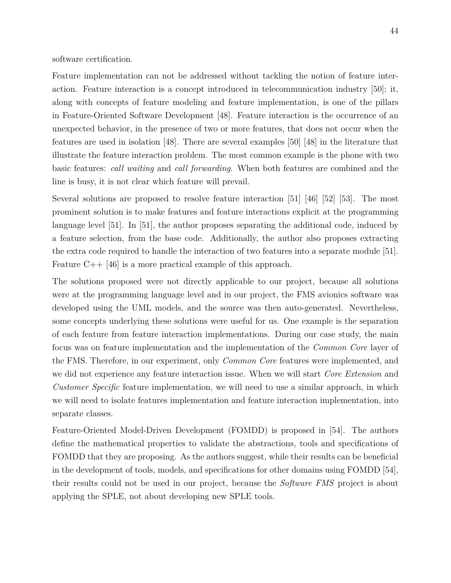software certification.

Feature implementation can not be addressed without tackling the notion of feature interaction. Feature interaction is a concept introduced in telecommunication industry [\[50\]](#page-91-1); it, along with concepts of feature modeling and feature implementation, is one of the pillars in Feature-Oriented Software Development [\[48\]](#page-90-10). Feature interaction is the occurrence of an unexpected behavior, in the presence of two or more features, that does not occur when the features are used in isolation [\[48\]](#page-90-10). There are several examples [\[50\]](#page-91-1) [\[48\]](#page-90-10) in the literature that illustrate the feature interaction problem. The most common example is the phone with two basic features: *call waiting* and *call forwarding*. When both features are combined and the line is busy, it is not clear which feature will prevail.

Several solutions are proposed to resolve feature interaction [\[51\]](#page-91-2) [\[46\]](#page-90-4) [\[52\]](#page-91-3) [\[53\]](#page-91-4). The most prominent solution is to make features and feature interactions explicit at the programming language level [\[51\]](#page-91-2). In [\[51\]](#page-91-2), the author proposes separating the additional code, induced by a feature selection, from the base code. Additionally, the author also proposes extracting the extra code required to handle the interaction of two features into a separate module [\[51\]](#page-91-2). Feature C++ [\[46\]](#page-90-4) is a more practical example of this approach.

The solutions proposed were not directly applicable to our project, because all solutions were at the programming language level and in our project, the FMS avionics software was developed using the UML models, and the source was then auto-generated. Nevertheless, some concepts underlying these solutions were useful for us. One example is the separation of each feature from feature interaction implementations. During our case study, the main focus was on feature implementation and the implementation of the *Common Core* layer of the FMS. Therefore, in our experiment, only *Common Core* features were implemented, and we did not experience any feature interaction issue. When we will start *Core Extension* and *Customer Specific* feature implementation, we will need to use a similar approach, in which we will need to isolate features implementation and feature interaction implementation, into separate classes.

Feature-Oriented Model-Driven Development (FOMDD) is proposed in [\[54\]](#page-91-5). The authors define the mathematical properties to validate the abstractions, tools and specifications of FOMDD that they are proposing. As the authors suggest, while their results can be beneficial in the development of tools, models, and specifications for other domains using FOMDD [\[54\]](#page-91-5), their results could not be used in our project, because the *Software FMS* project is about applying the SPLE, not about developing new SPLE tools.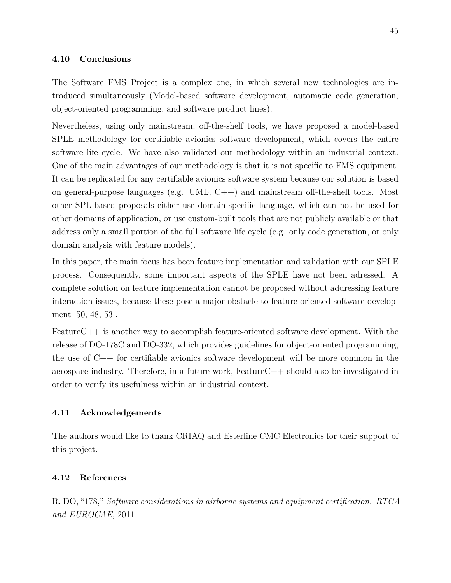#### **4.10 Conclusions**

The Software FMS Project is a complex one, in which several new technologies are introduced simultaneously (Model-based software development, automatic code generation, object-oriented programming, and software product lines).

Nevertheless, using only mainstream, off-the-shelf tools, we have proposed a model-based SPLE methodology for certifiable avionics software development, which covers the entire software life cycle. We have also validated our methodology within an industrial context. One of the main advantages of our methodology is that it is not specific to FMS equipment. It can be replicated for any certifiable avionics software system because our solution is based on general-purpose languages (e.g. UML,  $C++$ ) and mainstream off-the-shelf tools. Most other SPL-based proposals either use domain-specific language, which can not be used for other domains of application, or use custom-built tools that are not publicly available or that address only a small portion of the full software life cycle (e.g. only code generation, or only domain analysis with feature models).

In this paper, the main focus has been feature implementation and validation with our SPLE process. Consequently, some important aspects of the SPLE have not been adressed. A complete solution on feature implementation cannot be proposed without addressing feature interaction issues, because these pose a major obstacle to feature-oriented software development [\[50,](#page-91-1) [48,](#page-90-10) [53\]](#page-91-4).

FeatureC++ is another way to accomplish feature-oriented software development. With the release of DO-178C and DO-332, which provides guidelines for object-oriented programming, the use of  $C_{++}$  for certifiable avionics software development will be more common in the aerospace industry. Therefore, in a future work,  $FeatureC++$  should also be investigated in order to verify its usefulness within an industrial context.

#### **4.11 Acknowledgements**

The authors would like to thank CRIAQ and Esterline CMC Electronics for their support of this project.

#### **4.12 References**

R. DO, "178," *Software considerations in airborne systems and equipment certification. RTCA and EUROCAE*, 2011.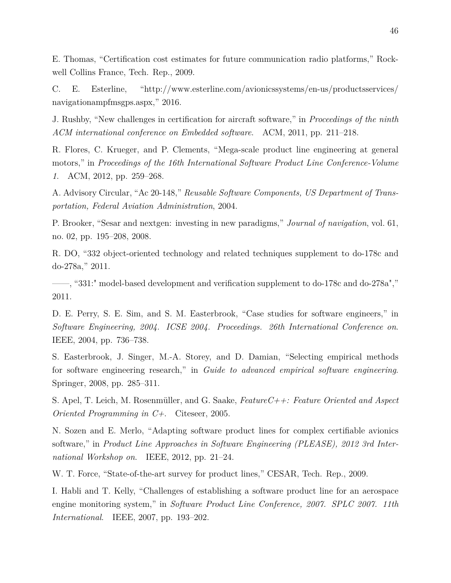E. Thomas, "Certification cost estimates for future communication radio platforms," Rockwell Collins France, Tech. Rep., 2009.

C. E. Esterline, "http://www.esterline.com/avionicssystems/en-us/productsservices/ navigationampfmsgps.aspx," 2016.

J. Rushby, "New challenges in certification for aircraft software," in *Proceedings of the ninth ACM international conference on Embedded software*. ACM, 2011, pp. 211–218.

R. Flores, C. Krueger, and P. Clements, "Mega-scale product line engineering at general motors," in *Proceedings of the 16th International Software Product Line Conference-Volume 1*. ACM, 2012, pp. 259–268.

A. Advisory Circular, "Ac 20-148," *Reusable Software Components, US Department of Transportation, Federal Aviation Administration*, 2004.

P. Brooker, "Sesar and nextgen: investing in new paradigms," *Journal of navigation*, vol. 61, no. 02, pp. 195–208, 2008.

R. DO, "332 object-oriented technology and related techniques supplement to do-178c and do-278a," 2011.

——, "331:" model-based development and verification supplement to do-178c and do-278a"," 2011.

D. E. Perry, S. E. Sim, and S. M. Easterbrook, "Case studies for software engineers," in *Software Engineering, 2004. ICSE 2004. Proceedings. 26th International Conference on*. IEEE, 2004, pp. 736–738.

S. Easterbrook, J. Singer, M.-A. Storey, and D. Damian, "Selecting empirical methods for software engineering research," in *Guide to advanced empirical software engineering*. Springer, 2008, pp. 285–311.

S. Apel, T. Leich, M. Rosenmüller, and G. Saake, *FeatureC++: Feature Oriented and Aspect Oriented Programming in C+*. Citeseer, 2005.

N. Sozen and E. Merlo, "Adapting software product lines for complex certifiable avionics software," in *Product Line Approaches in Software Engineering (PLEASE), 2012 3rd International Workshop on*. IEEE, 2012, pp. 21–24.

W. T. Force, "State-of-the-art survey for product lines," CESAR, Tech. Rep., 2009.

I. Habli and T. Kelly, "Challenges of establishing a software product line for an aerospace engine monitoring system," in *Software Product Line Conference, 2007. SPLC 2007. 11th International*. IEEE, 2007, pp. 193–202.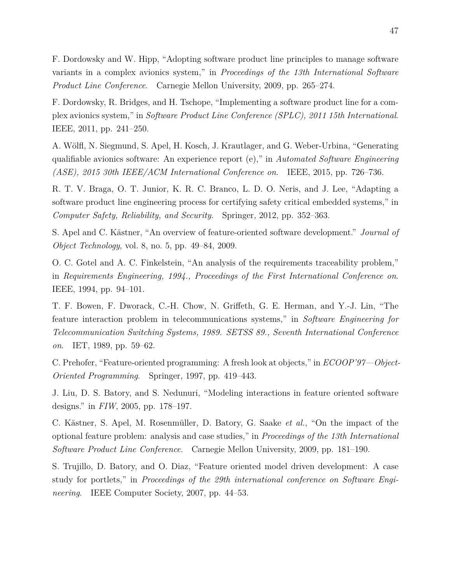F. Dordowsky and W. Hipp, "Adopting software product line principles to manage software variants in a complex avionics system," in *Proceedings of the 13th International Software Product Line Conference*. Carnegie Mellon University, 2009, pp. 265–274.

F. Dordowsky, R. Bridges, and H. Tschope, "Implementing a software product line for a complex avionics system," in *Software Product Line Conference (SPLC), 2011 15th International*. IEEE, 2011, pp. 241–250.

A. Wölfl, N. Siegmund, S. Apel, H. Kosch, J. Krautlager, and G. Weber-Urbina, "Generating qualifiable avionics software: An experience report (e)," in *Automated Software Engineering (ASE), 2015 30th IEEE/ACM International Conference on*. IEEE, 2015, pp. 726–736.

R. T. V. Braga, O. T. Junior, K. R. C. Branco, L. D. O. Neris, and J. Lee, "Adapting a software product line engineering process for certifying safety critical embedded systems," in *Computer Safety, Reliability, and Security*. Springer, 2012, pp. 352–363.

S. Apel and C. Kästner, "An overview of feature-oriented software development." *Journal of Object Technology*, vol. 8, no. 5, pp. 49–84, 2009.

O. C. Gotel and A. C. Finkelstein, "An analysis of the requirements traceability problem," in *Requirements Engineering, 1994., Proceedings of the First International Conference on*. IEEE, 1994, pp. 94–101.

T. F. Bowen, F. Dworack, C.-H. Chow, N. Griffeth, G. E. Herman, and Y.-J. Lin, "The feature interaction problem in telecommunications systems," in *Software Engineering for Telecommunication Switching Systems, 1989. SETSS 89., Seventh International Conference on*. IET, 1989, pp. 59–62.

C. Prehofer, "Feature-oriented programming: A fresh look at objects," in *ECOOP'97—Object-Oriented Programming*. Springer, 1997, pp. 419–443.

J. Liu, D. S. Batory, and S. Nedunuri, "Modeling interactions in feature oriented software designs." in *FIW*, 2005, pp. 178–197.

C. Kästner, S. Apel, M. Rosenmüller, D. Batory, G. Saake *et al.*, "On the impact of the optional feature problem: analysis and case studies," in *Proceedings of the 13th International Software Product Line Conference*. Carnegie Mellon University, 2009, pp. 181–190.

S. Trujillo, D. Batory, and O. Diaz, "Feature oriented model driven development: A case study for portlets," in *Proceedings of the 29th international conference on Software Engineering*. IEEE Computer Society, 2007, pp. 44–53.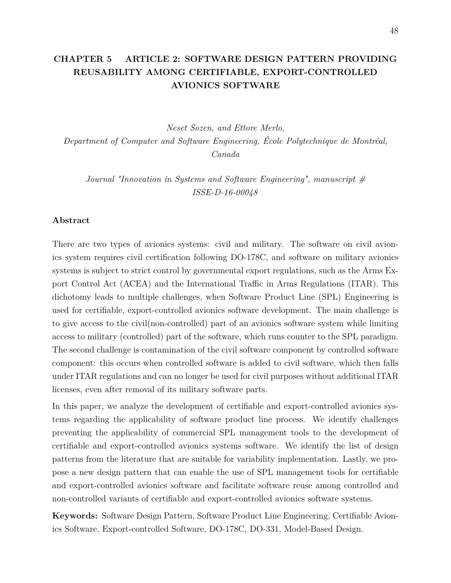# **CHAPTER 5 ARTICLE 2: SOFTWARE DESIGN PATTERN PROVIDING REUSABILITY AMONG CERTIFIABLE, EXPORT-CONTROLLED AVIONICS SOFTWARE**

*Neset Sozen, and Ettore Merlo, Department of Computer and Software Engineering, École Polytechnique de Montréal, Canada*

*Journal "Innovation in Systems and Software Engineering", manuscript # ISSE-D-16-00048*

### **Abstract**

There are two types of avionics systems: civil and military. The software on civil avionics system requires civil certification following DO-178C, and software on military avionics systems is subject to strict control by governmental export regulations, such as the Arms Export Control Act (ACEA) and the International Traffic in Arms Regulations (ITAR). This dichotomy leads to multiple challenges, when Software Product Line (SPL) Engineering is used for certifiable, export-controlled avionics software development. The main challenge is to give access to the civil(non-controlled) part of an avionics software system while limiting access to military (controlled) part of the software, which runs counter to the SPL paradigm. The second challenge is contamination of the civil software component by controlled software component: this occurs when controlled software is added to civil software, which then falls under ITAR regulations and can no longer be used for civil purposes without additional ITAR licenses, even after removal of its military software parts.

In this paper, we analyze the development of certifiable and export-controlled avionics systems regarding the applicability of software product line process. We identify challenges preventing the applicability of commercial SPL management tools to the development of certifiable and export-controlled avionics systems software. We identify the list of design patterns from the literature that are suitable for variability implementation. Lastly, we propose a new design pattern that can enable the use of SPL management tools for certifiable and export-controlled avionics software and facilitate software reuse among controlled and non-controlled variants of certifiable and export-controlled avionics software systems.

**Keywords:** Software Design Pattern, Software Product Line Engineering, Certifiable Avionics Software, Export-controlled Software, DO-178C, DO-331, Model-Based Design.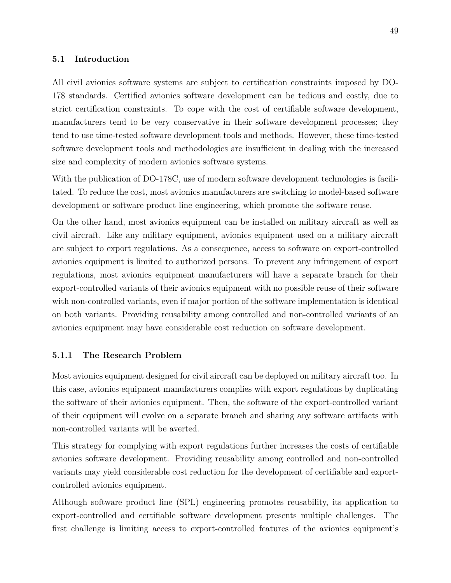#### **5.1 Introduction**

All civil avionics software systems are subject to certification constraints imposed by DO-178 standards. Certified avionics software development can be tedious and costly, due to strict certification constraints. To cope with the cost of certifiable software development, manufacturers tend to be very conservative in their software development processes; they tend to use time-tested software development tools and methods. However, these time-tested software development tools and methodologies are insufficient in dealing with the increased size and complexity of modern avionics software systems.

With the publication of DO-178C, use of modern software development technologies is facilitated. To reduce the cost, most avionics manufacturers are switching to model-based software development or software product line engineering, which promote the software reuse.

On the other hand, most avionics equipment can be installed on military aircraft as well as civil aircraft. Like any military equipment, avionics equipment used on a military aircraft are subject to export regulations. As a consequence, access to software on export-controlled avionics equipment is limited to authorized persons. To prevent any infringement of export regulations, most avionics equipment manufacturers will have a separate branch for their export-controlled variants of their avionics equipment with no possible reuse of their software with non-controlled variants, even if major portion of the software implementation is identical on both variants. Providing reusability among controlled and non-controlled variants of an avionics equipment may have considerable cost reduction on software development.

#### **5.1.1 The Research Problem**

Most avionics equipment designed for civil aircraft can be deployed on military aircraft too. In this case, avionics equipment manufacturers complies with export regulations by duplicating the software of their avionics equipment. Then, the software of the export-controlled variant of their equipment will evolve on a separate branch and sharing any software artifacts with non-controlled variants will be averted.

This strategy for complying with export regulations further increases the costs of certifiable avionics software development. Providing reusability among controlled and non-controlled variants may yield considerable cost reduction for the development of certifiable and exportcontrolled avionics equipment.

Although software product line (SPL) engineering promotes reusability, its application to export-controlled and certifiable software development presents multiple challenges. The first challenge is limiting access to export-controlled features of the avionics equipment's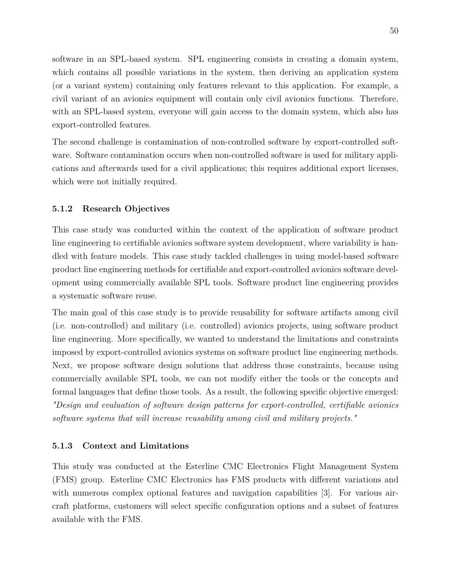software in an SPL-based system. SPL engineering consists in creating a domain system, which contains all possible variations in the system, then deriving an application system (or a variant system) containing only features relevant to this application. For example, a civil variant of an avionics equipment will contain only civil avionics functions. Therefore, with an SPL-based system, everyone will gain access to the domain system, which also has export-controlled features.

The second challenge is contamination of non-controlled software by export-controlled software. Software contamination occurs when non-controlled software is used for military applications and afterwards used for a civil applications; this requires additional export licenses, which were not initially required.

#### **5.1.2 Research Objectives**

This case study was conducted within the context of the application of software product line engineering to certifiable avionics software system development, where variability is handled with feature models. This case study tackled challenges in using model-based software product line engineering methods for certifiable and export-controlled avionics software development using commercially available SPL tools. Software product line engineering provides a systematic software reuse.

The main goal of this case study is to provide reusability for software artifacts among civil (i.e. non-controlled) and military (i.e. controlled) avionics projects, using software product line engineering. More specifically, we wanted to understand the limitations and constraints imposed by export-controlled avionics systems on software product line engineering methods. Next, we propose software design solutions that address those constraints, because using commercially available SPL tools, we can not modify either the tools or the concepts and formal languages that define those tools. As a result, the following specific objective emerged: *"Design and evaluation of software design patterns for export-controlled, certifiable avionics software systems that will increase reusability among civil and military projects."*

#### **5.1.3 Context and Limitations**

This study was conducted at the Esterline CMC Electronics Flight Management System (FMS) group. Esterline CMC Electronics has FMS products with different variations and with numerous complex optional features and navigation capabilities [\[3\]](#page-87-0). For various aircraft platforms, customers will select specific configuration options and a subset of features available with the FMS.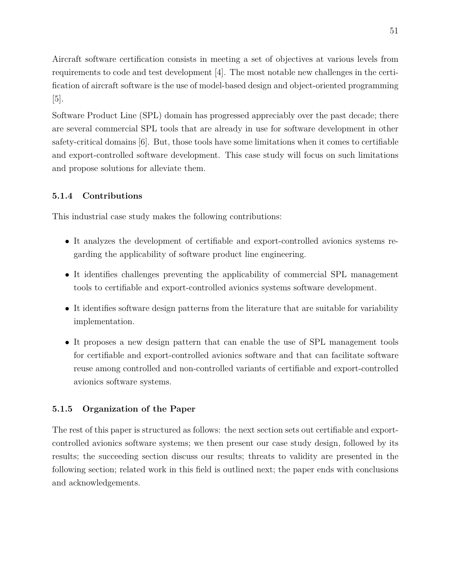Aircraft software certification consists in meeting a set of objectives at various levels from requirements to code and test development [\[4\]](#page-87-2). The most notable new challenges in the certification of aircraft software is the use of model-based design and object-oriented programming  $|5|$ .

Software Product Line (SPL) domain has progressed appreciably over the past decade; there are several commercial SPL tools that are already in use for software development in other safety-critical domains [\[6\]](#page-87-5). But, those tools have some limitations when it comes to certifiable and export-controlled software development. This case study will focus on such limitations and propose solutions for alleviate them.

## **5.1.4 Contributions**

This industrial case study makes the following contributions:

- It analyzes the development of certifiable and export-controlled avionics systems regarding the applicability of software product line engineering.
- It identifies challenges preventing the applicability of commercial SPL management tools to certifiable and export-controlled avionics systems software development.
- It identifies software design patterns from the literature that are suitable for variability implementation.
- It proposes a new design pattern that can enable the use of SPL management tools for certifiable and export-controlled avionics software and that can facilitate software reuse among controlled and non-controlled variants of certifiable and export-controlled avionics software systems.

### **5.1.5 Organization of the Paper**

The rest of this paper is structured as follows: the next section sets out certifiable and exportcontrolled avionics software systems; we then present our case study design, followed by its results; the succeeding section discuss our results; threats to validity are presented in the following section; related work in this field is outlined next; the paper ends with conclusions and acknowledgements.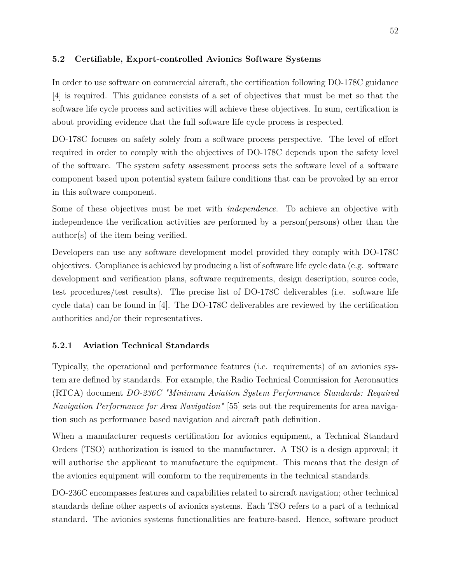## **5.2 Certifiable, Export-controlled Avionics Software Systems**

In order to use software on commercial aircraft, the certification following DO-178C guidance [\[4\]](#page-87-2) is required. This guidance consists of a set of objectives that must be met so that the software life cycle process and activities will achieve these objectives. In sum, certification is about providing evidence that the full software life cycle process is respected.

DO-178C focuses on safety solely from a software process perspective. The level of effort required in order to comply with the objectives of DO-178C depends upon the safety level of the software. The system safety assessment process sets the software level of a software component based upon potential system failure conditions that can be provoked by an error in this software component.

Some of these objectives must be met with *independence*. To achieve an objective with independence the verification activities are performed by a person(persons) other than the author(s) of the item being verified.

Developers can use any software development model provided they comply with DO-178C objectives. Compliance is achieved by producing a list of software life cycle data (e.g. software development and verification plans, software requirements, design description, source code, test procedures/test results). The precise list of DO-178C deliverables (i.e. software life cycle data) can be found in [\[4\]](#page-87-2). The DO-178C deliverables are reviewed by the certification authorities and/or their representatives.

# **5.2.1 Aviation Technical Standards**

Typically, the operational and performance features (i.e. requirements) of an avionics system are defined by standards. For example, the Radio Technical Commission for Aeronautics (RTCA) document *DO-236C "Minimum Aviation System Performance Standards: Required Navigation Performance for Area Navigation"* [\[55\]](#page-91-6) sets out the requirements for area navigation such as performance based navigation and aircraft path definition.

When a manufacturer requests certification for avionics equipment, a Technical Standard Orders (TSO) authorization is issued to the manufacturer. A TSO is a design approval; it will authorise the applicant to manufacture the equipment. This means that the design of the avionics equipment will comform to the requirements in the technical standards.

DO-236C encompasses features and capabilities related to aircraft navigation; other technical standards define other aspects of avionics systems. Each TSO refers to a part of a technical standard. The avionics systems functionalities are feature-based. Hence, software product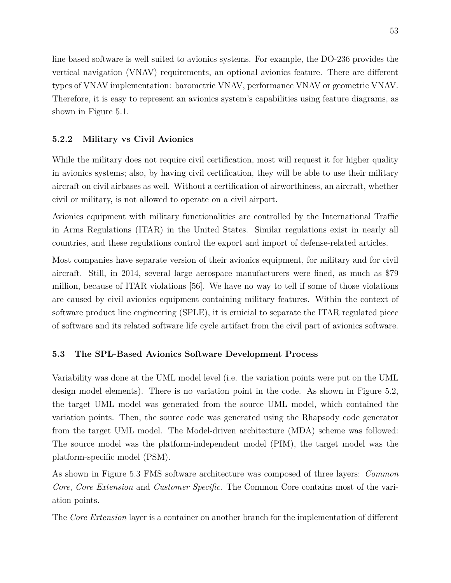line based software is well suited to avionics systems. For example, the DO-236 provides the vertical navigation (VNAV) requirements, an optional avionics feature. There are different types of VNAV implementation: barometric VNAV, performance VNAV or geometric VNAV. Therefore, it is easy to represent an avionics system's capabilities using feature diagrams, as shown in Figure [5.1.](#page-65-0)

### **5.2.2 Military vs Civil Avionics**

While the military does not require civil certification, most will request it for higher quality in avionics systems; also, by having civil certification, they will be able to use their military aircraft on civil airbases as well. Without a certification of airworthiness, an aircraft, whether civil or military, is not allowed to operate on a civil airport.

Avionics equipment with military functionalities are controlled by the International Traffic in Arms Regulations (ITAR) in the United States. Similar regulations exist in nearly all countries, and these regulations control the export and import of defense-related articles.

Most companies have separate version of their avionics equipment, for military and for civil aircraft. Still, in 2014, several large aerospace manufacturers were fined, as much as \$79 million, because of ITAR violations [\[56\]](#page-91-7). We have no way to tell if some of those violations are caused by civil avionics equipment containing military features. Within the context of software product line engineering (SPLE), it is cruicial to separate the ITAR regulated piece of software and its related software life cycle artifact from the civil part of avionics software.

### **5.3 The SPL-Based Avionics Software Development Process**

Variability was done at the UML model level (i.e. the variation points were put on the UML design model elements). There is no variation point in the code. As shown in Figure [5.2,](#page-65-1) the target UML model was generated from the source UML model, which contained the variation points. Then, the source code was generated using the Rhapsody code generator from the target UML model. The Model-driven architecture (MDA) scheme was followed: The source model was the platform-independent model (PIM), the target model was the platform-specific model (PSM).

As shown in Figure [5.3](#page-66-0) FMS software architecture was composed of three layers: *Common Core*, *Core Extension* and *Customer Specific*. The Common Core contains most of the variation points.

The *Core Extension* layer is a container on another branch for the implementation of different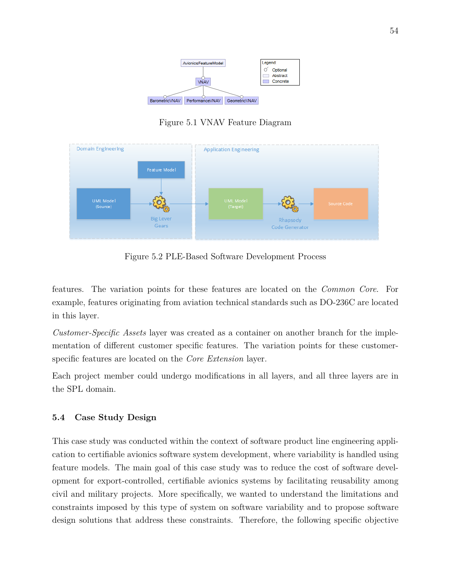

<span id="page-65-1"></span><span id="page-65-0"></span>Figure 5.1 VNAV Feature Diagram



Figure 5.2 PLE-Based Software Development Process

features. The variation points for these features are located on the *Common Core*. For example, features originating from aviation technical standards such as DO-236C are located in this layer.

*Customer-Specific Assets* layer was created as a container on another branch for the implementation of different customer specific features. The variation points for these customerspecific features are located on the *Core Extension* layer.

Each project member could undergo modifications in all layers, and all three layers are in the SPL domain.

# **5.4 Case Study Design**

This case study was conducted within the context of software product line engineering application to certifiable avionics software system development, where variability is handled using feature models. The main goal of this case study was to reduce the cost of software development for export-controlled, certifiable avionics systems by facilitating reusability among civil and military projects. More specifically, we wanted to understand the limitations and constraints imposed by this type of system on software variability and to propose software design solutions that address these constraints. Therefore, the following specific objective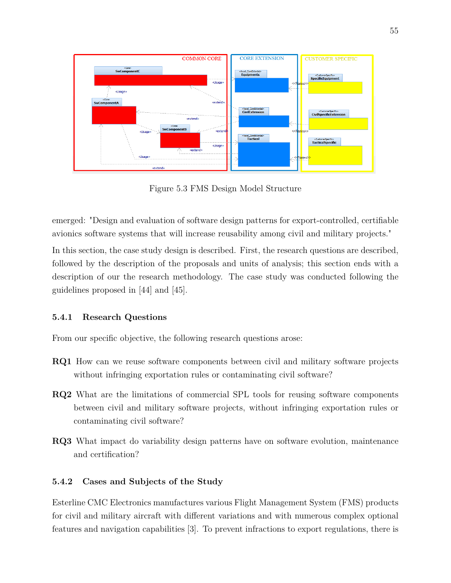

<span id="page-66-0"></span>Figure 5.3 FMS Design Model Structure

emerged: "Design and evaluation of software design patterns for export-controlled, certifiable avionics software systems that will increase reusability among civil and military projects."

In this section, the case study design is described. First, the research questions are described, followed by the description of the proposals and units of analysis; this section ends with a description of our the research methodology. The case study was conducted following the guidelines proposed in [\[44\]](#page-90-2) and [\[45\]](#page-90-3).

# **5.4.1 Research Questions**

From our specific objective, the following research questions arose:

- **RQ1** How can we reuse software components between civil and military software projects without infringing exportation rules or contaminating civil software?
- **RQ2** What are the limitations of commercial SPL tools for reusing software components between civil and military software projects, without infringing exportation rules or contaminating civil software?
- **RQ3** What impact do variability design patterns have on software evolution, maintenance and certification?

# **5.4.2 Cases and Subjects of the Study**

Esterline CMC Electronics manufactures various Flight Management System (FMS) products for civil and military aircraft with different variations and with numerous complex optional features and navigation capabilities [\[3\]](#page-87-0). To prevent infractions to export regulations, there is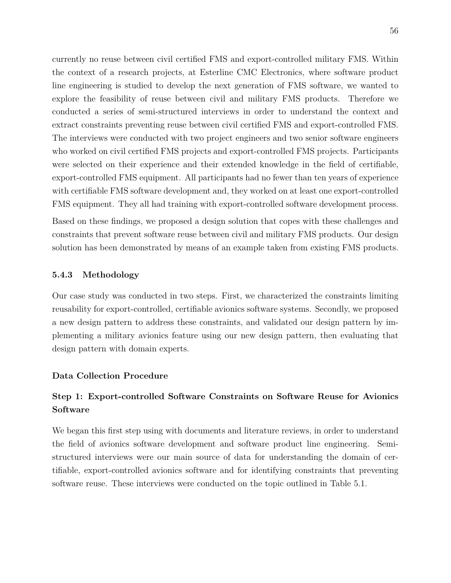currently no reuse between civil certified FMS and export-controlled military FMS. Within the context of a research projects, at Esterline CMC Electronics, where software product line engineering is studied to develop the next generation of FMS software, we wanted to explore the feasibility of reuse between civil and military FMS products. Therefore we conducted a series of semi-structured interviews in order to understand the context and extract constraints preventing reuse between civil certified FMS and export-controlled FMS. The interviews were conducted with two project engineers and two senior software engineers who worked on civil certified FMS projects and export-controlled FMS projects. Participants were selected on their experience and their extended knowledge in the field of certifiable, export-controlled FMS equipment. All participants had no fewer than ten years of experience with certifiable FMS software development and, they worked on at least one export-controlled FMS equipment. They all had training with export-controlled software development process.

Based on these findings, we proposed a design solution that copes with these challenges and constraints that prevent software reuse between civil and military FMS products. Our design solution has been demonstrated by means of an example taken from existing FMS products.

#### **5.4.3 Methodology**

Our case study was conducted in two steps. First, we characterized the constraints limiting reusability for export-controlled, certifiable avionics software systems. Secondly, we proposed a new design pattern to address these constraints, and validated our design pattern by implementing a military avionics feature using our new design pattern, then evaluating that design pattern with domain experts.

#### **Data Collection Procedure**

# **Step 1: Export-controlled Software Constraints on Software Reuse for Avionics Software**

We began this first step using with documents and literature reviews, in order to understand the field of avionics software development and software product line engineering. Semistructured interviews were our main source of data for understanding the domain of certifiable, export-controlled avionics software and for identifying constraints that preventing software reuse. These interviews were conducted on the topic outlined in Table [5.1.](#page-68-0)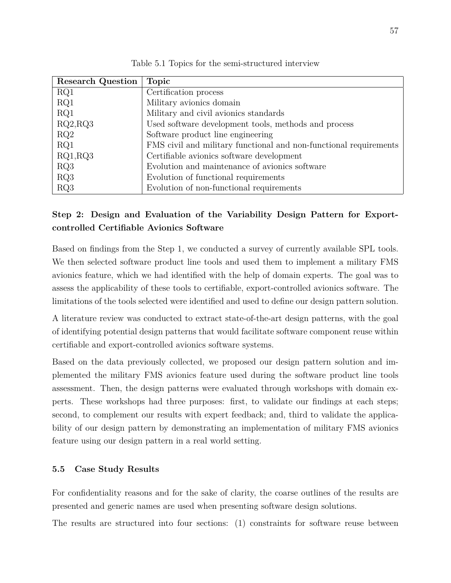<span id="page-68-0"></span>

| <b>Research Question</b> | <b>Topic</b>                                                      |
|--------------------------|-------------------------------------------------------------------|
| RQ1                      | Certification process                                             |
| RQ1                      | Military avionics domain                                          |
| RQ1                      | Military and civil avionics standards                             |
| RQ2, RQ3                 | Used software development tools, methods and process              |
| RQ2                      | Software product line engineering                                 |
| RQ1                      | FMS civil and military functional and non-functional requirements |
| RQ1, RQ3                 | Certifiable avionics software development                         |
| RQ3                      | Evolution and maintenance of avionics software                    |
| RQ3                      | Evolution of functional requirements                              |
| RQ3                      | Evolution of non-functional requirements                          |

Table 5.1 Topics for the semi-structured interview

# **Step 2: Design and Evaluation of the Variability Design Pattern for Exportcontrolled Certifiable Avionics Software**

Based on findings from the Step 1, we conducted a survey of currently available SPL tools. We then selected software product line tools and used them to implement a military FMS avionics feature, which we had identified with the help of domain experts. The goal was to assess the applicability of these tools to certifiable, export-controlled avionics software. The limitations of the tools selected were identified and used to define our design pattern solution.

A literature review was conducted to extract state-of-the-art design patterns, with the goal of identifying potential design patterns that would facilitate software component reuse within certifiable and export-controlled avionics software systems.

Based on the data previously collected, we proposed our design pattern solution and implemented the military FMS avionics feature used during the software product line tools assessment. Then, the design patterns were evaluated through workshops with domain experts. These workshops had three purposes: first, to validate our findings at each steps; second, to complement our results with expert feedback; and, third to validate the applicability of our design pattern by demonstrating an implementation of military FMS avionics feature using our design pattern in a real world setting.

### **5.5 Case Study Results**

For confidentiality reasons and for the sake of clarity, the coarse outlines of the results are presented and generic names are used when presenting software design solutions.

The results are structured into four sections: (1) constraints for software reuse between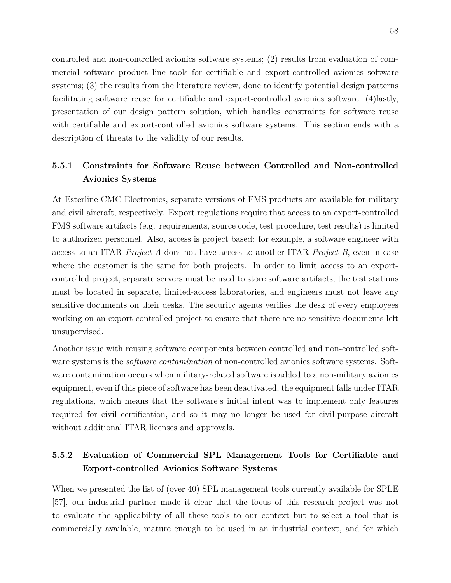controlled and non-controlled avionics software systems; (2) results from evaluation of commercial software product line tools for certifiable and export-controlled avionics software systems; (3) the results from the literature review, done to identify potential design patterns facilitating software reuse for certifiable and export-controlled avionics software; (4)lastly, presentation of our design pattern solution, which handles constraints for software reuse with certifiable and export-controlled avionics software systems. This section ends with a description of threats to the validity of our results.

# **5.5.1 Constraints for Software Reuse between Controlled and Non-controlled Avionics Systems**

At Esterline CMC Electronics, separate versions of FMS products are available for military and civil aircraft, respectively. Export regulations require that access to an export-controlled FMS software artifacts (e.g. requirements, source code, test procedure, test results) is limited to authorized personnel. Also, access is project based: for example, a software engineer with access to an ITAR *Project A* does not have access to another ITAR *Project B*, even in case where the customer is the same for both projects. In order to limit access to an exportcontrolled project, separate servers must be used to store software artifacts; the test stations must be located in separate, limited-access laboratories, and engineers must not leave any sensitive documents on their desks. The security agents verifies the desk of every employees working on an export-controlled project to ensure that there are no sensitive documents left unsupervised.

Another issue with reusing software components between controlled and non-controlled software systems is the *software contamination* of non-controlled avionics software systems. Software contamination occurs when military-related software is added to a non-military avionics equipment, even if this piece of software has been deactivated, the equipment falls under ITAR regulations, which means that the software's initial intent was to implement only features required for civil certification, and so it may no longer be used for civil-purpose aircraft without additional ITAR licenses and approvals.

# **5.5.2 Evaluation of Commercial SPL Management Tools for Certifiable and Export-controlled Avionics Software Systems**

When we presented the list of (over 40) SPL management tools currently available for SPLE [\[57\]](#page-91-8), our industrial partner made it clear that the focus of this research project was not to evaluate the applicability of all these tools to our context but to select a tool that is commercially available, mature enough to be used in an industrial context, and for which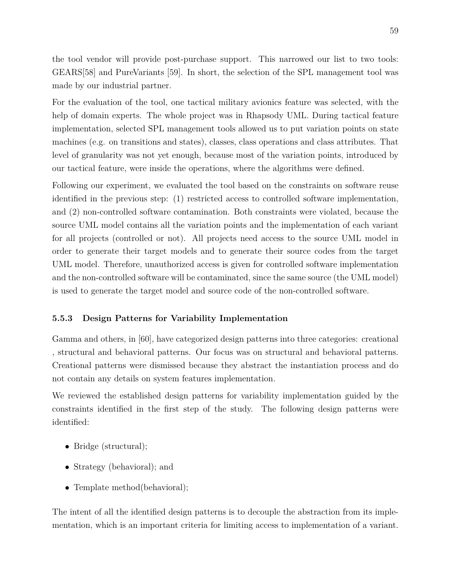the tool vendor will provide post-purchase support. This narrowed our list to two tools: GEARS[\[58\]](#page-91-9) and PureVariants [\[59\]](#page-91-10). In short, the selection of the SPL management tool was made by our industrial partner.

For the evaluation of the tool, one tactical military avionics feature was selected, with the help of domain experts. The whole project was in Rhapsody UML. During tactical feature implementation, selected SPL management tools allowed us to put variation points on state machines (e.g. on transitions and states), classes, class operations and class attributes. That level of granularity was not yet enough, because most of the variation points, introduced by our tactical feature, were inside the operations, where the algorithms were defined.

Following our experiment, we evaluated the tool based on the constraints on software reuse identified in the previous step: (1) restricted access to controlled software implementation, and (2) non-controlled software contamination. Both constraints were violated, because the source UML model contains all the variation points and the implementation of each variant for all projects (controlled or not). All projects need access to the source UML model in order to generate their target models and to generate their source codes from the target UML model. Therefore, unauthorized access is given for controlled software implementation and the non-controlled software will be contaminated, since the same source (the UML model) is used to generate the target model and source code of the non-controlled software.

#### **5.5.3 Design Patterns for Variability Implementation**

Gamma and others, in [\[60\]](#page-92-0), have categorized design patterns into three categories: creational , structural and behavioral patterns. Our focus was on structural and behavioral patterns. Creational patterns were dismissed because they abstract the instantiation process and do not contain any details on system features implementation.

We reviewed the established design patterns for variability implementation guided by the constraints identified in the first step of the study. The following design patterns were identified:

- Bridge (structural);
- Strategy (behavioral); and
- Template method(behavioral);

The intent of all the identified design patterns is to decouple the abstraction from its implementation, which is an important criteria for limiting access to implementation of a variant.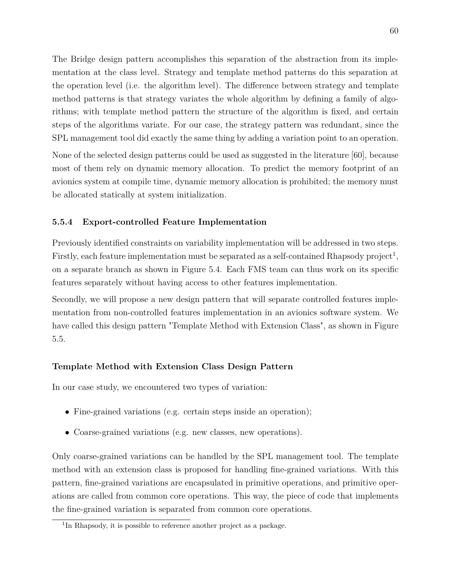The Bridge design pattern accomplishes this separation of the abstraction from its implementation at the class level. Strategy and template method patterns do this separation at the operation level (i.e. the algorithm level). The difference between strategy and template method patterns is that strategy variates the whole algorithm by defining a family of algorithms; with template method pattern the structure of the algorithm is fixed, and certain steps of the algorithms variate. For our case, the strategy pattern was redundant, since the SPL management tool did exactly the same thing by adding a variation point to an operation.

None of the selected design patterns could be used as suggested in the literature [\[60\]](#page-92-0), because most of them rely on dynamic memory allocation. To predict the memory footprint of an avionics system at compile time, dynamic memory allocation is prohibited; the memory must be allocated statically at system initialization.

### **5.5.4 Export-controlled Feature Implementation**

Previously identified constraints on variability implementation will be addressed in two steps. Firstly, each feature implementation must be separated as a self-contained Rhapsody project<sup>[1](#page-71-0)</sup>, on a separate branch as shown in Figure [5.4.](#page-72-0) Each FMS team can thus work on its specific features separately without having access to other features implementation.

Secondly, we will propose a new design pattern that will separate controlled features implementation from non-controlled features implementation in an avionics software system. We have called this design pattern "Template Method with Extension Class", as shown in Figure [5.5.](#page-73-0)

### **Template Method with Extension Class Design Pattern**

In our case study, we encountered two types of variation:

- Fine-grained variations (e.g. certain steps inside an operation);
- Coarse-grained variations (e.g. new classes, new operations).

Only coarse-grained variations can be handled by the SPL management tool. The template method with an extension class is proposed for handling fine-grained variations. With this pattern, fine-grained variations are encapsulated in primitive operations, and primitive operations are called from common core operations. This way, the piece of code that implements the fine-grained variation is separated from common core operations.

<span id="page-71-0"></span><sup>&</sup>lt;sup>1</sup>In Rhapsody, it is possible to reference another project as a package.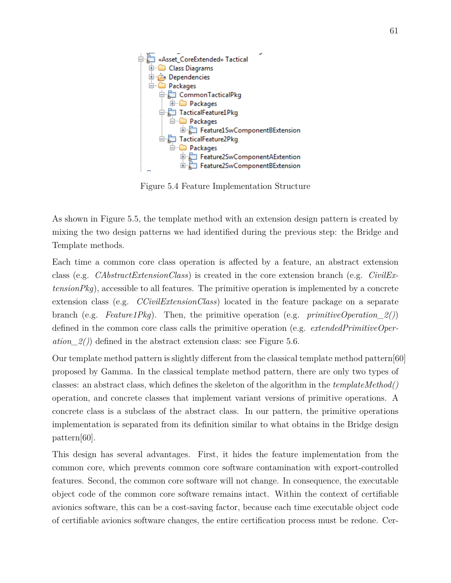<span id="page-72-0"></span>

Figure 5.4 Feature Implementation Structure

As shown in Figure [5.5,](#page-73-0) the template method with an extension design pattern is created by mixing the two design patterns we had identified during the previous step: the Bridge and Template methods.

Each time a common core class operation is affected by a feature, an abstract extension class (e.g. *CAbstractExtensionClass*) is created in the core extension branch (e.g. *CivilExtensionPkg*), accessible to all features. The primitive operation is implemented by a concrete extension class (e.g. *CCivilExtensionClass*) located in the feature package on a separate branch (e.g. *Feature1Pkg*). Then, the primitive operation (e.g. *primitiveOperation\_2()*) defined in the common core class calls the primitive operation (e.g. *extendedPrimitiveOper* $ation\_2()$  defined in the abstract extension class: see Figure [5.6.](#page-73-1)

Our template method pattern is slightly different from the classical template method pattern[\[60\]](#page-92-0) proposed by Gamma. In the classical template method pattern, there are only two types of classes: an abstract class, which defines the skeleton of the algorithm in the *templateMethod()* operation, and concrete classes that implement variant versions of primitive operations. A concrete class is a subclass of the abstract class. In our pattern, the primitive operations implementation is separated from its definition similar to what obtains in the Bridge design pattern[\[60\]](#page-92-0).

This design has several advantages. First, it hides the feature implementation from the common core, which prevents common core software contamination with export-controlled features. Second, the common core software will not change. In consequence, the executable object code of the common core software remains intact. Within the context of certifiable avionics software, this can be a cost-saving factor, because each time executable object code of certifiable avionics software changes, the entire certification process must be redone. Cer-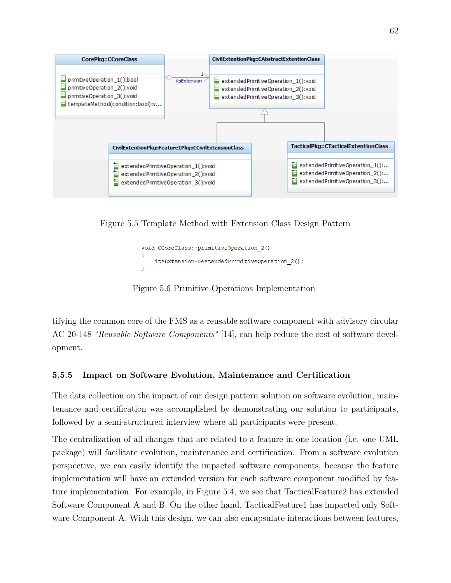

Figure 5.5 Template Method with Extension Class Design Pattern

```
void CCoreClass::primitiveOperation 2()
Ŧ
    itsExtension->extendedPrimitiveOperation 2();
\mathbf{R}
```
Figure 5.6 Primitive Operations Implementation

tifying the common core of the FMS as a reusable software component with advisory circular AC 20-148 *"Reusable Software Components"* [\[14\]](#page-88-0), can help reduce the cost of software development.

# **5.5.5 Impact on Software Evolution, Maintenance and Certification**

The data collection on the impact of our design pattern solution on software evolution, maintenance and certification was accomplished by demonstrating our solution to participants, followed by a semi-structured interview where all participants were present.

The centralization of all changes that are related to a feature in one location (i.e. one UML package) will facilitate evolution, maintenance and certification. From a software evolution perspective, we can easily identify the impacted software components, because the feature implementation will have an extended version for each software component modified by feature implementation. For example, in Figure [5.4,](#page-72-0) we see that TacticalFeature2 has extended Software Component A and B. On the other hand, TacticalFeature1 has impacted only Software Component A. With this design, we can also encapsulate interactions between features,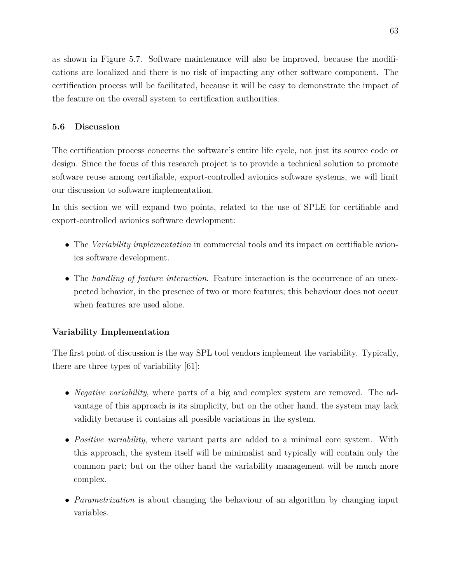as shown in Figure [5.7.](#page-77-0) Software maintenance will also be improved, because the modifications are localized and there is no risk of impacting any other software component. The certification process will be facilitated, because it will be easy to demonstrate the impact of the feature on the overall system to certification authorities.

# **5.6 Discussion**

The certification process concerns the software's entire life cycle, not just its source code or design. Since the focus of this research project is to provide a technical solution to promote software reuse among certifiable, export-controlled avionics software systems, we will limit our discussion to software implementation.

In this section we will expand two points, related to the use of SPLE for certifiable and export-controlled avionics software development:

- The *Variability implementation* in commercial tools and its impact on certifiable avionics software development.
- The *handling of feature interaction*. Feature interaction is the occurrence of an unexpected behavior, in the presence of two or more features; this behaviour does not occur when features are used alone.

## **Variability Implementation**

The first point of discussion is the way SPL tool vendors implement the variability. Typically, there are three types of variability [\[61\]](#page-92-1):

- *Negative variability*, where parts of a big and complex system are removed. The advantage of this approach is its simplicity, but on the other hand, the system may lack validity because it contains all possible variations in the system.
- *Positive variability*, where variant parts are added to a minimal core system. With this approach, the system itself will be minimalist and typically will contain only the common part; but on the other hand the variability management will be much more complex.
- *Parametrization* is about changing the behaviour of an algorithm by changing input variables.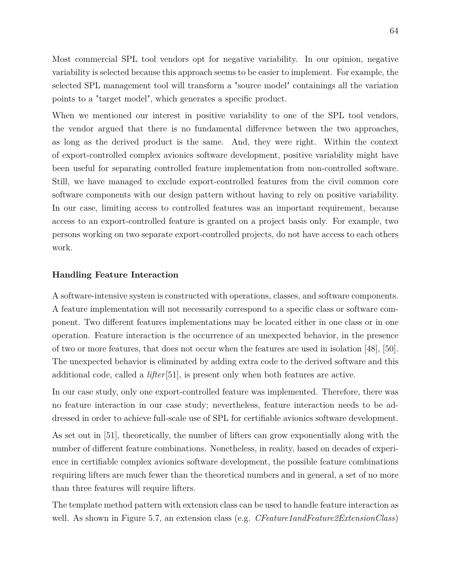Most commercial SPL tool vendors opt for negative variability. In our opinion, negative variability is selected because this approach seems to be easier to implement. For example, the selected SPL management tool will transform a "source model" containings all the variation points to a "target model", which generates a specific product.

When we mentioned our interest in positive variability to one of the SPL tool vendors, the vendor argued that there is no fundamental difference between the two approaches, as long as the derived product is the same. And, they were right. Within the context of export-controlled complex avionics software development, positive variability might have been useful for separating controlled feature implementation from non-controlled software. Still, we have managed to exclude export-controlled features from the civil common core software components with our design pattern without having to rely on positive variability. In our case, limiting access to controlled features was an important requirement, because access to an export-controlled feature is granted on a project basis only. For example, two persons working on two separate export-controlled projects, do not have access to each others work.

## **Handling Feature Interaction**

A software-intensive system is constructed with operations, classes, and software components. A feature implementation will not necessarily correspond to a specific class or software component. Two different features implementations may be located either in one class or in one operation. Feature interaction is the occurrence of an unexpected behavior, in the presence of two or more features, that does not occur when the features are used in isolation [\[48\]](#page-90-0), [\[50\]](#page-91-0). The unexpected behavior is eliminated by adding extra code to the derived software and this additional code, called a *lifter*[\[51\]](#page-91-1), is present only when both features are active.

In our case study, only one export-controlled feature was implemented. Therefore, there was no feature interaction in our case study; nevertheless, feature interaction needs to be addressed in order to achieve full-scale use of SPL for certifiable avionics software development.

As set out in [\[51\]](#page-91-1), theoretically, the number of lifters can grow exponentially along with the number of different feature combinations. Nonetheless, in reality, based on decades of experience in certifiable complex avionics software development, the possible feature combinations requiring lifters are much fewer than the theoretical numbers and in general, a set of no more than three features will require lifters.

The template method pattern with extension class can be used to handle feature interaction as well. As shown in Figure [5.7,](#page-77-0) an extension class (e.g. *CFeature1andFeature2ExtensionClass*)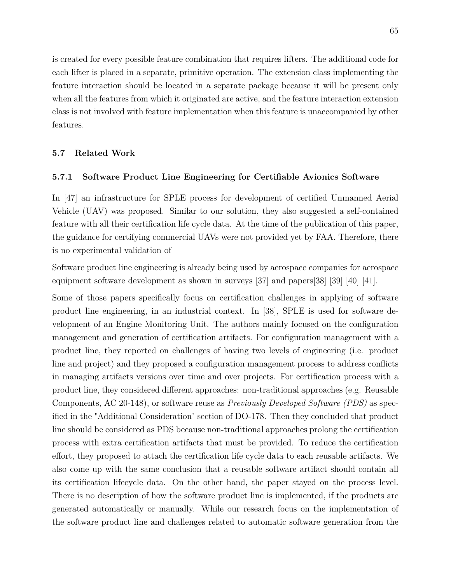is created for every possible feature combination that requires lifters. The additional code for each lifter is placed in a separate, primitive operation. The extension class implementing the feature interaction should be located in a separate package because it will be present only when all the features from which it originated are active, and the feature interaction extension class is not involved with feature implementation when this feature is unaccompanied by other features.

## **5.7 Related Work**

#### **5.7.1 Software Product Line Engineering for Certifiable Avionics Software**

In [\[47\]](#page-90-1) an infrastructure for SPLE process for development of certified Unmanned Aerial Vehicle (UAV) was proposed. Similar to our solution, they also suggested a self-contained feature with all their certification life cycle data. At the time of the publication of this paper, the guidance for certifying commercial UAVs were not provided yet by FAA. Therefore, there is no experimental validation of

Software product line engineering is already being used by aerospace companies for aerospace equipment software development as shown in surveys [\[37\]](#page-89-0) and papers[\[38\]](#page-90-2) [\[39\]](#page-90-3) [\[40\]](#page-90-4) [\[41\]](#page-90-5).

Some of those papers specifically focus on certification challenges in applying of software product line engineering, in an industrial context. In [\[38\]](#page-90-2), SPLE is used for software development of an Engine Monitoring Unit. The authors mainly focused on the configuration management and generation of certification artifacts. For configuration management with a product line, they reported on challenges of having two levels of engineering (i.e. product line and project) and they proposed a configuration management process to address conflicts in managing artifacts versions over time and over projects. For certification process with a product line, they considered different approaches: non-traditional approaches (e.g. Reusable Components, AC 20-148), or software reuse as *Previously Developed Software (PDS)* as specified in the "Additional Consideration" section of DO-178. Then they concluded that product line should be considered as PDS because non-traditional approaches prolong the certification process with extra certification artifacts that must be provided. To reduce the certification effort, they proposed to attach the certification life cycle data to each reusable artifacts. We also come up with the same conclusion that a reusable software artifact should contain all its certification lifecycle data. On the other hand, the paper stayed on the process level. There is no description of how the software product line is implemented, if the products are generated automatically or manually. While our research focus on the implementation of the software product line and challenges related to automatic software generation from the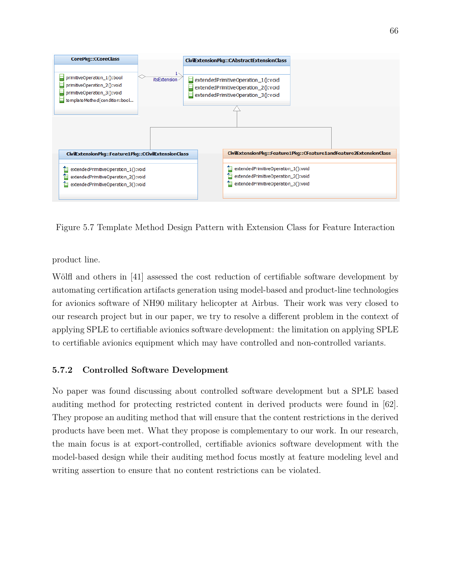

<span id="page-77-0"></span>Figure 5.7 Template Method Design Pattern with Extension Class for Feature Interaction

product line.

Wölfl and others in [\[41\]](#page-90-5) assessed the cost reduction of certifiable software development by automating certification artifacts generation using model-based and product-line technologies for avionics software of NH90 military helicopter at Airbus. Their work was very closed to our research project but in our paper, we try to resolve a different problem in the context of applying SPLE to certifiable avionics software development: the limitation on applying SPLE to certifiable avionics equipment which may have controlled and non-controlled variants.

# **5.7.2 Controlled Software Development**

No paper was found discussing about controlled software development but a SPLE based auditing method for protecting restricted content in derived products were found in [\[62\]](#page-92-2). They propose an auditing method that will ensure that the content restrictions in the derived products have been met. What they propose is complementary to our work. In our research, the main focus is at export-controlled, certifiable avionics software development with the model-based design while their auditing method focus mostly at feature modeling level and writing assertion to ensure that no content restrictions can be violated.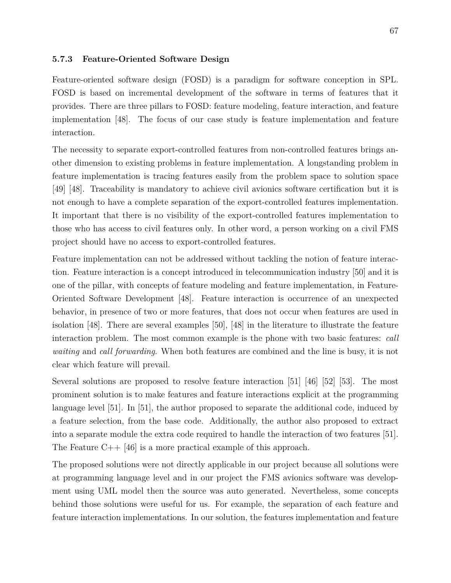## **5.7.3 Feature-Oriented Software Design**

Feature-oriented software design (FOSD) is a paradigm for software conception in SPL. FOSD is based on incremental development of the software in terms of features that it provides. There are three pillars to FOSD: feature modeling, feature interaction, and feature implementation [\[48\]](#page-90-0). The focus of our case study is feature implementation and feature interaction.

The necessity to separate export-controlled features from non-controlled features brings another dimension to existing problems in feature implementation. A longstanding problem in feature implementation is tracing features easily from the problem space to solution space [\[49\]](#page-91-2) [\[48\]](#page-90-0). Traceability is mandatory to achieve civil avionics software certification but it is not enough to have a complete separation of the export-controlled features implementation. It important that there is no visibility of the export-controlled features implementation to those who has access to civil features only. In other word, a person working on a civil FMS project should have no access to export-controlled features.

Feature implementation can not be addressed without tackling the notion of feature interaction. Feature interaction is a concept introduced in telecommunication industry [\[50\]](#page-91-0) and it is one of the pillar, with concepts of feature modeling and feature implementation, in Feature-Oriented Software Development [\[48\]](#page-90-0). Feature interaction is occurrence of an unexpected behavior, in presence of two or more features, that does not occur when features are used in isolation [\[48\]](#page-90-0). There are several examples [\[50\]](#page-91-0), [\[48\]](#page-90-0) in the literature to illustrate the feature interaction problem. The most common example is the phone with two basic features: *call waiting* and *call forwarding*. When both features are combined and the line is busy, it is not clear which feature will prevail.

Several solutions are proposed to resolve feature interaction [\[51\]](#page-91-1) [\[46\]](#page-90-6) [\[52\]](#page-91-3) [\[53\]](#page-91-4). The most prominent solution is to make features and feature interactions explicit at the programming language level [\[51\]](#page-91-1). In [\[51\]](#page-91-1), the author proposed to separate the additional code, induced by a feature selection, from the base code. Additionally, the author also proposed to extract into a separate module the extra code required to handle the interaction of two features [\[51\]](#page-91-1). The Feature C++ [\[46\]](#page-90-6) is a more practical example of this approach.

The proposed solutions were not directly applicable in our project because all solutions were at programming language level and in our project the FMS avionics software was development using UML model then the source was auto generated. Nevertheless, some concepts behind those solutions were useful for us. For example, the separation of each feature and feature interaction implementations. In our solution, the features implementation and feature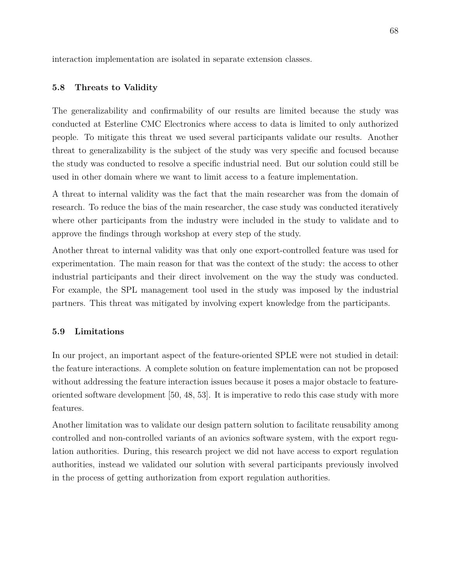interaction implementation are isolated in separate extension classes.

## **5.8 Threats to Validity**

The generalizability and confirmability of our results are limited because the study was conducted at Esterline CMC Electronics where access to data is limited to only authorized people. To mitigate this threat we used several participants validate our results. Another threat to generalizability is the subject of the study was very specific and focused because the study was conducted to resolve a specific industrial need. But our solution could still be used in other domain where we want to limit access to a feature implementation.

A threat to internal validity was the fact that the main researcher was from the domain of research. To reduce the bias of the main researcher, the case study was conducted iteratively where other participants from the industry were included in the study to validate and to approve the findings through workshop at every step of the study.

Another threat to internal validity was that only one export-controlled feature was used for experimentation. The main reason for that was the context of the study: the access to other industrial participants and their direct involvement on the way the study was conducted. For example, the SPL management tool used in the study was imposed by the industrial partners. This threat was mitigated by involving expert knowledge from the participants.

## **5.9 Limitations**

In our project, an important aspect of the feature-oriented SPLE were not studied in detail: the feature interactions. A complete solution on feature implementation can not be proposed without addressing the feature interaction issues because it poses a major obstacle to featureoriented software development [\[50,](#page-91-0) [48,](#page-90-0) [53\]](#page-91-4). It is imperative to redo this case study with more features.

Another limitation was to validate our design pattern solution to facilitate reusability among controlled and non-controlled variants of an avionics software system, with the export regulation authorities. During, this research project we did not have access to export regulation authorities, instead we validated our solution with several participants previously involved in the process of getting authorization from export regulation authorities.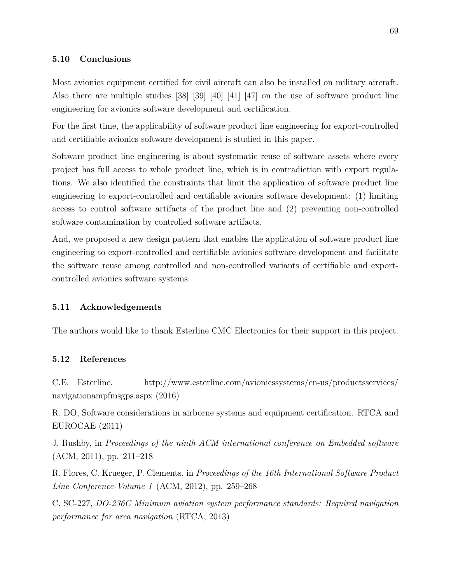## **5.10 Conclusions**

Most avionics equipment certified for civil aircraft can also be installed on military aircraft. Also there are multiple studies [\[38\]](#page-90-2) [\[39\]](#page-90-3) [\[40\]](#page-90-4) [\[41\]](#page-90-5) [\[47\]](#page-90-1) on the use of software product line engineering for avionics software development and certification.

For the first time, the applicability of software product line engineering for export-controlled and certifiable avionics software development is studied in this paper.

Software product line engineering is about systematic reuse of software assets where every project has full access to whole product line, which is in contradiction with export regulations. We also identified the constraints that limit the application of software product line engineering to export-controlled and certifiable avionics software development: (1) limiting access to control software artifacts of the product line and (2) preventing non-controlled software contamination by controlled software artifacts.

And, we proposed a new design pattern that enables the application of software product line engineering to export-controlled and certifiable avionics software development and facilitate the software reuse among controlled and non-controlled variants of certifiable and exportcontrolled avionics software systems.

## **5.11 Acknowledgements**

The authors would like to thank Esterline CMC Electronics for their support in this project.

## **5.12 References**

C.E. Esterline. http://www.esterline.com/avionicssystems/en-us/productsservices/ navigationampfmsgps.aspx (2016)

R. DO, Software considerations in airborne systems and equipment certification. RTCA and EUROCAE (2011)

J. Rushby, in *Proceedings of the ninth ACM international conference on Embedded software* (ACM, 2011), pp. 211–218

R. Flores, C. Krueger, P. Clements, in *Proceedings of the 16th International Software Product Line Conference-Volume 1* (ACM, 2012), pp. 259–268

C. SC-227, *DO-236C Minimum aviation system performance standards: Required navigation performance for area navigation* (RTCA, 2013)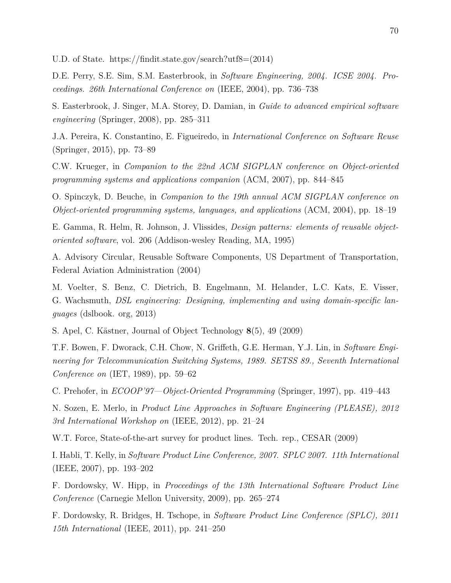U.D. of State. https://findit.state.gov/search?utf8=(2014)

D.E. Perry, S.E. Sim, S.M. Easterbrook, in *Software Engineering, 2004. ICSE 2004. Proceedings. 26th International Conference on* (IEEE, 2004), pp. 736–738

S. Easterbrook, J. Singer, M.A. Storey, D. Damian, in *Guide to advanced empirical software engineering* (Springer, 2008), pp. 285–311

J.A. Pereira, K. Constantino, E. Figueiredo, in *International Conference on Software Reuse* (Springer, 2015), pp. 73–89

C.W. Krueger, in *Companion to the 22nd ACM SIGPLAN conference on Object-oriented programming systems and applications companion* (ACM, 2007), pp. 844–845

O. Spinczyk, D. Beuche, in *Companion to the 19th annual ACM SIGPLAN conference on Object-oriented programming systems, languages, and applications* (ACM, 2004), pp. 18–19

E. Gamma, R. Helm, R. Johnson, J. Vlissides, *Design patterns: elements of reusable objectoriented software*, vol. 206 (Addison-wesley Reading, MA, 1995)

A. Advisory Circular, Reusable Software Components, US Department of Transportation, Federal Aviation Administration (2004)

M. Voelter, S. Benz, C. Dietrich, B. Engelmann, M. Helander, L.C. Kats, E. Visser, G. Wachsmuth, *DSL engineering: Designing, implementing and using domain-specific languages* (dslbook. org, 2013)

S. Apel, C. Kästner, Journal of Object Technology **8**(5), 49 (2009)

T.F. Bowen, F. Dworack, C.H. Chow, N. Griffeth, G.E. Herman, Y.J. Lin, in *Software Engineering for Telecommunication Switching Systems, 1989. SETSS 89., Seventh International Conference on* (IET, 1989), pp. 59–62

C. Prehofer, in *ECOOP'97—Object-Oriented Programming* (Springer, 1997), pp. 419–443

N. Sozen, E. Merlo, in *Product Line Approaches in Software Engineering (PLEASE), 2012 3rd International Workshop on* (IEEE, 2012), pp. 21–24

W.T. Force, State-of-the-art survey for product lines. Tech. rep., CESAR (2009)

I. Habli, T. Kelly, in *Software Product Line Conference, 2007. SPLC 2007. 11th International* (IEEE, 2007), pp. 193–202

F. Dordowsky, W. Hipp, in *Proceedings of the 13th International Software Product Line Conference* (Carnegie Mellon University, 2009), pp. 265–274

F. Dordowsky, R. Bridges, H. Tschope, in *Software Product Line Conference (SPLC), 2011 15th International* (IEEE, 2011), pp. 241–250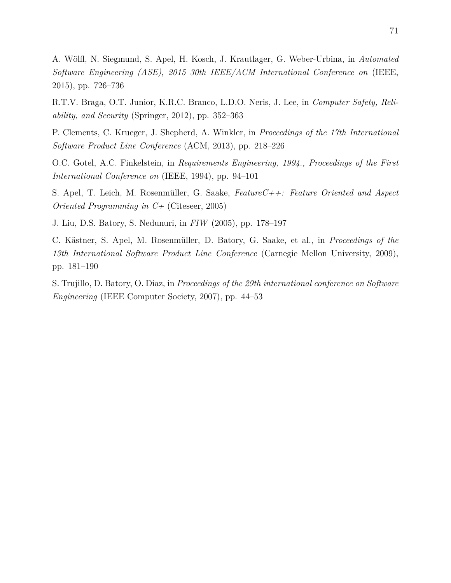A. Wölfl, N. Siegmund, S. Apel, H. Kosch, J. Krautlager, G. Weber-Urbina, in *Automated Software Engineering (ASE), 2015 30th IEEE/ACM International Conference on* (IEEE, 2015), pp. 726–736

R.T.V. Braga, O.T. Junior, K.R.C. Branco, L.D.O. Neris, J. Lee, in *Computer Safety, Reliability, and Security* (Springer, 2012), pp. 352–363

P. Clements, C. Krueger, J. Shepherd, A. Winkler, in *Proceedings of the 17th International Software Product Line Conference* (ACM, 2013), pp. 218–226

O.C. Gotel, A.C. Finkelstein, in *Requirements Engineering, 1994., Proceedings of the First International Conference on* (IEEE, 1994), pp. 94–101

S. Apel, T. Leich, M. Rosenmüller, G. Saake, *FeatureC++: Feature Oriented and Aspect Oriented Programming in C+* (Citeseer, 2005)

J. Liu, D.S. Batory, S. Nedunuri, in *FIW* (2005), pp. 178–197

C. Kästner, S. Apel, M. Rosenmüller, D. Batory, G. Saake, et al., in *Proceedings of the 13th International Software Product Line Conference* (Carnegie Mellon University, 2009), pp. 181–190

S. Trujillo, D. Batory, O. Diaz, in *Proceedings of the 29th international conference on Software Engineering* (IEEE Computer Society, 2007), pp. 44–53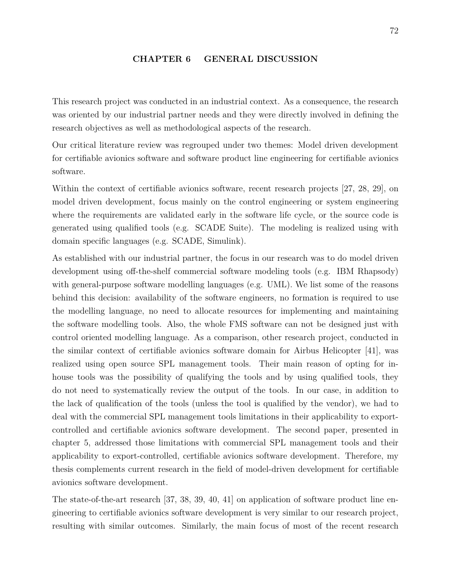#### **CHAPTER 6 GENERAL DISCUSSION**

This research project was conducted in an industrial context. As a consequence, the research was oriented by our industrial partner needs and they were directly involved in defining the research objectives as well as methodological aspects of the research.

Our critical literature review was regrouped under two themes: Model driven development for certifiable avionics software and software product line engineering for certifiable avionics software.

Within the context of certifiable avionics software, recent research projects [\[27,](#page-89-1) [28,](#page-89-2) [29\]](#page-89-3), on model driven development, focus mainly on the control engineering or system engineering where the requirements are validated early in the software life cycle, or the source code is generated using qualified tools (e.g. SCADE Suite). The modeling is realized using with domain specific languages (e.g. SCADE, Simulink).

As established with our industrial partner, the focus in our research was to do model driven development using off-the-shelf commercial software modeling tools (e.g. IBM Rhapsody) with general-purpose software modelling languages (e.g. UML). We list some of the reasons behind this decision: availability of the software engineers, no formation is required to use the modelling language, no need to allocate resources for implementing and maintaining the software modelling tools. Also, the whole FMS software can not be designed just with control oriented modelling language. As a comparison, other research project, conducted in the similar context of certifiable avionics software domain for Airbus Helicopter [\[41\]](#page-90-5), was realized using open source SPL management tools. Their main reason of opting for inhouse tools was the possibility of qualifying the tools and by using qualified tools, they do not need to systematically review the output of the tools. In our case, in addition to the lack of qualification of the tools (unless the tool is qualified by the vendor), we had to deal with the commercial SPL management tools limitations in their applicability to exportcontrolled and certifiable avionics software development. The second paper, presented in chapter 5, addressed those limitations with commercial SPL management tools and their applicability to export-controlled, certifiable avionics software development. Therefore, my thesis complements current research in the field of model-driven development for certifiable avionics software development.

The state-of-the-art research [\[37,](#page-89-0) [38,](#page-90-2) [39,](#page-90-3) [40,](#page-90-4) [41\]](#page-90-5) on application of software product line engineering to certifiable avionics software development is very similar to our research project, resulting with similar outcomes. Similarly, the main focus of most of the recent research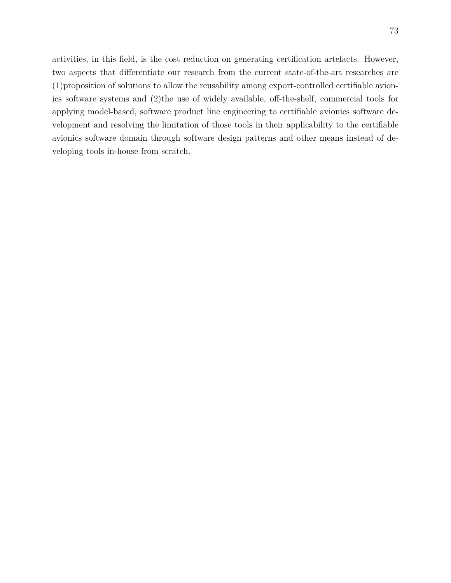activities, in this field, is the cost reduction on generating certification artefacts. However, two aspects that differentiate our research from the current state-of-the-art researches are (1)proposition of solutions to allow the reusability among export-controlled certifiable avionics software systems and (2)the use of widely available, off-the-shelf, commercial tools for applying model-based, software product line engineering to certifiable avionics software development and resolving the limitation of those tools in their applicability to the certifiable avionics software domain through software design patterns and other means instead of developing tools in-house from scratch.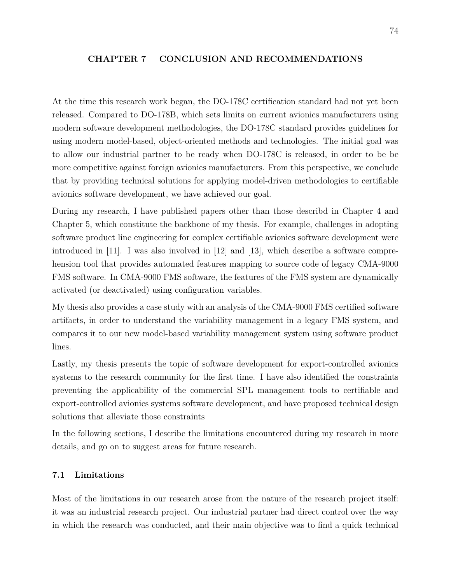## **CHAPTER 7 CONCLUSION AND RECOMMENDATIONS**

At the time this research work began, the DO-178C certification standard had not yet been released. Compared to DO-178B, which sets limits on current avionics manufacturers using modern software development methodologies, the DO-178C standard provides guidelines for using modern model-based, object-oriented methods and technologies. The initial goal was to allow our industrial partner to be ready when DO-178C is released, in order to be be more competitive against foreign avionics manufacturers. From this perspective, we conclude that by providing technical solutions for applying model-driven methodologies to certifiable avionics software development, we have achieved our goal.

During my research, I have published papers other than those describd in Chapter 4 and Chapter 5, which constitute the backbone of my thesis. For example, challenges in adopting software product line engineering for complex certifiable avionics software development were introduced in [\[11\]](#page-87-0). I was also involved in [\[12\]](#page-87-1) and [\[13\]](#page-88-1), which describe a software comprehension tool that provides automated features mapping to source code of legacy CMA-9000 FMS software. In CMA-9000 FMS software, the features of the FMS system are dynamically activated (or deactivated) using configuration variables.

My thesis also provides a case study with an analysis of the CMA-9000 FMS certified software artifacts, in order to understand the variability management in a legacy FMS system, and compares it to our new model-based variability management system using software product lines.

Lastly, my thesis presents the topic of software development for export-controlled avionics systems to the research community for the first time. I have also identified the constraints preventing the applicability of the commercial SPL management tools to certifiable and export-controlled avionics systems software development, and have proposed technical design solutions that alleviate those constraints

In the following sections, I describe the limitations encountered during my research in more details, and go on to suggest areas for future research.

# **7.1 Limitations**

Most of the limitations in our research arose from the nature of the research project itself: it was an industrial research project. Our industrial partner had direct control over the way in which the research was conducted, and their main objective was to find a quick technical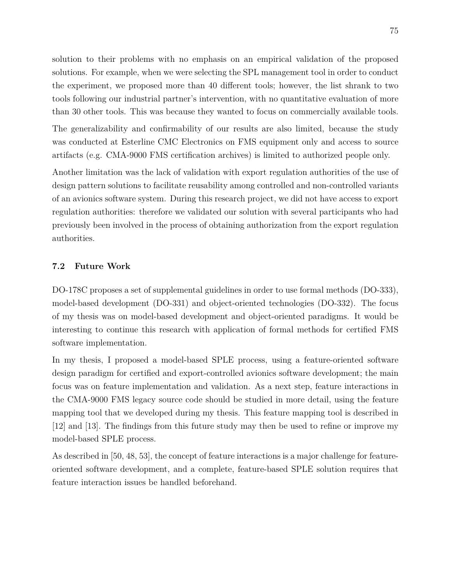solution to their problems with no emphasis on an empirical validation of the proposed solutions. For example, when we were selecting the SPL management tool in order to conduct the experiment, we proposed more than 40 different tools; however, the list shrank to two tools following our industrial partner's intervention, with no quantitative evaluation of more than 30 other tools. This was because they wanted to focus on commercially available tools.

The generalizability and confirmability of our results are also limited, because the study was conducted at Esterline CMC Electronics on FMS equipment only and access to source artifacts (e.g. CMA-9000 FMS certification archives) is limited to authorized people only.

Another limitation was the lack of validation with export regulation authorities of the use of design pattern solutions to facilitate reusability among controlled and non-controlled variants of an avionics software system. During this research project, we did not have access to export regulation authorities: therefore we validated our solution with several participants who had previously been involved in the process of obtaining authorization from the export regulation authorities.

# **7.2 Future Work**

DO-178C proposes a set of supplemental guidelines in order to use formal methods (DO-333), model-based development (DO-331) and object-oriented technologies (DO-332). The focus of my thesis was on model-based development and object-oriented paradigms. It would be interesting to continue this research with application of formal methods for certified FMS software implementation.

In my thesis, I proposed a model-based SPLE process, using a feature-oriented software design paradigm for certified and export-controlled avionics software development; the main focus was on feature implementation and validation. As a next step, feature interactions in the CMA-9000 FMS legacy source code should be studied in more detail, using the feature mapping tool that we developed during my thesis. This feature mapping tool is described in [\[12\]](#page-87-1) and [\[13\]](#page-88-1). The findings from this future study may then be used to refine or improve my model-based SPLE process.

As described in [\[50,](#page-91-0) [48,](#page-90-0) [53\]](#page-91-4), the concept of feature interactions is a major challenge for featureoriented software development, and a complete, feature-based SPLE solution requires that feature interaction issues be handled beforehand.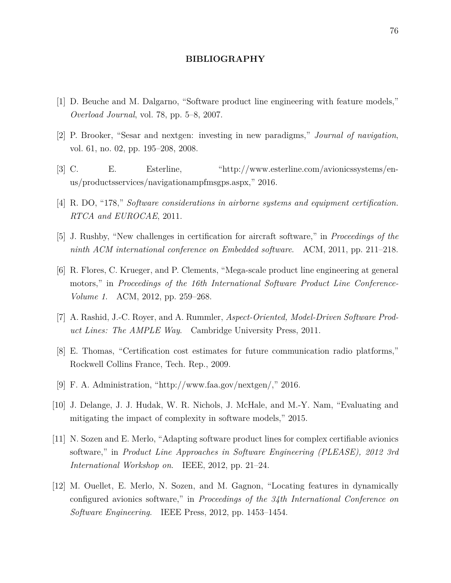#### **BIBLIOGRAPHY**

- [1] D. Beuche and M. Dalgarno, "Software product line engineering with feature models," *Overload Journal*, vol. 78, pp. 5–8, 2007.
- [2] P. Brooker, "Sesar and nextgen: investing in new paradigms," *Journal of navigation*, vol. 61, no. 02, pp. 195–208, 2008.
- [3] C. E. Esterline, "http://www.esterline.com/avionicssystems/enus/productsservices/navigationampfmsgps.aspx," 2016.
- [4] R. DO, "178," *Software considerations in airborne systems and equipment certification. RTCA and EUROCAE*, 2011.
- [5] J. Rushby, "New challenges in certification for aircraft software," in *Proceedings of the ninth ACM international conference on Embedded software*. ACM, 2011, pp. 211–218.
- [6] R. Flores, C. Krueger, and P. Clements, "Mega-scale product line engineering at general motors," in *Proceedings of the 16th International Software Product Line Conference-Volume 1*. ACM, 2012, pp. 259–268.
- [7] A. Rashid, J.-C. Royer, and A. Rummler, *Aspect-Oriented, Model-Driven Software Product Lines: The AMPLE Way*. Cambridge University Press, 2011.
- [8] E. Thomas, "Certification cost estimates for future communication radio platforms," Rockwell Collins France, Tech. Rep., 2009.
- [9] F. A. Administration, "http://www.faa.gov/nextgen/," 2016.
- [10] J. Delange, J. J. Hudak, W. R. Nichols, J. McHale, and M.-Y. Nam, "Evaluating and mitigating the impact of complexity in software models," 2015.
- <span id="page-87-0"></span>[11] N. Sozen and E. Merlo, "Adapting software product lines for complex certifiable avionics software," in *Product Line Approaches in Software Engineering (PLEASE), 2012 3rd International Workshop on*. IEEE, 2012, pp. 21–24.
- <span id="page-87-1"></span>[12] M. Ouellet, E. Merlo, N. Sozen, and M. Gagnon, "Locating features in dynamically configured avionics software," in *Proceedings of the 34th International Conference on Software Engineering*. IEEE Press, 2012, pp. 1453–1454.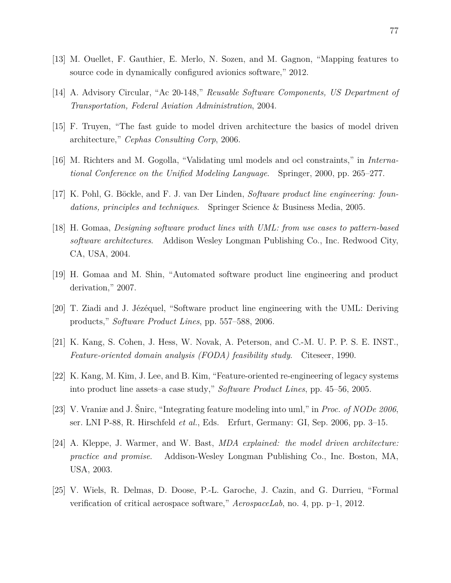- <span id="page-88-1"></span>[13] M. Ouellet, F. Gauthier, E. Merlo, N. Sozen, and M. Gagnon, "Mapping features to source code in dynamically configured avionics software," 2012.
- <span id="page-88-0"></span>[14] A. Advisory Circular, "Ac 20-148," *Reusable Software Components, US Department of Transportation, Federal Aviation Administration*, 2004.
- [15] F. Truyen, "The fast guide to model driven architecture the basics of model driven architecture," *Cephas Consulting Corp*, 2006.
- [16] M. Richters and M. Gogolla, "Validating uml models and ocl constraints," in *International Conference on the Unified Modeling Language*. Springer, 2000, pp. 265–277.
- [17] K. Pohl, G. Böckle, and F. J. van Der Linden, *Software product line engineering: foundations, principles and techniques*. Springer Science & Business Media, 2005.
- [18] H. Gomaa, *Designing software product lines with UML: from use cases to pattern-based software architectures*. Addison Wesley Longman Publishing Co., Inc. Redwood City, CA, USA, 2004.
- [19] H. Gomaa and M. Shin, "Automated software product line engineering and product derivation," 2007.
- [20] T. Ziadi and J. Jézéquel, "Software product line engineering with the UML: Deriving products," *Software Product Lines*, pp. 557–588, 2006.
- [21] K. Kang, S. Cohen, J. Hess, W. Novak, A. Peterson, and C.-M. U. P. P. S. E. INST., *Feature-oriented domain analysis (FODA) feasibility study*. Citeseer, 1990.
- [22] K. Kang, M. Kim, J. Lee, and B. Kim, "Feature-oriented re-engineering of legacy systems into product line assets–a case study," *Software Product Lines*, pp. 45–56, 2005.
- [23] V. Vraniæ and J. Šnirc, "Integrating feature modeling into uml," in *Proc. of NODe 2006*, ser. LNI P-88, R. Hirschfeld *et al.*, Eds. Erfurt, Germany: GI, Sep. 2006, pp. 3–15.
- [24] A. Kleppe, J. Warmer, and W. Bast, *MDA explained: the model driven architecture: practice and promise*. Addison-Wesley Longman Publishing Co., Inc. Boston, MA, USA, 2003.
- [25] V. Wiels, R. Delmas, D. Doose, P.-L. Garoche, J. Cazin, and G. Durrieu, "Formal verification of critical aerospace software," *AerospaceLab*, no. 4, pp. p–1, 2012.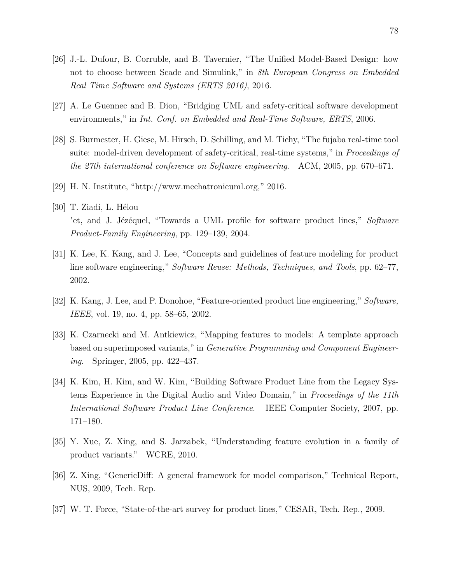- [26] J.-L. Dufour, B. Corruble, and B. Tavernier, "The Unified Model-Based Design: how not to choose between Scade and Simulink," in *8th European Congress on Embedded Real Time Software and Systems (ERTS 2016)*, 2016.
- <span id="page-89-1"></span>[27] A. Le Guennec and B. Dion, "Bridging UML and safety-critical software development environments," in *Int. Conf. on Embedded and Real-Time Software, ERTS*, 2006.
- <span id="page-89-2"></span>[28] S. Burmester, H. Giese, M. Hirsch, D. Schilling, and M. Tichy, "The fujaba real-time tool suite: model-driven development of safety-critical, real-time systems," in *Proceedings of the 27th international conference on Software engineering*. ACM, 2005, pp. 670–671.
- <span id="page-89-3"></span>[29] H. N. Institute, "http://www.mechatronicuml.org," 2016.
- [30] T. Ziadi, L. Hélou "et, and J. Jézéquel, "Towards a UML profile for software product lines," *Software Product-Family Engineering*, pp. 129–139, 2004.
- [31] K. Lee, K. Kang, and J. Lee, "Concepts and guidelines of feature modeling for product line software engineering," *Software Reuse: Methods, Techniques, and Tools*, pp. 62–77, 2002.
- [32] K. Kang, J. Lee, and P. Donohoe, "Feature-oriented product line engineering," *Software, IEEE*, vol. 19, no. 4, pp. 58–65, 2002.
- [33] K. Czarnecki and M. Antkiewicz, "Mapping features to models: A template approach based on superimposed variants," in *Generative Programming and Component Engineering*. Springer, 2005, pp. 422–437.
- [34] K. Kim, H. Kim, and W. Kim, "Building Software Product Line from the Legacy Systems Experience in the Digital Audio and Video Domain," in *Proceedings of the 11th International Software Product Line Conference*. IEEE Computer Society, 2007, pp. 171–180.
- [35] Y. Xue, Z. Xing, and S. Jarzabek, "Understanding feature evolution in a family of product variants." WCRE, 2010.
- [36] Z. Xing, "GenericDiff: A general framework for model comparison," Technical Report, NUS, 2009, Tech. Rep.
- <span id="page-89-0"></span>[37] W. T. Force, "State-of-the-art survey for product lines," CESAR, Tech. Rep., 2009.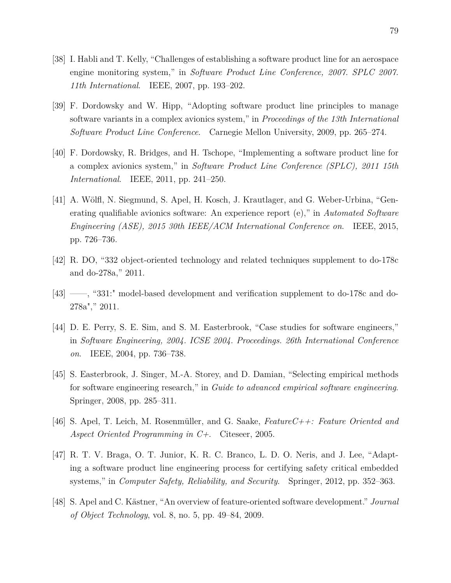- <span id="page-90-2"></span>[38] I. Habli and T. Kelly, "Challenges of establishing a software product line for an aerospace engine monitoring system," in *Software Product Line Conference, 2007. SPLC 2007. 11th International*. IEEE, 2007, pp. 193–202.
- <span id="page-90-3"></span>[39] F. Dordowsky and W. Hipp, "Adopting software product line principles to manage software variants in a complex avionics system," in *Proceedings of the 13th International Software Product Line Conference*. Carnegie Mellon University, 2009, pp. 265–274.
- <span id="page-90-4"></span>[40] F. Dordowsky, R. Bridges, and H. Tschope, "Implementing a software product line for a complex avionics system," in *Software Product Line Conference (SPLC), 2011 15th International*. IEEE, 2011, pp. 241–250.
- <span id="page-90-5"></span>[41] A. Wölfl, N. Siegmund, S. Apel, H. Kosch, J. Krautlager, and G. Weber-Urbina, "Generating qualifiable avionics software: An experience report (e)," in *Automated Software Engineering (ASE), 2015 30th IEEE/ACM International Conference on*. IEEE, 2015, pp. 726–736.
- [42] R. DO, "332 object-oriented technology and related techniques supplement to do-178c and do-278a," 2011.
- [43] ——, "331:" model-based development and verification supplement to do-178c and do-278a"," 2011.
- [44] D. E. Perry, S. E. Sim, and S. M. Easterbrook, "Case studies for software engineers," in *Software Engineering, 2004. ICSE 2004. Proceedings. 26th International Conference on*. IEEE, 2004, pp. 736–738.
- [45] S. Easterbrook, J. Singer, M.-A. Storey, and D. Damian, "Selecting empirical methods for software engineering research," in *Guide to advanced empirical software engineering*. Springer, 2008, pp. 285–311.
- <span id="page-90-6"></span>[46] S. Apel, T. Leich, M. Rosenmüller, and G. Saake, *FeatureC++: Feature Oriented and Aspect Oriented Programming in C+*. Citeseer, 2005.
- <span id="page-90-1"></span>[47] R. T. V. Braga, O. T. Junior, K. R. C. Branco, L. D. O. Neris, and J. Lee, "Adapting a software product line engineering process for certifying safety critical embedded systems," in *Computer Safety, Reliability, and Security*. Springer, 2012, pp. 352–363.
- <span id="page-90-0"></span>[48] S. Apel and C. Kästner, "An overview of feature-oriented software development." *Journal of Object Technology*, vol. 8, no. 5, pp. 49–84, 2009.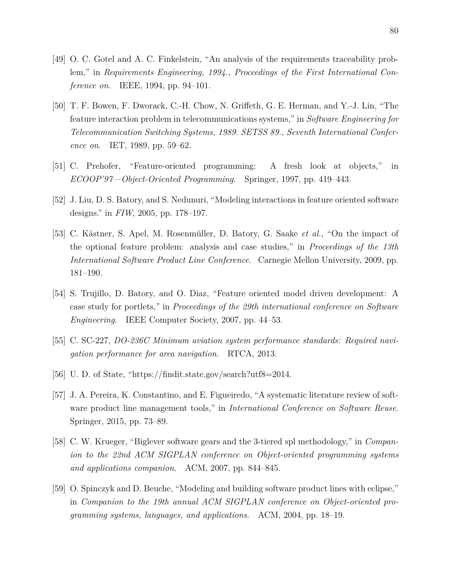- <span id="page-91-2"></span>[49] O. C. Gotel and A. C. Finkelstein, "An analysis of the requirements traceability problem," in *Requirements Engineering, 1994., Proceedings of the First International Conference on*. IEEE, 1994, pp. 94–101.
- <span id="page-91-0"></span>[50] T. F. Bowen, F. Dworack, C.-H. Chow, N. Griffeth, G. E. Herman, and Y.-J. Lin, "The feature interaction problem in telecommunications systems," in *Software Engineering for Telecommunication Switching Systems, 1989. SETSS 89., Seventh International Conference on*. IET, 1989, pp. 59–62.
- <span id="page-91-1"></span>[51] C. Prehofer, "Feature-oriented programming: A fresh look at objects," in *ECOOP'97—Object-Oriented Programming*. Springer, 1997, pp. 419–443.
- <span id="page-91-3"></span>[52] J. Liu, D. S. Batory, and S. Nedunuri, "Modeling interactions in feature oriented software designs." in *FIW*, 2005, pp. 178–197.
- <span id="page-91-4"></span>[53] C. Kästner, S. Apel, M. Rosenmüller, D. Batory, G. Saake *et al.*, "On the impact of the optional feature problem: analysis and case studies," in *Proceedings of the 13th International Software Product Line Conference*. Carnegie Mellon University, 2009, pp. 181–190.
- [54] S. Trujillo, D. Batory, and O. Diaz, "Feature oriented model driven development: A case study for portlets," in *Proceedings of the 29th international conference on Software Engineering*. IEEE Computer Society, 2007, pp. 44–53.
- [55] C. SC-227, *DO-236C Minimum aviation system performance standards: Required navigation performance for area navigation*. RTCA, 2013.
- [56] U. D. of State, "https://findit.state.gov/search?utf8=2014.
- [57] J. A. Pereira, K. Constantino, and E. Figueiredo, "A systematic literature review of software product line management tools," in *International Conference on Software Reuse*. Springer, 2015, pp. 73–89.
- [58] C. W. Krueger, "Biglever software gears and the 3-tiered spl methodology," in *Companion to the 22nd ACM SIGPLAN conference on Object-oriented programming systems and applications companion*. ACM, 2007, pp. 844–845.
- [59] O. Spinczyk and D. Beuche, "Modeling and building software product lines with eclipse," in *Companion to the 19th annual ACM SIGPLAN conference on Object-oriented programming systems, languages, and applications*. ACM, 2004, pp. 18–19.